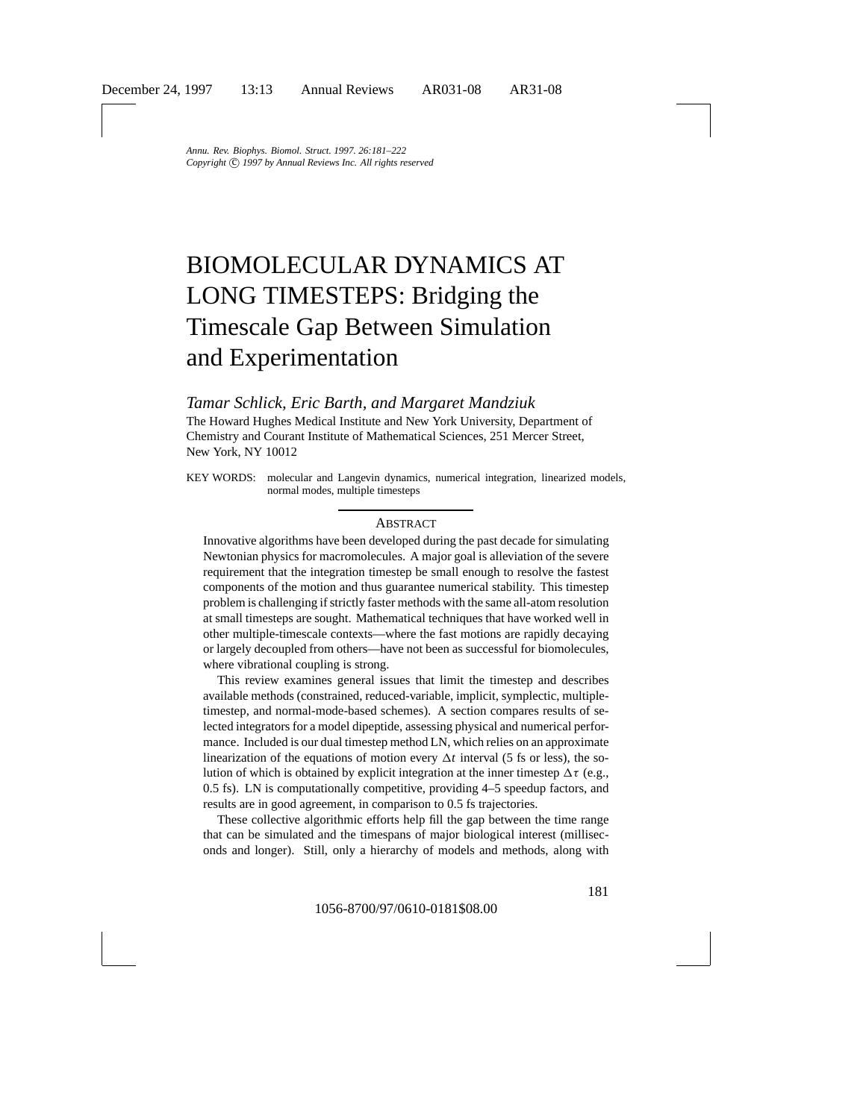# BIOMOLECULAR DYNAMICS AT LONG TIMESTEPS: Bridging the Timescale Gap Between Simulation and Experimentation

*Tamar Schlick, Eric Barth, and Margaret Mandziuk*

The Howard Hughes Medical Institute and New York University, Department of Chemistry and Courant Institute of Mathematical Sciences, 251 Mercer Street, New York, NY 10012

KEY WORDS: molecular and Langevin dynamics, numerical integration, linearized models, normal modes, multiple timesteps

#### **ABSTRACT**

Innovative algorithms have been developed during the past decade for simulating Newtonian physics for macromolecules. A major goal is alleviation of the severe requirement that the integration timestep be small enough to resolve the fastest components of the motion and thus guarantee numerical stability. This timestep problem is challenging if strictly faster methods with the same all-atom resolution at small timesteps are sought. Mathematical techniques that have worked well in other multiple-timescale contexts—where the fast motions are rapidly decaying or largely decoupled from others—have not been as successful for biomolecules, where vibrational coupling is strong.

This review examines general issues that limit the timestep and describes available methods (constrained, reduced-variable, implicit, symplectic, multipletimestep, and normal-mode-based schemes). A section compares results of selected integrators for a model dipeptide, assessing physical and numerical performance. Included is our dual timestep method LN, which relies on an approximate linearization of the equations of motion every  $\Delta t$  interval (5 fs or less), the solution of which is obtained by explicit integration at the inner timestep  $\Delta \tau$  (e.g., 0.5 fs). LN is computationally competitive, providing 4–5 speedup factors, and results are in good agreement, in comparison to 0.5 fs trajectories.

These collective algorithmic efforts help fill the gap between the time range that can be simulated and the timespans of major biological interest (milliseconds and longer). Still, only a hierarchy of models and methods, along with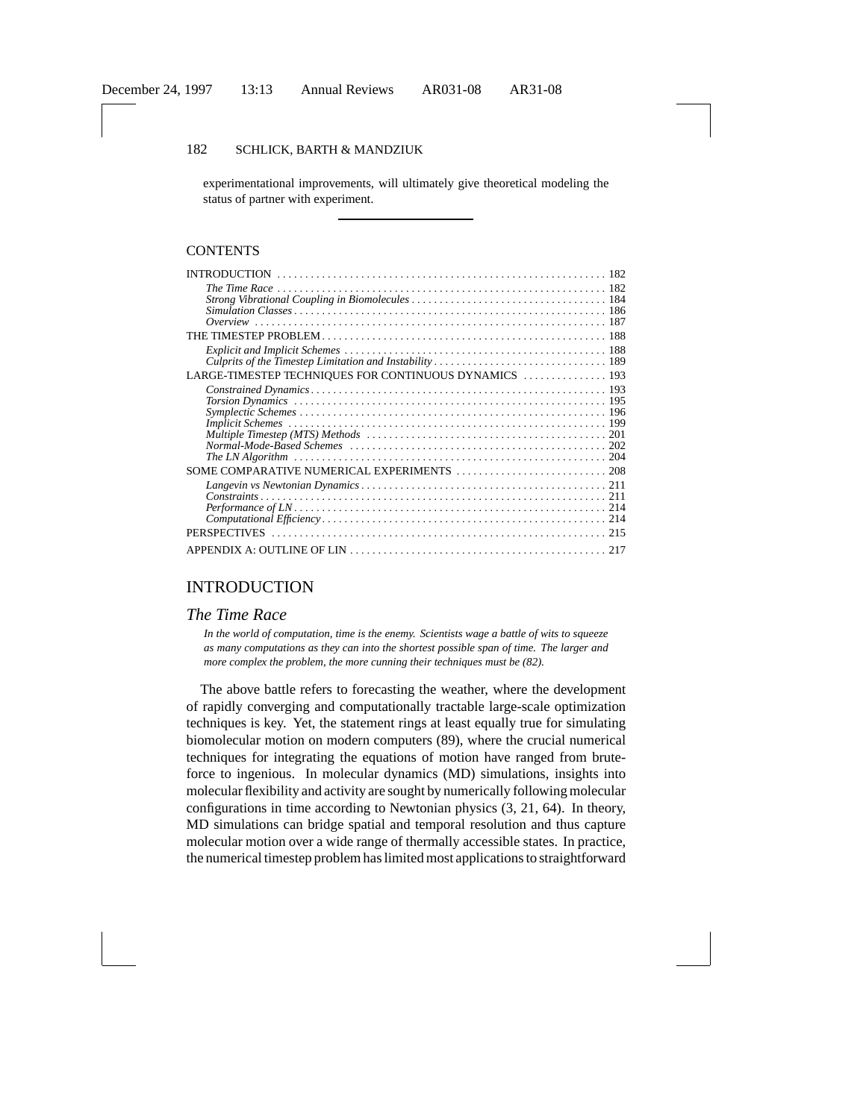experimentational improvements, will ultimately give theoretical modeling the status of partner with experiment.

#### **CONTENTS**

| LARGE-TIMESTEP TECHNIQUES FOR CONTINUOUS DYNAMICS  193 |  |
|--------------------------------------------------------|--|
|                                                        |  |
|                                                        |  |
|                                                        |  |
|                                                        |  |
|                                                        |  |
|                                                        |  |
|                                                        |  |
|                                                        |  |
|                                                        |  |
|                                                        |  |
|                                                        |  |
|                                                        |  |
|                                                        |  |
|                                                        |  |
|                                                        |  |

## INTRODUCTION

#### *The Time Race*

*In the world of computation, time is the enemy. Scientists wage a battle of wits to squeeze as many computations as they can into the shortest possible span of time. The larger and more complex the problem, the more cunning their techniques must be (82).*

The above battle refers to forecasting the weather, where the development of rapidly converging and computationally tractable large-scale optimization techniques is key. Yet, the statement rings at least equally true for simulating biomolecular motion on modern computers (89), where the crucial numerical techniques for integrating the equations of motion have ranged from bruteforce to ingenious. In molecular dynamics (MD) simulations, insights into molecular flexibility and activity are sought by numerically following molecular configurations in time according to Newtonian physics (3, 21, 64). In theory, MD simulations can bridge spatial and temporal resolution and thus capture molecular motion over a wide range of thermally accessible states. In practice, the numerical timestep problem has limited most applications to straightforward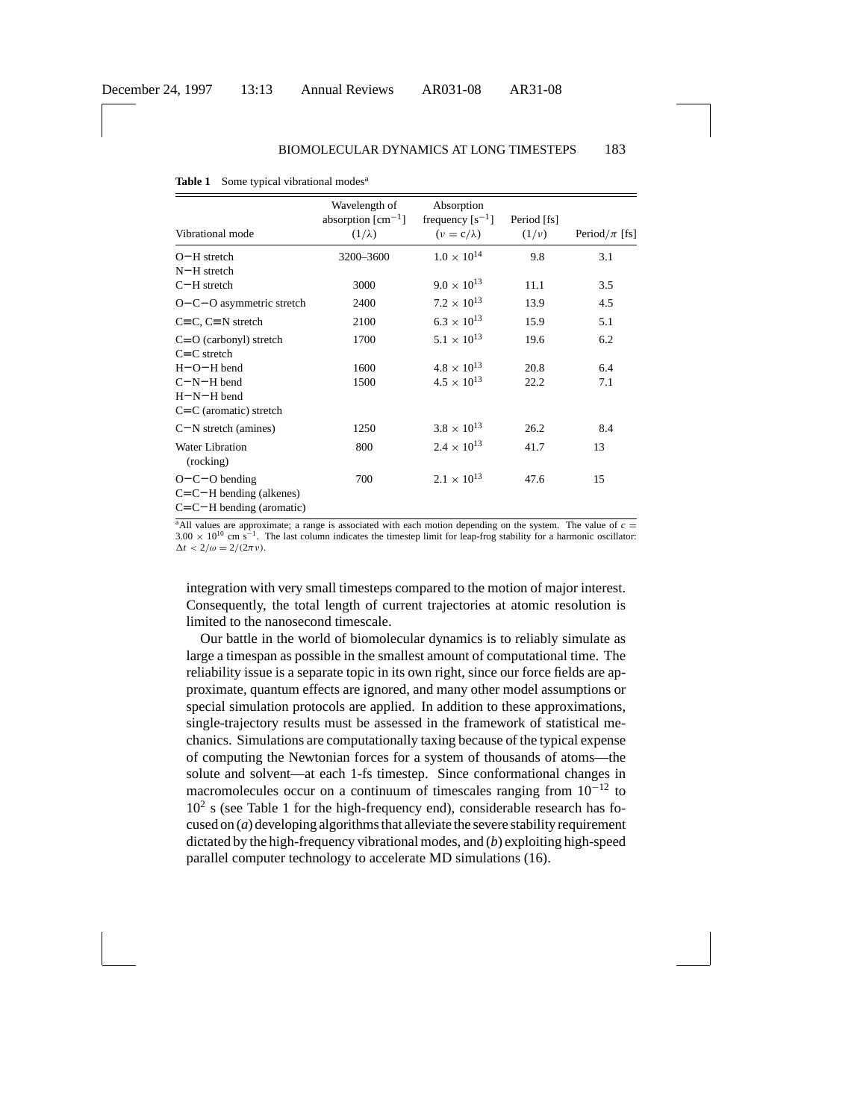| Vibrational mode                                                           | Wavelength of<br>absorption $\lceil$ cm <sup>-1</sup> $\rceil$<br>$(1/\lambda)$ | Absorption<br>frequency $[s^{-1}]$<br>$(\nu = c/\lambda)$ | Period [fs]<br>$(1/\nu)$ | Period/ $\pi$ [fs] |
|----------------------------------------------------------------------------|---------------------------------------------------------------------------------|-----------------------------------------------------------|--------------------------|--------------------|
| $O-H$ stretch                                                              | 3200-3600                                                                       | $1.0 \times 10^{14}$                                      | 9.8                      | 3.1                |
| $N-H$ stretch                                                              |                                                                                 |                                                           |                          |                    |
| $C-H$ stretch                                                              | 3000                                                                            | $9.0 \times 10^{13}$                                      | 11.1                     | 3.5                |
| $O-C-O$ asymmetric stretch                                                 | 2400                                                                            | $7.2 \times 10^{13}$                                      | 13.9                     | 4.5                |
| $C=$ C, $C=N$ stretch                                                      | 2100                                                                            | $6.3 \times 10^{13}$                                      | 15.9                     | 5.1                |
| $C = O$ (carbonyl) stretch<br>$C=C$ stretch                                | 1700                                                                            | $5.1 \times 10^{13}$                                      | 19.6                     | 6.2                |
| $H-O-H$ bend                                                               | 1600                                                                            | $4.8 \times 10^{13}$                                      | 20.8                     | 6.4                |
| $C-N-H$ bend<br>$H-N-H$ bend<br>$C=C$ (aromatic) stretch                   | 1500                                                                            | $4.5 \times 10^{13}$                                      | 22.2                     | 7.1                |
| $C-N$ stretch (amines)                                                     | 1250                                                                            | $3.8 \times 10^{13}$                                      | 26.2                     | 8.4                |
| <b>Water Libration</b><br>(rocking)                                        | 800                                                                             | $2.4 \times 10^{13}$                                      | 41.7                     | 13                 |
| $O-C-O$ bending<br>$C=C-H$ bending (alkenes)<br>$C=C-H$ bending (aromatic) | 700                                                                             | $2.1 \times 10^{13}$                                      | 47.6                     | 15                 |

Table 1 Some typical vibrational modes<sup>a</sup>

<sup>a</sup>All values are approximate; a range is associated with each motion depending on the system. The value of  $c =$  $3.00 \times 10^{10}$  cm s<sup>-1</sup>. The last column indicates the timestep limit for leap-frog stability for a harmonic oscillator:  $\Delta t < 2/\omega = 2/(2\pi \nu)$ .

integration with very small timesteps compared to the motion of major interest. Consequently, the total length of current trajectories at atomic resolution is limited to the nanosecond timescale.

Our battle in the world of biomolecular dynamics is to reliably simulate as large a timespan as possible in the smallest amount of computational time. The reliability issue is a separate topic in its own right, since our force fields are approximate, quantum effects are ignored, and many other model assumptions or special simulation protocols are applied. In addition to these approximations, single-trajectory results must be assessed in the framework of statistical mechanics. Simulations are computationally taxing because of the typical expense of computing the Newtonian forces for a system of thousands of atoms—the solute and solvent—at each 1-fs timestep. Since conformational changes in macromolecules occur on a continuum of timescales ranging from  $10^{-12}$  to  $10^2$  s (see Table 1 for the high-frequency end), considerable research has focused on (*a*) developing algorithms that alleviate the severe stability requirement dictated by the high-frequency vibrational modes, and (*b*) exploiting high-speed parallel computer technology to accelerate MD simulations (16).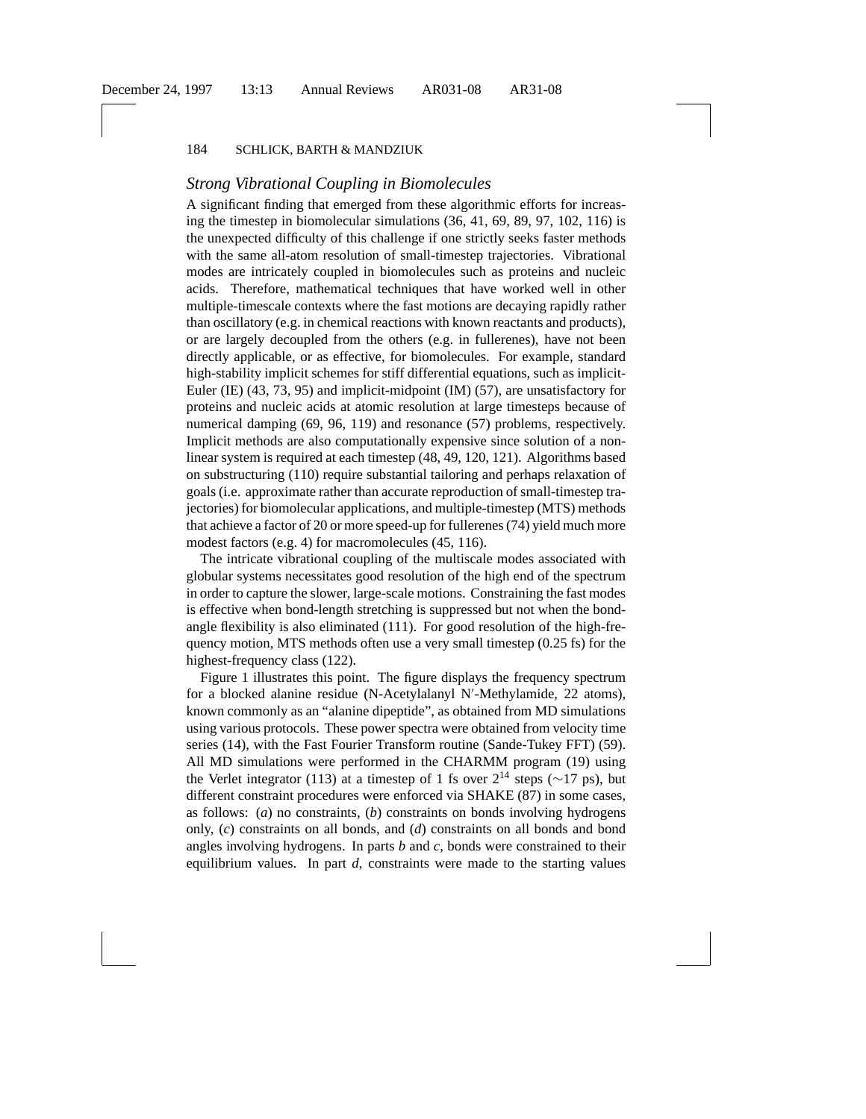#### *Strong Vibrational Coupling in Biomolecules*

A significant finding that emerged from these algorithmic efforts for increasing the timestep in biomolecular simulations (36, 41, 69, 89, 97, 102, 116) is the unexpected difficulty of this challenge if one strictly seeks faster methods with the same all-atom resolution of small-timestep trajectories. Vibrational modes are intricately coupled in biomolecules such as proteins and nucleic acids. Therefore, mathematical techniques that have worked well in other multiple-timescale contexts where the fast motions are decaying rapidly rather than oscillatory (e.g. in chemical reactions with known reactants and products), or are largely decoupled from the others (e.g. in fullerenes), have not been directly applicable, or as effective, for biomolecules. For example, standard high-stability implicit schemes for stiff differential equations, such as implicit-Euler (IE) (43, 73, 95) and implicit-midpoint (IM) (57), are unsatisfactory for proteins and nucleic acids at atomic resolution at large timesteps because of numerical damping (69, 96, 119) and resonance (57) problems, respectively. Implicit methods are also computationally expensive since solution of a nonlinear system is required at each timestep (48, 49, 120, 121). Algorithms based on substructuring (110) require substantial tailoring and perhaps relaxation of goals (i.e. approximate rather than accurate reproduction of small-timestep trajectories) for biomolecular applications, and multiple-timestep (MTS) methods that achieve a factor of 20 or more speed-up for fullerenes (74) yield much more modest factors (e.g. 4) for macromolecules (45, 116).

The intricate vibrational coupling of the multiscale modes associated with globular systems necessitates good resolution of the high end of the spectrum in order to capture the slower, large-scale motions. Constraining the fast modes is effective when bond-length stretching is suppressed but not when the bondangle flexibility is also eliminated (111). For good resolution of the high-frequency motion, MTS methods often use a very small timestep (0.25 fs) for the highest-frequency class (122).

Figure 1 illustrates this point. The figure displays the frequency spectrum for a blocked alanine residue (N-Acetylalanyl N'-Methylamide, 22 atoms), known commonly as an "alanine dipeptide", as obtained from MD simulations using various protocols. These power spectra were obtained from velocity time series (14), with the Fast Fourier Transform routine (Sande-Tukey FFT) (59). All MD simulations were performed in the CHARMM program (19) using the Verlet integrator (113) at a timestep of 1 fs over  $2^{14}$  steps (∼17 ps), but different constraint procedures were enforced via SHAKE (87) in some cases, as follows: (*a*) no constraints, (*b*) constraints on bonds involving hydrogens only, (*c*) constraints on all bonds, and (*d*) constraints on all bonds and bond angles involving hydrogens. In parts *b* and *c*, bonds were constrained to their equilibrium values. In part *d*, constraints were made to the starting values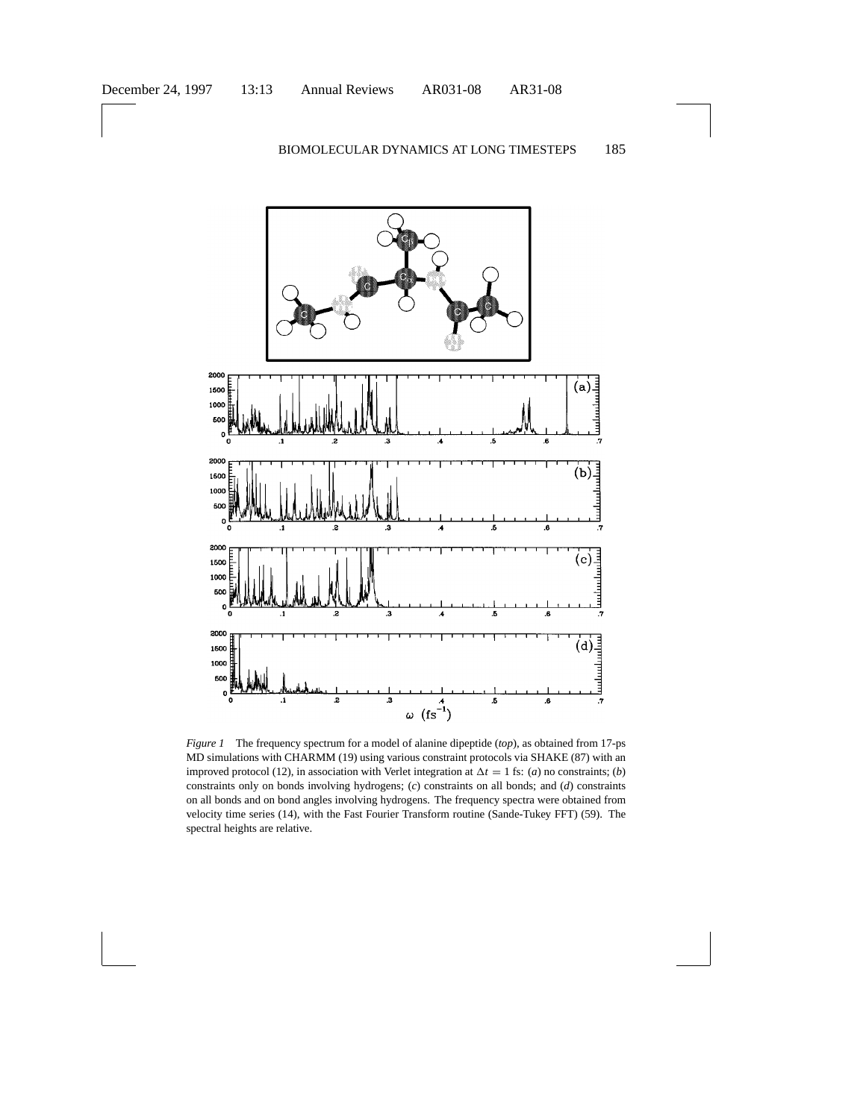

*Figure 1* The frequency spectrum for a model of alanine dipeptide (*top*), as obtained from 17-ps MD simulations with CHARMM (19) using various constraint protocols via SHAKE (87) with an improved protocol (12), in association with Verlet integration at  $\Delta t = 1$  fs: (*a*) no constraints; (*b*) constraints only on bonds involving hydrogens; (*c*) constraints on all bonds; and (*d*) constraints on all bonds and on bond angles involving hydrogens. The frequency spectra were obtained from velocity time series (14), with the Fast Fourier Transform routine (Sande-Tukey FFT) (59). The spectral heights are relative.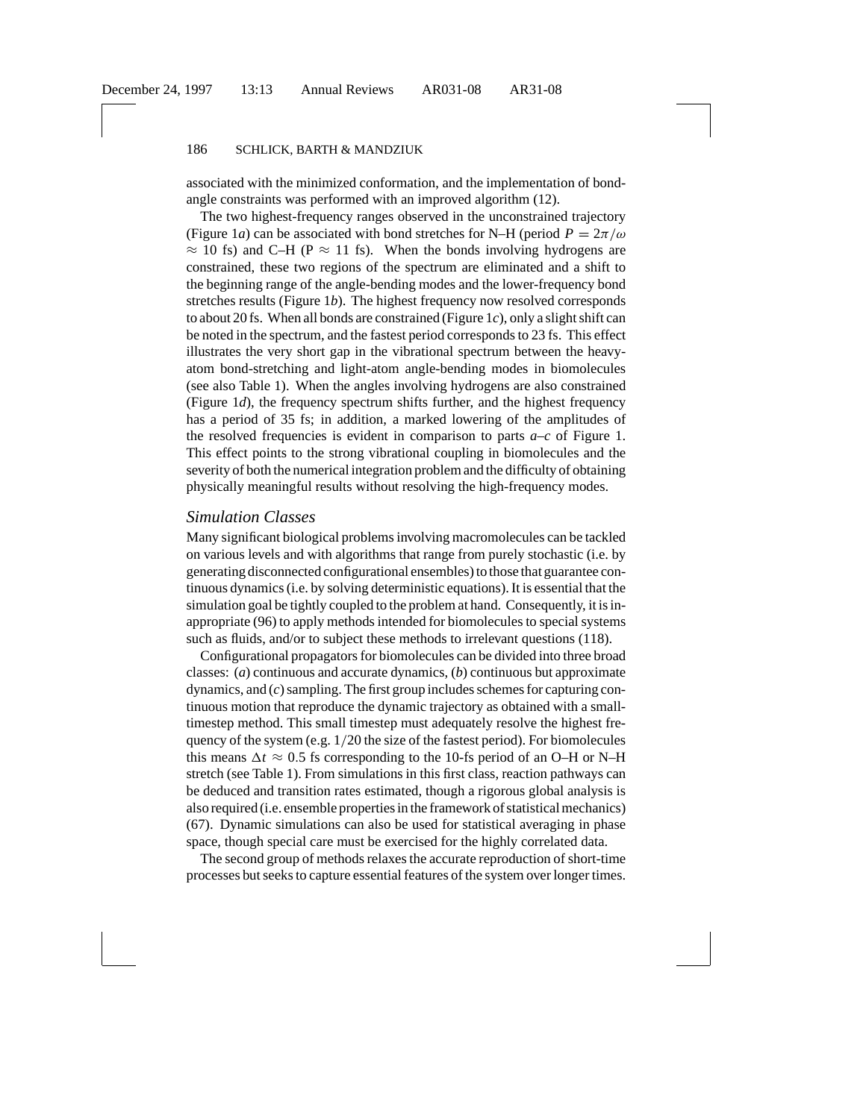associated with the minimized conformation, and the implementation of bondangle constraints was performed with an improved algorithm (12).

The two highest-frequency ranges observed in the unconstrained trajectory (Figure 1*a*) can be associated with bond stretches for N–H (period  $P = 2\pi/\omega$  $\approx$  10 fs) and C–H (P  $\approx$  11 fs). When the bonds involving hydrogens are constrained, these two regions of the spectrum are eliminated and a shift to the beginning range of the angle-bending modes and the lower-frequency bond stretches results (Figure 1*b*). The highest frequency now resolved corresponds to about 20 fs. When all bonds are constrained (Figure 1*c*), only a slight shift can be noted in the spectrum, and the fastest period corresponds to 23 fs. This effect illustrates the very short gap in the vibrational spectrum between the heavyatom bond-stretching and light-atom angle-bending modes in biomolecules (see also Table 1). When the angles involving hydrogens are also constrained (Figure 1*d*), the frequency spectrum shifts further, and the highest frequency has a period of 35 fs; in addition, a marked lowering of the amplitudes of the resolved frequencies is evident in comparison to parts  $a-c$  of Figure 1. This effect points to the strong vibrational coupling in biomolecules and the severity of both the numerical integration problem and the difficulty of obtaining physically meaningful results without resolving the high-frequency modes.

#### *Simulation Classes*

Many significant biological problems involving macromolecules can be tackled on various levels and with algorithms that range from purely stochastic (i.e. by generating disconnected configurational ensembles) to those that guarantee continuous dynamics (i.e. by solving deterministic equations). It is essential that the simulation goal be tightly coupled to the problem at hand. Consequently, it is inappropriate (96) to apply methods intended for biomolecules to special systems such as fluids, and/or to subject these methods to irrelevant questions (118).

Configurational propagators for biomolecules can be divided into three broad classes: (*a*) continuous and accurate dynamics, (*b*) continuous but approximate dynamics, and (*c*) sampling. The first group includes schemes for capturing continuous motion that reproduce the dynamic trajectory as obtained with a smalltimestep method. This small timestep must adequately resolve the highest frequency of the system (e.g. 1/20 the size of the fastest period). For biomolecules this means  $\Delta t \approx 0.5$  fs corresponding to the 10-fs period of an O–H or N–H stretch (see Table 1). From simulations in this first class, reaction pathways can be deduced and transition rates estimated, though a rigorous global analysis is also required (i.e. ensemble properties in the framework of statistical mechanics) (67). Dynamic simulations can also be used for statistical averaging in phase space, though special care must be exercised for the highly correlated data.

The second group of methods relaxes the accurate reproduction of short-time processes but seeks to capture essential features of the system over longer times.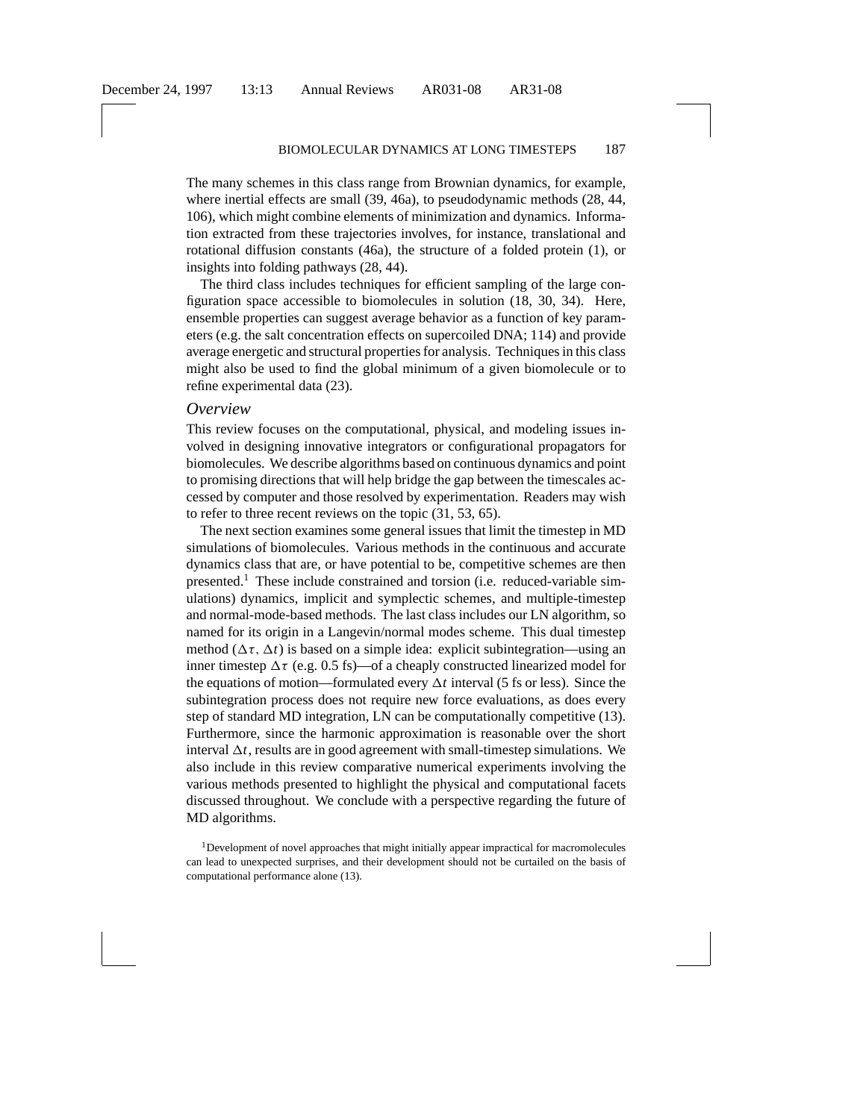The many schemes in this class range from Brownian dynamics, for example, where inertial effects are small (39, 46a), to pseudodynamic methods (28, 44, 106), which might combine elements of minimization and dynamics. Information extracted from these trajectories involves, for instance, translational and rotational diffusion constants (46a), the structure of a folded protein (1), or insights into folding pathways (28, 44).

The third class includes techniques for efficient sampling of the large configuration space accessible to biomolecules in solution (18, 30, 34). Here, ensemble properties can suggest average behavior as a function of key parameters (e.g. the salt concentration effects on supercoiled DNA; 114) and provide average energetic and structural properties for analysis. Techniques in this class might also be used to find the global minimum of a given biomolecule or to refine experimental data (23).

#### *Overview*

This review focuses on the computational, physical, and modeling issues involved in designing innovative integrators or configurational propagators for biomolecules. We describe algorithms based on continuous dynamics and point to promising directions that will help bridge the gap between the timescales accessed by computer and those resolved by experimentation. Readers may wish to refer to three recent reviews on the topic (31, 53, 65).

The next section examines some general issues that limit the timestep in MD simulations of biomolecules. Various methods in the continuous and accurate dynamics class that are, or have potential to be, competitive schemes are then presented.<sup>1</sup> These include constrained and torsion (i.e. reduced-variable simulations) dynamics, implicit and symplectic schemes, and multiple-timestep and normal-mode-based methods. The last class includes our LN algorithm, so named for its origin in a Langevin/normal modes scheme. This dual timestep method  $(\Delta \tau, \Delta t)$  is based on a simple idea: explicit subintegration—using an inner timestep  $\Delta \tau$  (e.g. 0.5 fs)—of a cheaply constructed linearized model for the equations of motion—formulated every  $\Delta t$  interval (5 fs or less). Since the subintegration process does not require new force evaluations, as does every step of standard MD integration, LN can be computationally competitive (13). Furthermore, since the harmonic approximation is reasonable over the short interval  $\Delta t$ , results are in good agreement with small-timestep simulations. We also include in this review comparative numerical experiments involving the various methods presented to highlight the physical and computational facets discussed throughout. We conclude with a perspective regarding the future of MD algorithms.

<sup>&</sup>lt;sup>1</sup>Development of novel approaches that might initially appear impractical for macromolecules can lead to unexpected surprises, and their development should not be curtailed on the basis of computational performance alone (13).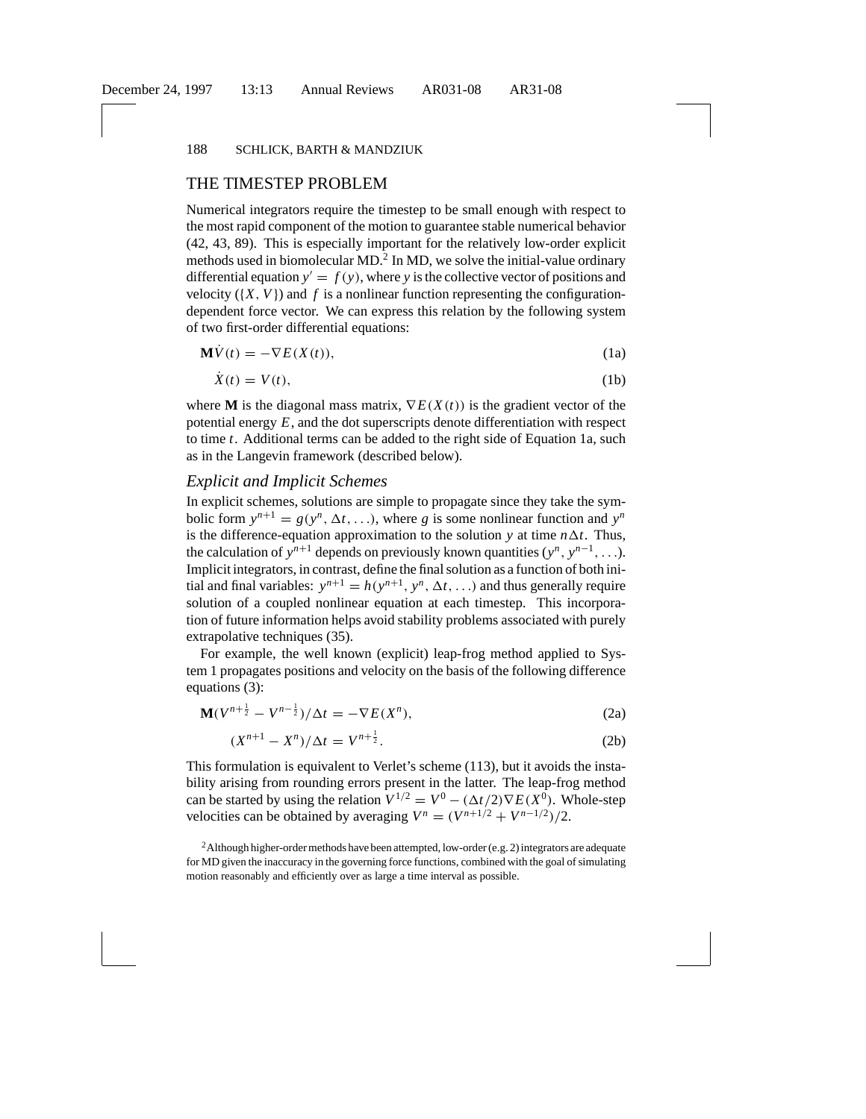## THE TIMESTEP PROBLEM

Numerical integrators require the timestep to be small enough with respect to the most rapid component of the motion to guarantee stable numerical behavior (42, 43, 89). This is especially important for the relatively low-order explicit methods used in biomolecular MD.<sup>2</sup> In MD, we solve the initial-value ordinary differential equation  $y' = f(y)$ , where *y* is the collective vector of positions and velocity  $({X, V})$  and *f* is a nonlinear function representing the configurationdependent force vector. We can express this relation by the following system of two first-order differential equations:

$$
\mathbf{M}\dot{V}(t) = -\nabla E(X(t)),\tag{1a}
$$

$$
\dot{X}(t) = V(t),\tag{1b}
$$

where **M** is the diagonal mass matrix,  $\nabla E(X(t))$  is the gradient vector of the potential energy *E*, and the dot superscripts denote differentiation with respect to time *t*. Additional terms can be added to the right side of Equation 1a, such as in the Langevin framework (described below).

## *Explicit and Implicit Schemes*

In explicit schemes, solutions are simple to propagate since they take the symbolic form  $y^{n+1} = g(y^n, \Delta t, \ldots)$ , where *g* is some nonlinear function and  $y^n$ is the difference-equation approximation to the solution *y* at time  $n \Delta t$ . Thus, the calculation of  $y^{n+1}$  depends on previously known quantities ( $y^n$ ,  $y^{n-1}$ ,...). Implicit integrators, in contrast, define the final solution as a function of both initial and final variables:  $y^{n+1} = h(y^{n+1}, y^n, \Delta t, \ldots)$  and thus generally require solution of a coupled nonlinear equation at each timestep. This incorporation of future information helps avoid stability problems associated with purely extrapolative techniques (35).

For example, the well known (explicit) leap-frog method applied to System 1 propagates positions and velocity on the basis of the following difference equations (3):

$$
\mathbf{M}(V^{n+\frac{1}{2}} - V^{n-\frac{1}{2}})/\Delta t = -\nabla E(X^n),
$$
\n(2a)

$$
(X^{n+1} - X^n) / \Delta t = V^{n + \frac{1}{2}}.
$$
 (2b)

This formulation is equivalent to Verlet's scheme (113), but it avoids the instability arising from rounding errors present in the latter. The leap-frog method can be started by using the relation  $V^{1/2} = V^0 - (\Delta t/2) \nabla E(X^0)$ . Whole-step velocities can be obtained by averaging  $V^n = (V^{n+1/2} + V^{n-1/2})/2$ .

<sup>&</sup>lt;sup>2</sup>Although higher-order methods have been attempted, low-order (e.g. 2) integrators are adequate for MD given the inaccuracy in the governing force functions, combined with the goal of simulating motion reasonably and efficiently over as large a time interval as possible.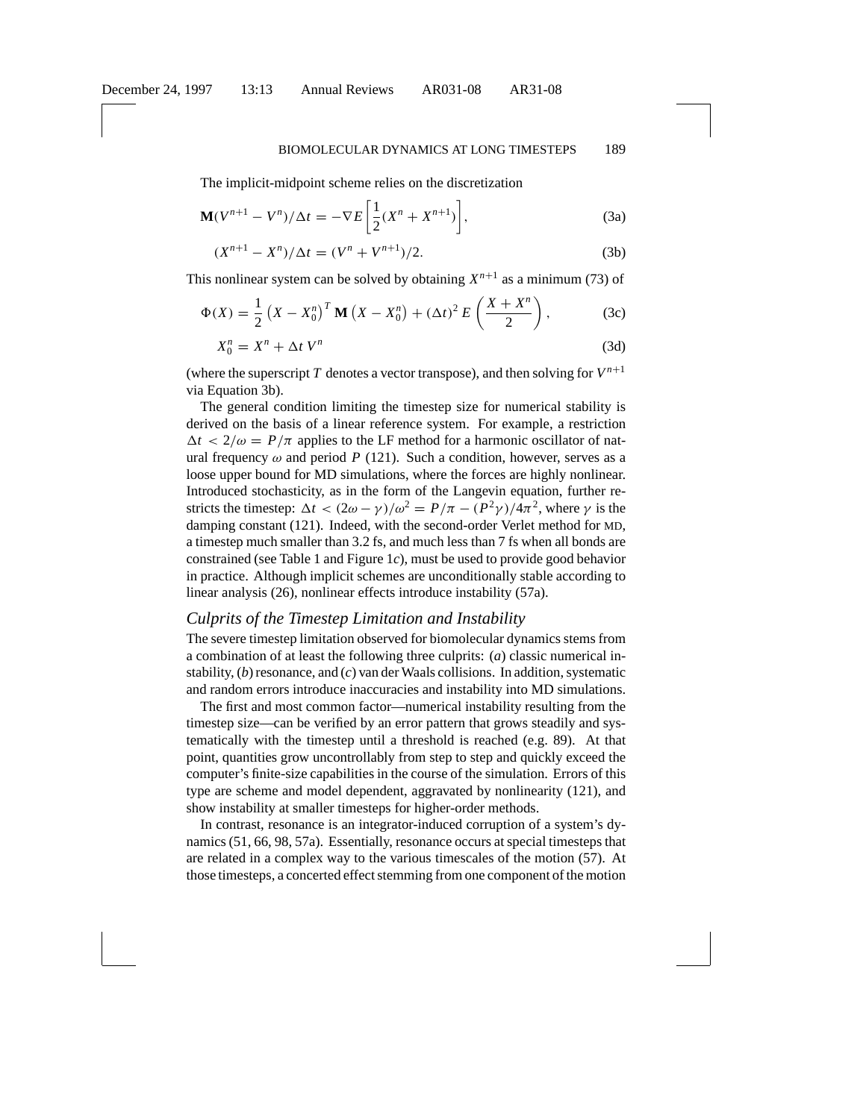The implicit-midpoint scheme relies on the discretization

$$
\mathbf{M}(V^{n+1} - V^n) / \Delta t = -\nabla E \left[ \frac{1}{2} (X^n + X^{n+1}) \right],
$$
 (3a)

$$
(X^{n+1} - X^n) / \Delta t = (V^n + V^{n+1}) / 2.
$$
 (3b)

This nonlinear system can be solved by obtaining  $X^{n+1}$  as a minimum (73) of

$$
\Phi(X) = \frac{1}{2} \left( X - X_0^n \right)^T \mathbf{M} \left( X - X_0^n \right) + (\Delta t)^2 E \left( \frac{X + X^n}{2} \right),\tag{3c}
$$

$$
X_0^n = X^n + \Delta t \, V^n \tag{3d}
$$

(where the superscript  $T$  denotes a vector transpose), and then solving for  $V^{n+1}$ via Equation 3b).

The general condition limiting the timestep size for numerical stability is derived on the basis of a linear reference system. For example, a restriction  $\Delta t < 2/\omega = P/\pi$  applies to the LF method for a harmonic oscillator of natural frequency  $\omega$  and period *P* (121). Such a condition, however, serves as a loose upper bound for MD simulations, where the forces are highly nonlinear. Introduced stochasticity, as in the form of the Langevin equation, further restricts the timestep:  $\Delta t < (2\omega - \gamma)/\omega^2 = P/\pi - (P^2\gamma)/4\pi^2$ , where  $\gamma$  is the damping constant (121). Indeed, with the second-order Verlet method for MD, a timestep much smaller than 3.2 fs, and much less than 7 fs when all bonds are constrained (see Table 1 and Figure 1*c*), must be used to provide good behavior in practice. Although implicit schemes are unconditionally stable according to linear analysis (26), nonlinear effects introduce instability (57a).

#### *Culprits of the Timestep Limitation and Instability*

The severe timestep limitation observed for biomolecular dynamics stems from a combination of at least the following three culprits: (*a*) classic numerical instability, (*b*) resonance, and (*c*) van der Waals collisions. In addition, systematic and random errors introduce inaccuracies and instability into MD simulations.

The first and most common factor—numerical instability resulting from the timestep size—can be verified by an error pattern that grows steadily and systematically with the timestep until a threshold is reached (e.g. 89). At that point, quantities grow uncontrollably from step to step and quickly exceed the computer's finite-size capabilities in the course of the simulation. Errors of this type are scheme and model dependent, aggravated by nonlinearity (121), and show instability at smaller timesteps for higher-order methods.

In contrast, resonance is an integrator-induced corruption of a system's dynamics (51, 66, 98, 57a). Essentially, resonance occurs at special timesteps that are related in a complex way to the various timescales of the motion (57). At those timesteps, a concerted effect stemming from one component of the motion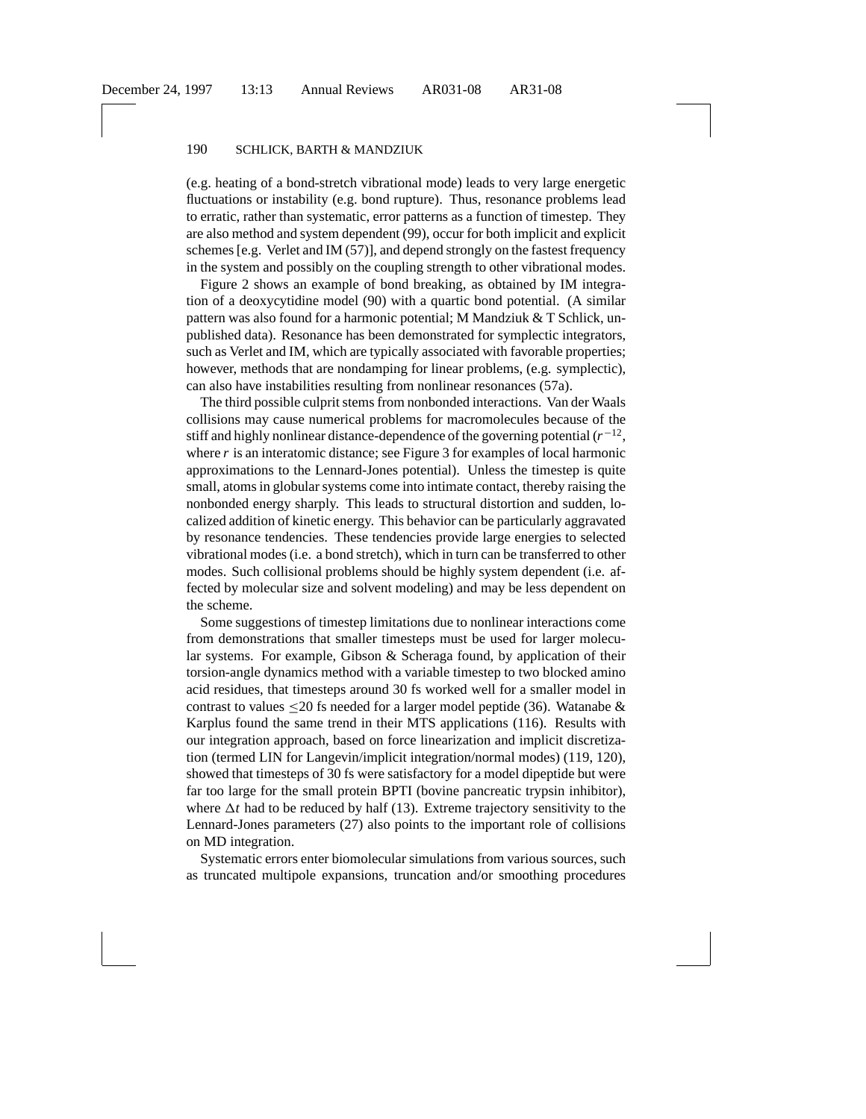(e.g. heating of a bond-stretch vibrational mode) leads to very large energetic fluctuations or instability (e.g. bond rupture). Thus, resonance problems lead to erratic, rather than systematic, error patterns as a function of timestep. They are also method and system dependent (99), occur for both implicit and explicit schemes [e.g. Verlet and IM (57)], and depend strongly on the fastest frequency in the system and possibly on the coupling strength to other vibrational modes.

Figure 2 shows an example of bond breaking, as obtained by IM integration of a deoxycytidine model (90) with a quartic bond potential. (A similar pattern was also found for a harmonic potential; M Mandziuk & T Schlick, unpublished data). Resonance has been demonstrated for symplectic integrators, such as Verlet and IM, which are typically associated with favorable properties; however, methods that are nondamping for linear problems, (e.g. symplectic), can also have instabilities resulting from nonlinear resonances (57a).

The third possible culprit stems from nonbonded interactions. Van der Waals collisions may cause numerical problems for macromolecules because of the stiff and highly nonlinear distance-dependence of the governing potential (*r*<sup>−</sup>12, where  $r$  is an interatomic distance; see Figure 3 for examples of local harmonic approximations to the Lennard-Jones potential). Unless the timestep is quite small, atoms in globular systems come into intimate contact, thereby raising the nonbonded energy sharply. This leads to structural distortion and sudden, localized addition of kinetic energy. This behavior can be particularly aggravated by resonance tendencies. These tendencies provide large energies to selected vibrational modes (i.e. a bond stretch), which in turn can be transferred to other modes. Such collisional problems should be highly system dependent (i.e. affected by molecular size and solvent modeling) and may be less dependent on the scheme.

Some suggestions of timestep limitations due to nonlinear interactions come from demonstrations that smaller timesteps must be used for larger molecular systems. For example, Gibson & Scheraga found, by application of their torsion-angle dynamics method with a variable timestep to two blocked amino acid residues, that timesteps around 30 fs worked well for a smaller model in contrast to values  $\leq 20$  fs needed for a larger model peptide (36). Watanabe & Karplus found the same trend in their MTS applications (116). Results with our integration approach, based on force linearization and implicit discretization (termed LIN for Langevin/implicit integration/normal modes) (119, 120), showed that timesteps of 30 fs were satisfactory for a model dipeptide but were far too large for the small protein BPTI (bovine pancreatic trypsin inhibitor), where  $\Delta t$  had to be reduced by half (13). Extreme trajectory sensitivity to the Lennard-Jones parameters (27) also points to the important role of collisions on MD integration.

Systematic errors enter biomolecular simulations from various sources, such as truncated multipole expansions, truncation and/or smoothing procedures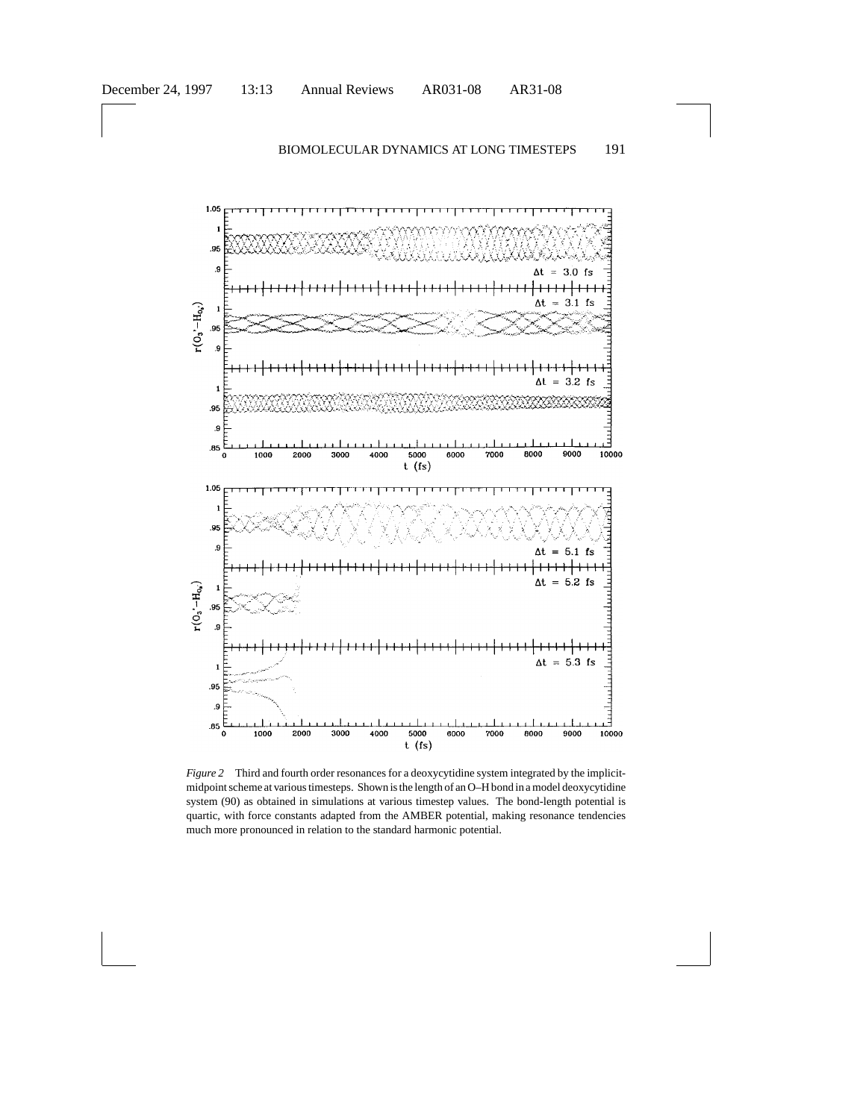

*Figure 2* Third and fourth order resonances for a deoxycytidine system integrated by the implicitmidpoint scheme at various timesteps. Shown is the length of an O–H bond in a model deoxycytidine system (90) as obtained in simulations at various timestep values. The bond-length potential is quartic, with force constants adapted from the AMBER potential, making resonance tendencies much more pronounced in relation to the standard harmonic potential.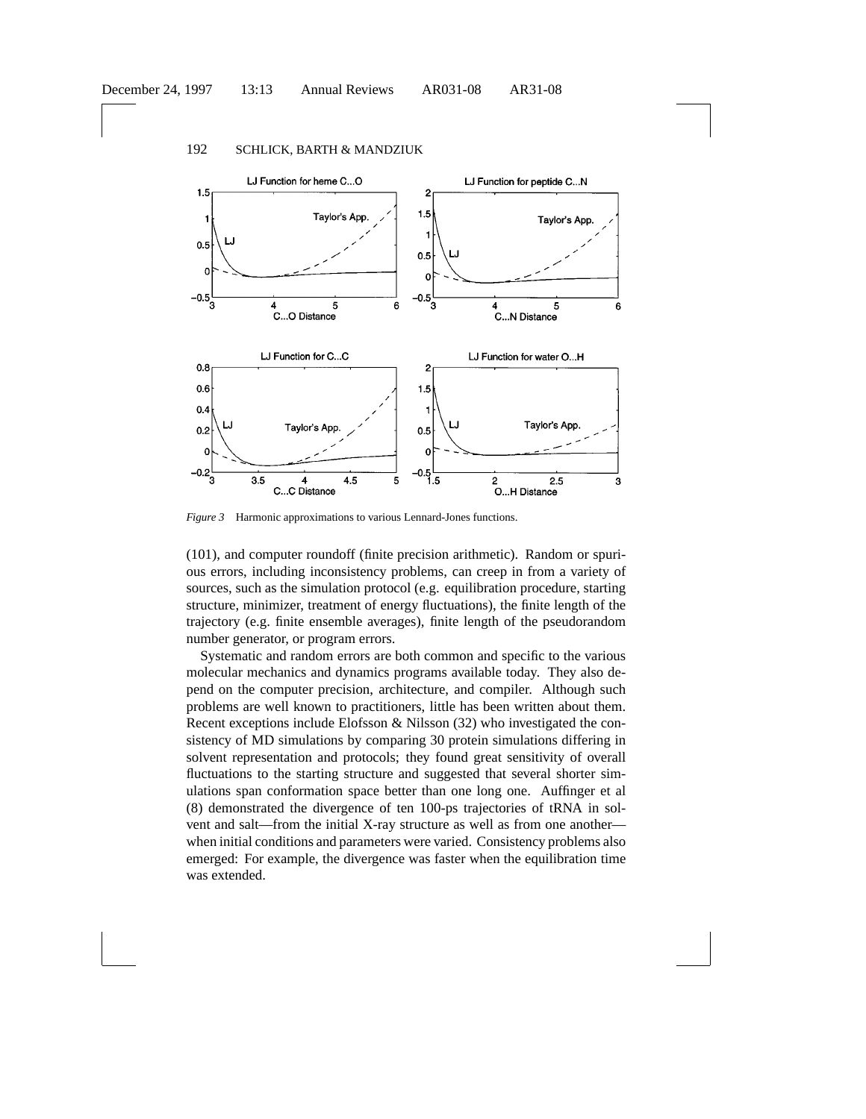

*Figure 3* Harmonic approximations to various Lennard-Jones functions.

(101), and computer roundoff (finite precision arithmetic). Random or spurious errors, including inconsistency problems, can creep in from a variety of sources, such as the simulation protocol (e.g. equilibration procedure, starting structure, minimizer, treatment of energy fluctuations), the finite length of the trajectory (e.g. finite ensemble averages), finite length of the pseudorandom number generator, or program errors.

Systematic and random errors are both common and specific to the various molecular mechanics and dynamics programs available today. They also depend on the computer precision, architecture, and compiler. Although such problems are well known to practitioners, little has been written about them. Recent exceptions include Elofsson & Nilsson (32) who investigated the consistency of MD simulations by comparing 30 protein simulations differing in solvent representation and protocols; they found great sensitivity of overall fluctuations to the starting structure and suggested that several shorter simulations span conformation space better than one long one. Auffinger et al (8) demonstrated the divergence of ten 100-ps trajectories of tRNA in solvent and salt—from the initial X-ray structure as well as from one another when initial conditions and parameters were varied. Consistency problems also emerged: For example, the divergence was faster when the equilibration time was extended.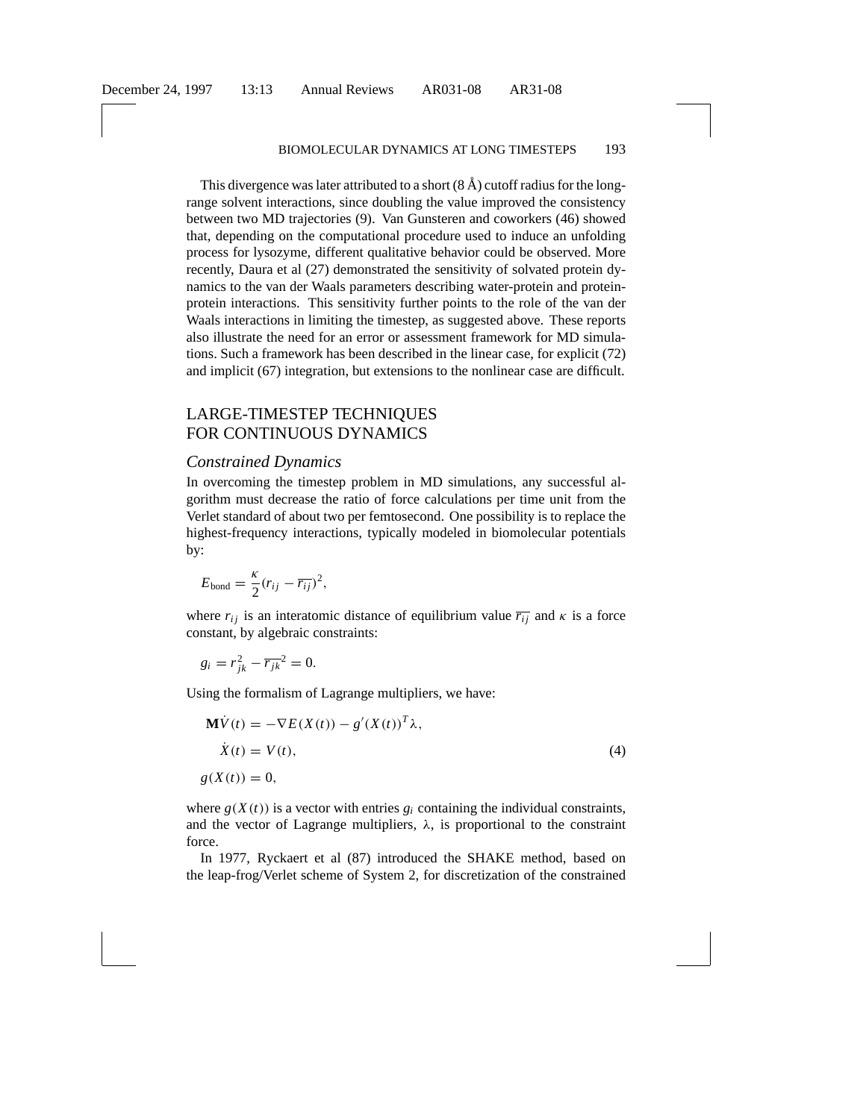This divergence was later attributed to a short  $(8 \text{ Å})$  cutoff radius for the longrange solvent interactions, since doubling the value improved the consistency between two MD trajectories (9). Van Gunsteren and coworkers (46) showed that, depending on the computational procedure used to induce an unfolding process for lysozyme, different qualitative behavior could be observed. More recently, Daura et al (27) demonstrated the sensitivity of solvated protein dynamics to the van der Waals parameters describing water-protein and proteinprotein interactions. This sensitivity further points to the role of the van der Waals interactions in limiting the timestep, as suggested above. These reports also illustrate the need for an error or assessment framework for MD simulations. Such a framework has been described in the linear case, for explicit (72) and implicit (67) integration, but extensions to the nonlinear case are difficult.

## LARGE-TIMESTEP TECHNIQUES FOR CONTINUOUS DYNAMICS

#### *Constrained Dynamics*

In overcoming the timestep problem in MD simulations, any successful algorithm must decrease the ratio of force calculations per time unit from the Verlet standard of about two per femtosecond. One possibility is to replace the highest-frequency interactions, typically modeled in biomolecular potentials by:

$$
E_{\text{bond}} = \frac{\kappa}{2} (r_{ij} - \overline{r_{ij}})^2,
$$

where  $r_{ij}$  is an interatomic distance of equilibrium value  $\overline{r_{ij}}$  and  $\kappa$  is a force constant, by algebraic constraints:

$$
g_i = r_{jk}^2 - \overline{r_{jk}}^2 = 0.
$$

Using the formalism of Lagrange multipliers, we have:

$$
\mathbf{M}\dot{V}(t) = -\nabla E(X(t)) - g'(X(t))^T \lambda,
$$
  
\n
$$
\dot{X}(t) = V(t),
$$
  
\n
$$
g(X(t)) = 0,
$$
\n(4)

where  $g(X(t))$  is a vector with entries  $g_i$  containing the individual constraints, and the vector of Lagrange multipliers,  $\lambda$ , is proportional to the constraint force.

In 1977, Ryckaert et al (87) introduced the SHAKE method, based on the leap-frog/Verlet scheme of System 2, for discretization of the constrained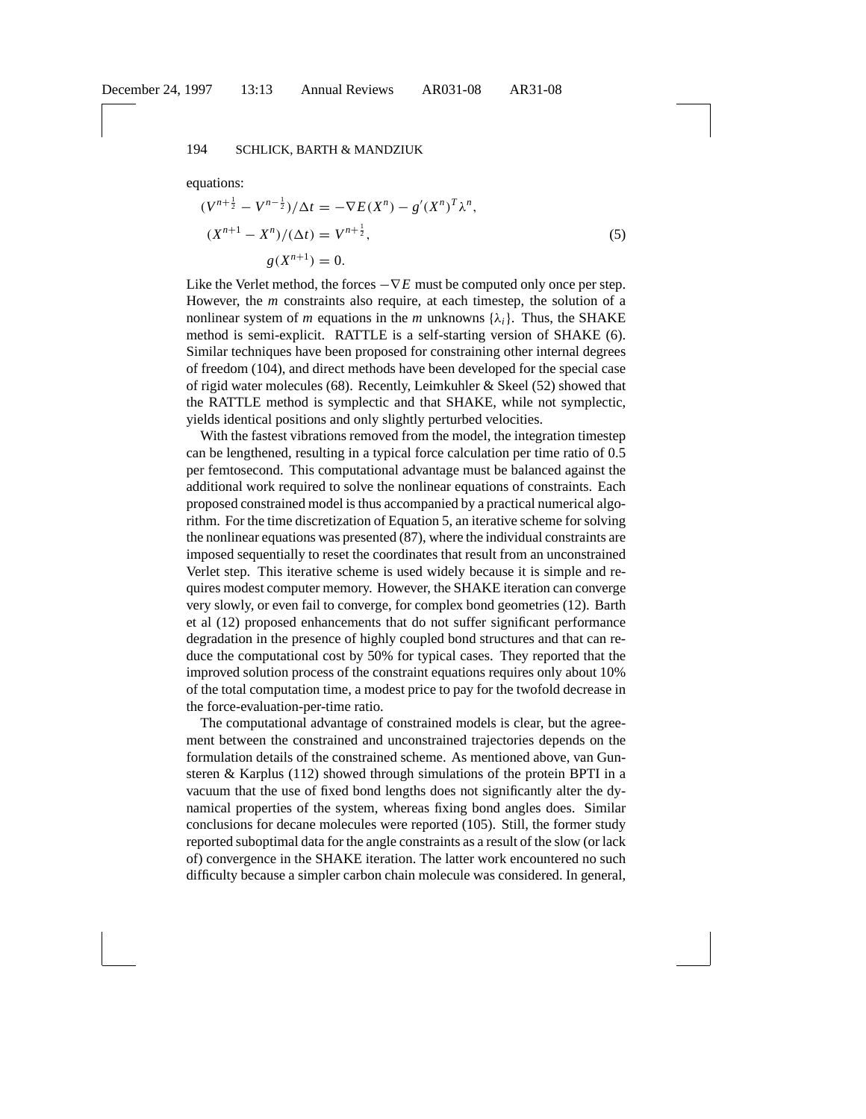equations:

$$
(V^{n+\frac{1}{2}} - V^{n-\frac{1}{2}})/\Delta t = -\nabla E(X^n) - g'(X^n)^T \lambda^n,
$$
  
\n
$$
(X^{n+1} - X^n)/(\Delta t) = V^{n+\frac{1}{2}},
$$
  
\n
$$
g(X^{n+1}) = 0.
$$
\n(5)

Like the Verlet method, the forces  $-\nabla E$  must be computed only once per step. However, the *m* constraints also require, at each timestep, the solution of a nonlinear system of *m* equations in the *m* unknowns  $\{\lambda_i\}$ . Thus, the SHAKE method is semi-explicit. RATTLE is a self-starting version of SHAKE (6). Similar techniques have been proposed for constraining other internal degrees of freedom (104), and direct methods have been developed for the special case of rigid water molecules (68). Recently, Leimkuhler & Skeel (52) showed that the RATTLE method is symplectic and that SHAKE, while not symplectic, yields identical positions and only slightly perturbed velocities.

With the fastest vibrations removed from the model, the integration timestep can be lengthened, resulting in a typical force calculation per time ratio of 0.5 per femtosecond. This computational advantage must be balanced against the additional work required to solve the nonlinear equations of constraints. Each proposed constrained model is thus accompanied by a practical numerical algorithm. For the time discretization of Equation 5, an iterative scheme for solving the nonlinear equations was presented (87), where the individual constraints are imposed sequentially to reset the coordinates that result from an unconstrained Verlet step. This iterative scheme is used widely because it is simple and requires modest computer memory. However, the SHAKE iteration can converge very slowly, or even fail to converge, for complex bond geometries (12). Barth et al (12) proposed enhancements that do not suffer significant performance degradation in the presence of highly coupled bond structures and that can reduce the computational cost by 50% for typical cases. They reported that the improved solution process of the constraint equations requires only about 10% of the total computation time, a modest price to pay for the twofold decrease in the force-evaluation-per-time ratio.

The computational advantage of constrained models is clear, but the agreement between the constrained and unconstrained trajectories depends on the formulation details of the constrained scheme. As mentioned above, van Gunsteren & Karplus (112) showed through simulations of the protein BPTI in a vacuum that the use of fixed bond lengths does not significantly alter the dynamical properties of the system, whereas fixing bond angles does. Similar conclusions for decane molecules were reported (105). Still, the former study reported suboptimal data for the angle constraints as a result of the slow (or lack of) convergence in the SHAKE iteration. The latter work encountered no such difficulty because a simpler carbon chain molecule was considered. In general,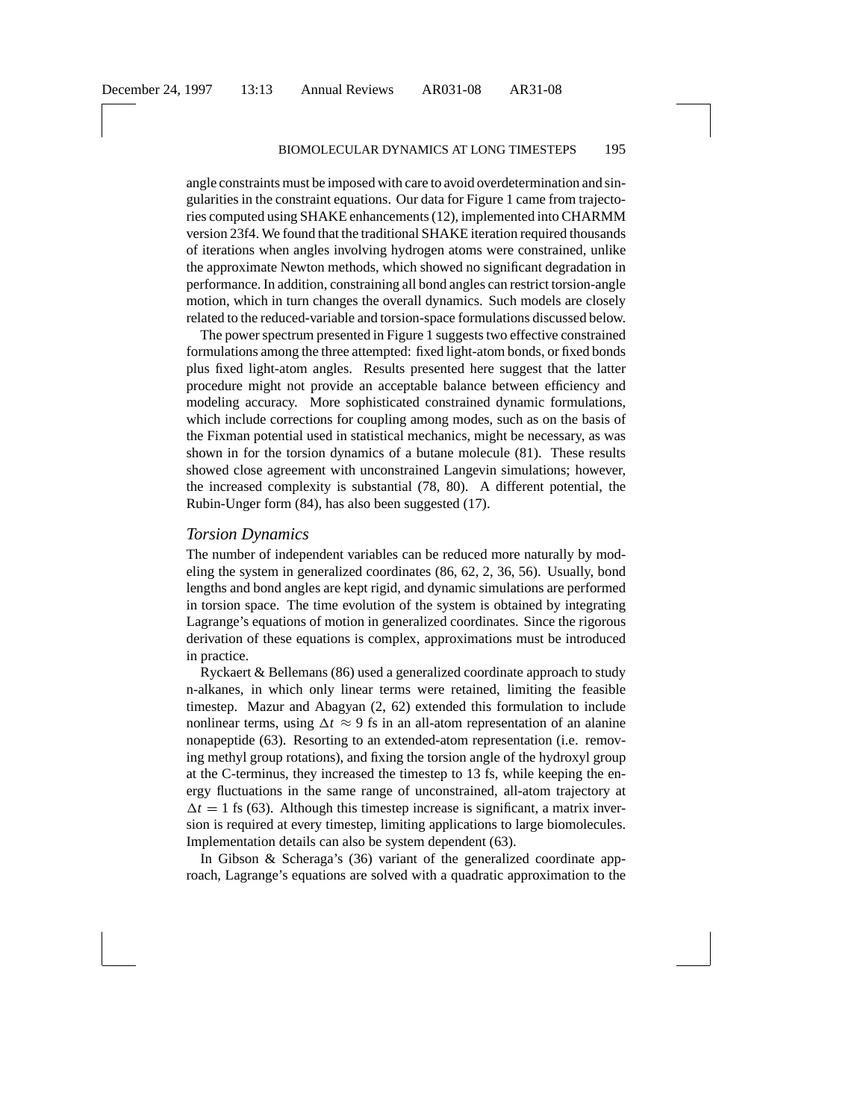angle constraints must be imposed with care to avoid overdetermination and singularities in the constraint equations. Our data for Figure 1 came from trajectories computed using SHAKE enhancements (12), implemented into CHARMM version 23f4. We found that the traditional SHAKE iteration required thousands of iterations when angles involving hydrogen atoms were constrained, unlike the approximate Newton methods, which showed no significant degradation in performance. In addition, constraining all bond angles can restrict torsion-angle motion, which in turn changes the overall dynamics. Such models are closely related to the reduced-variable and torsion-space formulations discussed below.

The power spectrum presented in Figure 1 suggests two effective constrained formulations among the three attempted: fixed light-atom bonds, or fixed bonds plus fixed light-atom angles. Results presented here suggest that the latter procedure might not provide an acceptable balance between efficiency and modeling accuracy. More sophisticated constrained dynamic formulations, which include corrections for coupling among modes, such as on the basis of the Fixman potential used in statistical mechanics, might be necessary, as was shown in for the torsion dynamics of a butane molecule (81). These results showed close agreement with unconstrained Langevin simulations; however, the increased complexity is substantial (78, 80). A different potential, the Rubin-Unger form (84), has also been suggested (17).

#### *Torsion Dynamics*

The number of independent variables can be reduced more naturally by modeling the system in generalized coordinates (86, 62, 2, 36, 56). Usually, bond lengths and bond angles are kept rigid, and dynamic simulations are performed in torsion space. The time evolution of the system is obtained by integrating Lagrange's equations of motion in generalized coordinates. Since the rigorous derivation of these equations is complex, approximations must be introduced in practice.

Ryckaert & Bellemans (86) used a generalized coordinate approach to study n-alkanes, in which only linear terms were retained, limiting the feasible timestep. Mazur and Abagyan (2, 62) extended this formulation to include nonlinear terms, using  $\Delta t \approx 9$  fs in an all-atom representation of an alanine nonapeptide (63). Resorting to an extended-atom representation (i.e. removing methyl group rotations), and fixing the torsion angle of the hydroxyl group at the C-terminus, they increased the timestep to 13 fs, while keeping the energy fluctuations in the same range of unconstrained, all-atom trajectory at  $\Delta t = 1$  fs (63). Although this timestep increase is significant, a matrix inversion is required at every timestep, limiting applications to large biomolecules. Implementation details can also be system dependent (63).

In Gibson & Scheraga's (36) variant of the generalized coordinate approach, Lagrange's equations are solved with a quadratic approximation to the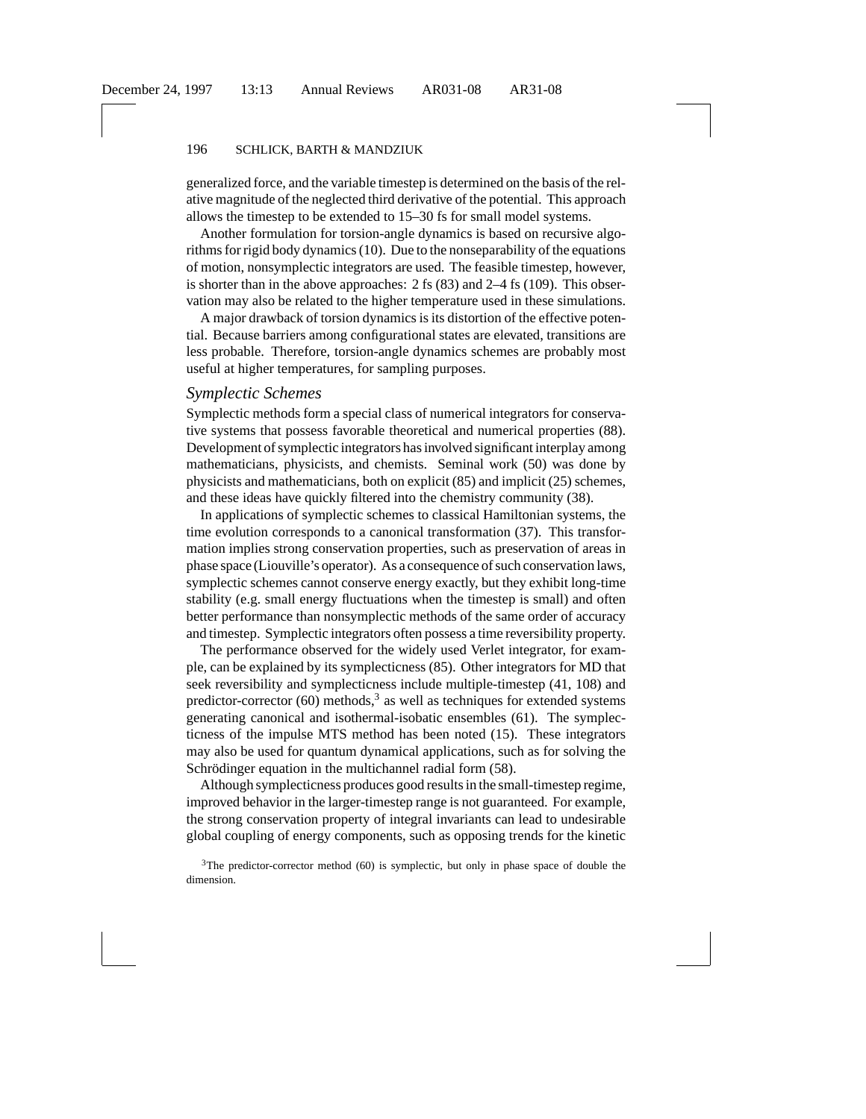generalized force, and the variable timestep is determined on the basis of the relative magnitude of the neglected third derivative of the potential. This approach allows the timestep to be extended to 15–30 fs for small model systems.

Another formulation for torsion-angle dynamics is based on recursive algorithms for rigid body dynamics (10). Due to the nonseparability of the equations of motion, nonsymplectic integrators are used. The feasible timestep, however, is shorter than in the above approaches: 2 fs (83) and 2–4 fs (109). This observation may also be related to the higher temperature used in these simulations.

A major drawback of torsion dynamics is its distortion of the effective potential. Because barriers among configurational states are elevated, transitions are less probable. Therefore, torsion-angle dynamics schemes are probably most useful at higher temperatures, for sampling purposes.

#### *Symplectic Schemes*

Symplectic methods form a special class of numerical integrators for conservative systems that possess favorable theoretical and numerical properties (88). Development of symplectic integrators has involved significant interplay among mathematicians, physicists, and chemists. Seminal work (50) was done by physicists and mathematicians, both on explicit (85) and implicit (25) schemes, and these ideas have quickly filtered into the chemistry community (38).

In applications of symplectic schemes to classical Hamiltonian systems, the time evolution corresponds to a canonical transformation (37). This transformation implies strong conservation properties, such as preservation of areas in phase space (Liouville's operator). As a consequence of such conservation laws, symplectic schemes cannot conserve energy exactly, but they exhibit long-time stability (e.g. small energy fluctuations when the timestep is small) and often better performance than nonsymplectic methods of the same order of accuracy and timestep. Symplectic integrators often possess a time reversibility property.

The performance observed for the widely used Verlet integrator, for example, can be explained by its symplecticness (85). Other integrators for MD that seek reversibility and symplecticness include multiple-timestep (41, 108) and predictor-corrector  $(60)$  methods,<sup>3</sup> as well as techniques for extended systems generating canonical and isothermal-isobatic ensembles (61). The symplecticness of the impulse MTS method has been noted (15). These integrators may also be used for quantum dynamical applications, such as for solving the Schrödinger equation in the multichannel radial form (58).

Although symplecticness produces good results in the small-timestep regime, improved behavior in the larger-timestep range is not guaranteed. For example, the strong conservation property of integral invariants can lead to undesirable global coupling of energy components, such as opposing trends for the kinetic

 $3$ The predictor-corrector method (60) is symplectic, but only in phase space of double the dimension.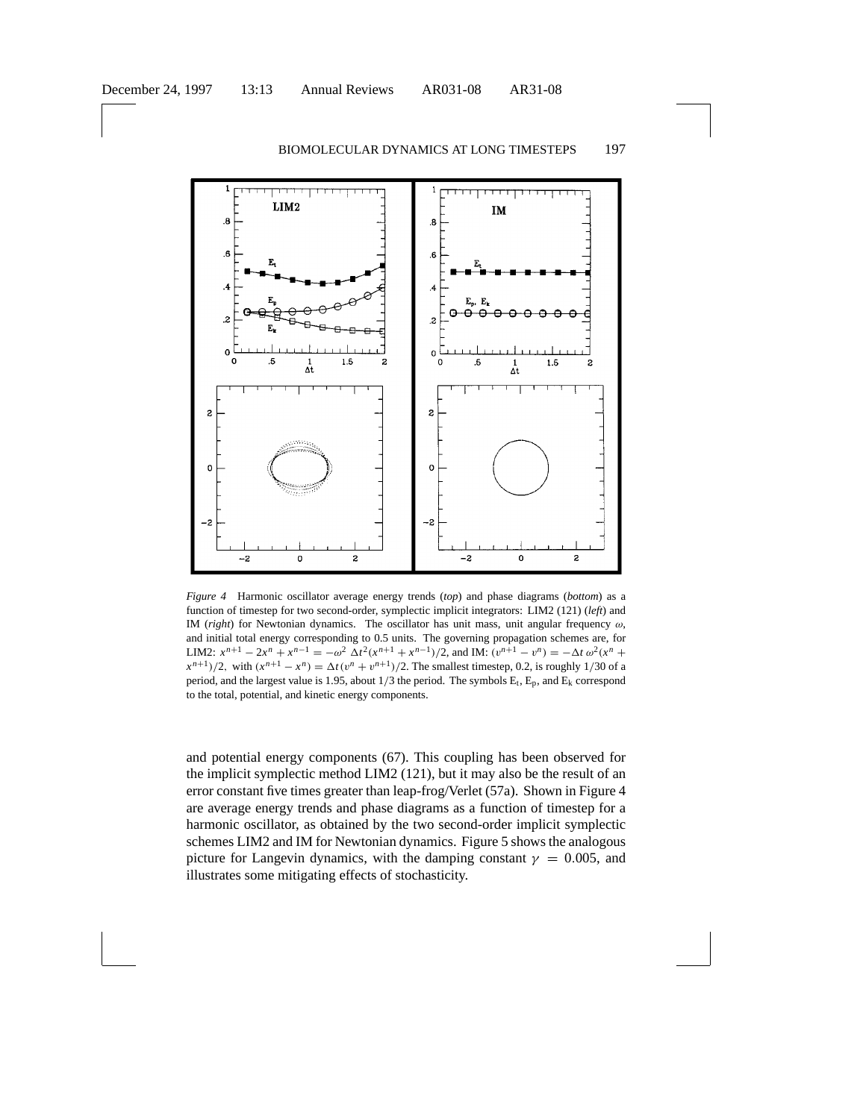

*Figure 4* Harmonic oscillator average energy trends (*top*) and phase diagrams (*bottom*) as a function of timestep for two second-order, symplectic implicit integrators: LIM2 (121) (*left*) and IM (*right*) for Newtonian dynamics. The oscillator has unit mass, unit angular frequency  $\omega$ , and initial total energy corresponding to 0.5 units. The governing propagation schemes are, for LIM2:  $x^{n+1} - 2x^n + x^{n-1} = -\omega^2 \Delta t^2 (x^{n+1} + x^{n-1})/2$ , and IM:  $(v^{n+1} - v^n) = -\Delta t \omega^2 (x^n +$  $(x^{n+1})/2$ , with  $(x^{n+1} - x^n) = \Delta t (v^n + v^{n+1})/2$ . The smallest timestep, 0.2, is roughly 1/30 of a period, and the largest value is 1.95, about 1/3 the period. The symbols  $E_t$ ,  $E_p$ , and  $E_k$  correspond to the total, potential, and kinetic energy components.

and potential energy components (67). This coupling has been observed for the implicit symplectic method LIM2 (121), but it may also be the result of an error constant five times greater than leap-frog/Verlet (57a). Shown in Figure 4 are average energy trends and phase diagrams as a function of timestep for a harmonic oscillator, as obtained by the two second-order implicit symplectic schemes LIM2 and IM for Newtonian dynamics. Figure 5 shows the analogous picture for Langevin dynamics, with the damping constant  $\gamma = 0.005$ , and illustrates some mitigating effects of stochasticity.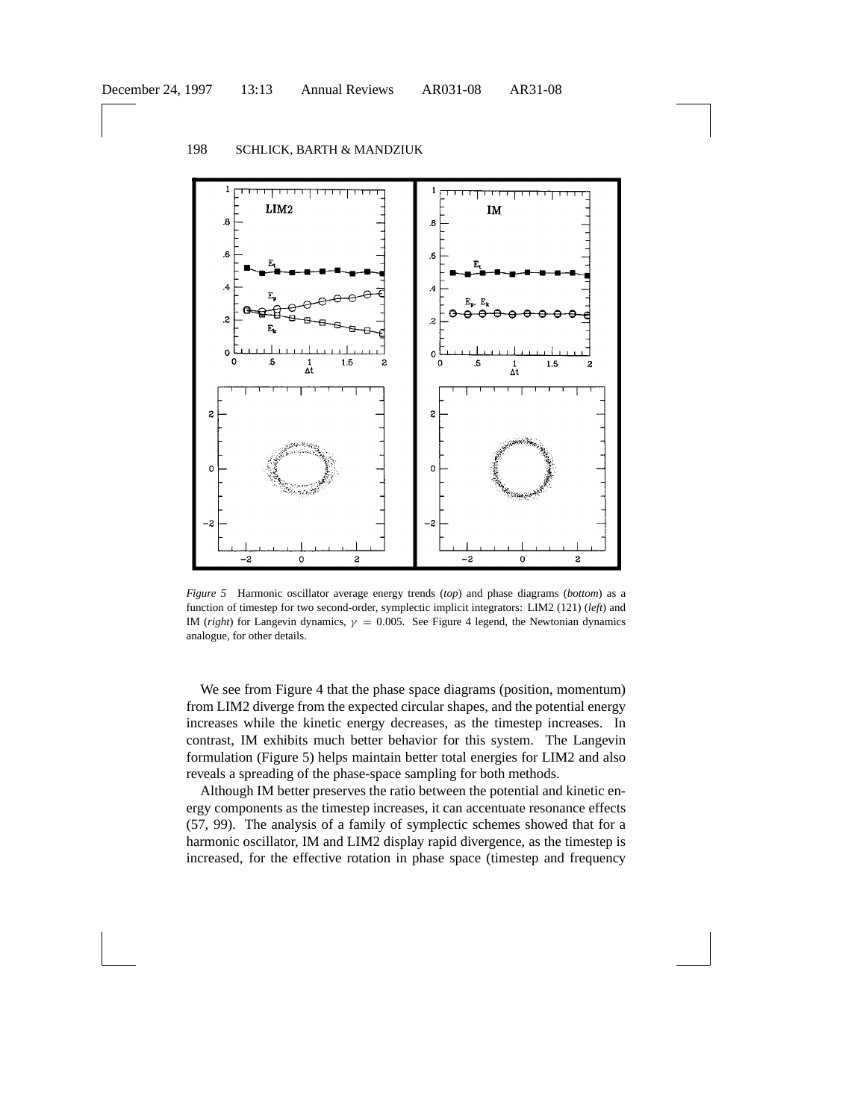

*Figure 5* Harmonic oscillator average energy trends (*top*) and phase diagrams (*bottom*) as a function of timestep for two second-order, symplectic implicit integrators: LIM2 (121) (*left*) and IM (*right*) for Langevin dynamics,  $\gamma = 0.005$ . See Figure 4 legend, the Newtonian dynamics analogue, for other details.

We see from Figure 4 that the phase space diagrams (position, momentum) from LIM2 diverge from the expected circular shapes, and the potential energy increases while the kinetic energy decreases, as the timestep increases. In contrast, IM exhibits much better behavior for this system. The Langevin formulation (Figure 5) helps maintain better total energies for LIM2 and also reveals a spreading of the phase-space sampling for both methods.

Although IM better preserves the ratio between the potential and kinetic energy components as the timestep increases, it can accentuate resonance effects (57, 99). The analysis of a family of symplectic schemes showed that for a harmonic oscillator, IM and LIM2 display rapid divergence, as the timestep is increased, for the effective rotation in phase space (timestep and frequency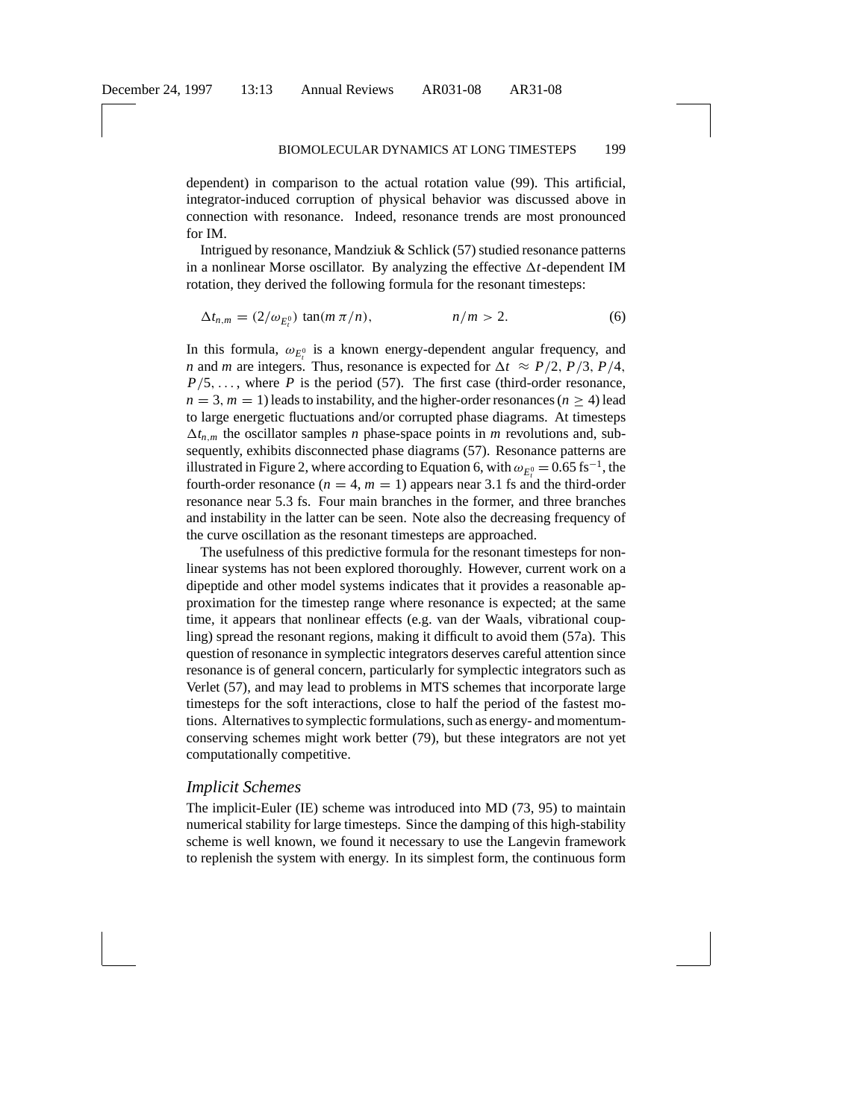dependent) in comparison to the actual rotation value (99). This artificial, integrator-induced corruption of physical behavior was discussed above in connection with resonance. Indeed, resonance trends are most pronounced for IM.

Intrigued by resonance, Mandziuk & Schlick (57) studied resonance patterns in a nonlinear Morse oscillator. By analyzing the effective  $\Delta t$ -dependent IM rotation, they derived the following formula for the resonant timesteps:

$$
\Delta t_{n,m} = (2/\omega_{E_t^0}) \tan(m \pi/n), \qquad n/m > 2. \tag{6}
$$

In this formula,  $\omega_{E_i^0}$  is a known energy-dependent angular frequency, and *n* and *m* are integers. Thus, resonance is expected for  $\Delta t \approx P/2$ ,  $P/3$ ,  $P/4$ , *P*/5,..., where *P* is the period (57). The first case (third-order resonance,  $n = 3, m = 1$ ) leads to instability, and the higher-order resonances ( $n \ge 4$ ) lead to large energetic fluctuations and/or corrupted phase diagrams. At timesteps  $\Delta t_{n,m}$  the oscillator samples *n* phase-space points in *m* revolutions and, subsequently, exhibits disconnected phase diagrams (57). Resonance patterns are illustrated in Figure 2, where according to Equation 6, with  $\omega_{E_t^0} = 0.65 \text{ fs}^{-1}$ , the fourth-order resonance  $(n = 4, m = 1)$  appears near 3.1 fs and the third-order resonance near 5.3 fs. Four main branches in the former, and three branches and instability in the latter can be seen. Note also the decreasing frequency of the curve oscillation as the resonant timesteps are approached.

The usefulness of this predictive formula for the resonant timesteps for nonlinear systems has not been explored thoroughly. However, current work on a dipeptide and other model systems indicates that it provides a reasonable approximation for the timestep range where resonance is expected; at the same time, it appears that nonlinear effects (e.g. van der Waals, vibrational coupling) spread the resonant regions, making it difficult to avoid them (57a). This question of resonance in symplectic integrators deserves careful attention since resonance is of general concern, particularly for symplectic integrators such as Verlet (57), and may lead to problems in MTS schemes that incorporate large timesteps for the soft interactions, close to half the period of the fastest motions. Alternatives to symplectic formulations, such as energy- and momentumconserving schemes might work better (79), but these integrators are not yet computationally competitive.

#### *Implicit Schemes*

The implicit-Euler (IE) scheme was introduced into MD (73, 95) to maintain numerical stability for large timesteps. Since the damping of this high-stability scheme is well known, we found it necessary to use the Langevin framework to replenish the system with energy. In its simplest form, the continuous form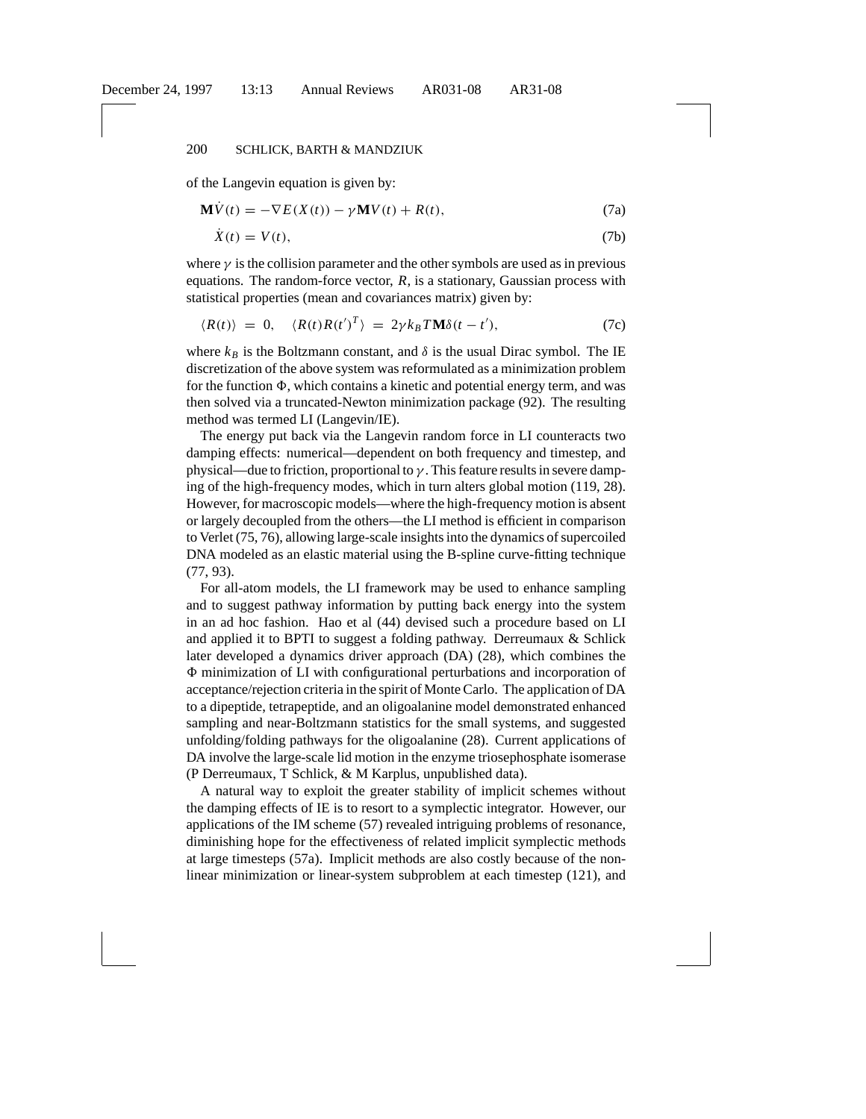of the Langevin equation is given by:

$$
\mathbf{M}\dot{V}(t) = -\nabla E(X(t)) - \gamma \mathbf{M}V(t) + R(t),
$$
\n(7a)  
\n
$$
\dot{X}(t) = V(t),
$$
\n(7b)

where  $\gamma$  is the collision parameter and the other symbols are used as in previous equations. The random-force vector, *R*, is a stationary, Gaussian process with statistical properties (mean and covariances matrix) given by:

$$
\langle R(t) \rangle = 0, \quad \langle R(t)R(t')^T \rangle = 2\gamma k_B T \mathbf{M} \delta(t - t'), \tag{7c}
$$

where  $k_B$  is the Boltzmann constant, and  $\delta$  is the usual Dirac symbol. The IE discretization of the above system was reformulated as a minimization problem for the function  $\Phi$ , which contains a kinetic and potential energy term, and was then solved via a truncated-Newton minimization package (92). The resulting method was termed LI (Langevin/IE).

The energy put back via the Langevin random force in LI counteracts two damping effects: numerical—dependent on both frequency and timestep, and physical—due to friction, proportional to  $\gamma$ . This feature results in severe damping of the high-frequency modes, which in turn alters global motion (119, 28). However, for macroscopic models—where the high-frequency motion is absent or largely decoupled from the others—the LI method is efficient in comparison to Verlet (75, 76), allowing large-scale insights into the dynamics of supercoiled DNA modeled as an elastic material using the B-spline curve-fitting technique (77, 93).

For all-atom models, the LI framework may be used to enhance sampling and to suggest pathway information by putting back energy into the system in an ad hoc fashion. Hao et al (44) devised such a procedure based on LI and applied it to BPTI to suggest a folding pathway. Derreumaux & Schlick later developed a dynamics driver approach (DA) (28), which combines the 8 minimization of LI with configurational perturbations and incorporation of acceptance/rejection criteria in the spirit of Monte Carlo. The application of DA to a dipeptide, tetrapeptide, and an oligoalanine model demonstrated enhanced sampling and near-Boltzmann statistics for the small systems, and suggested unfolding/folding pathways for the oligoalanine (28). Current applications of DA involve the large-scale lid motion in the enzyme triosephosphate isomerase (P Derreumaux, T Schlick, & M Karplus, unpublished data).

A natural way to exploit the greater stability of implicit schemes without the damping effects of IE is to resort to a symplectic integrator. However, our applications of the IM scheme (57) revealed intriguing problems of resonance, diminishing hope for the effectiveness of related implicit symplectic methods at large timesteps (57a). Implicit methods are also costly because of the nonlinear minimization or linear-system subproblem at each timestep (121), and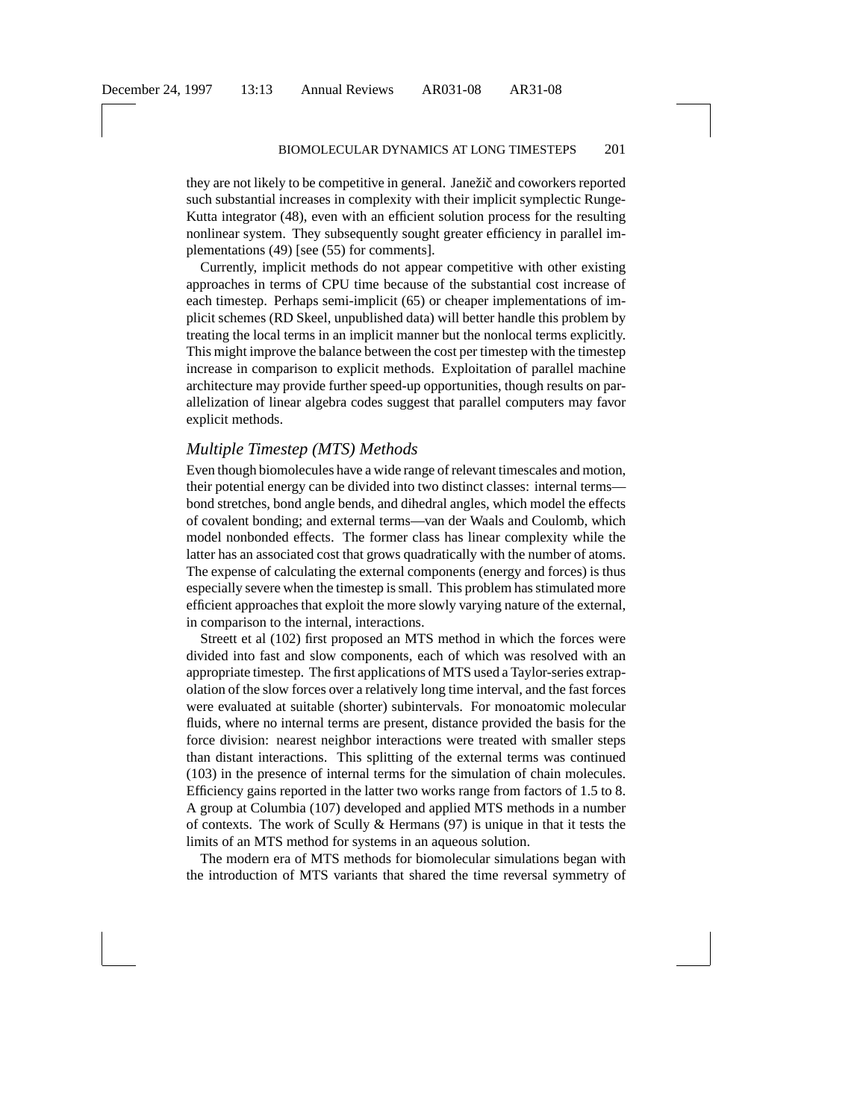they are not likely to be competitive in general. Janežič and coworkers reported such substantial increases in complexity with their implicit symplectic Runge-Kutta integrator (48), even with an efficient solution process for the resulting nonlinear system. They subsequently sought greater efficiency in parallel implementations (49) [see (55) for comments].

Currently, implicit methods do not appear competitive with other existing approaches in terms of CPU time because of the substantial cost increase of each timestep. Perhaps semi-implicit (65) or cheaper implementations of implicit schemes (RD Skeel, unpublished data) will better handle this problem by treating the local terms in an implicit manner but the nonlocal terms explicitly. This might improve the balance between the cost per timestep with the timestep increase in comparison to explicit methods. Exploitation of parallel machine architecture may provide further speed-up opportunities, though results on parallelization of linear algebra codes suggest that parallel computers may favor explicit methods.

### *Multiple Timestep (MTS) Methods*

Even though biomolecules have a wide range of relevant timescales and motion, their potential energy can be divided into two distinct classes: internal terms bond stretches, bond angle bends, and dihedral angles, which model the effects of covalent bonding; and external terms—van der Waals and Coulomb, which model nonbonded effects. The former class has linear complexity while the latter has an associated cost that grows quadratically with the number of atoms. The expense of calculating the external components (energy and forces) is thus especially severe when the timestep is small. This problem has stimulated more efficient approaches that exploit the more slowly varying nature of the external, in comparison to the internal, interactions.

Streett et al (102) first proposed an MTS method in which the forces were divided into fast and slow components, each of which was resolved with an appropriate timestep. The first applications of MTS used a Taylor-series extrapolation of the slow forces over a relatively long time interval, and the fast forces were evaluated at suitable (shorter) subintervals. For monoatomic molecular fluids, where no internal terms are present, distance provided the basis for the force division: nearest neighbor interactions were treated with smaller steps than distant interactions. This splitting of the external terms was continued (103) in the presence of internal terms for the simulation of chain molecules. Efficiency gains reported in the latter two works range from factors of 1.5 to 8. A group at Columbia (107) developed and applied MTS methods in a number of contexts. The work of Scully & Hermans (97) is unique in that it tests the limits of an MTS method for systems in an aqueous solution.

The modern era of MTS methods for biomolecular simulations began with the introduction of MTS variants that shared the time reversal symmetry of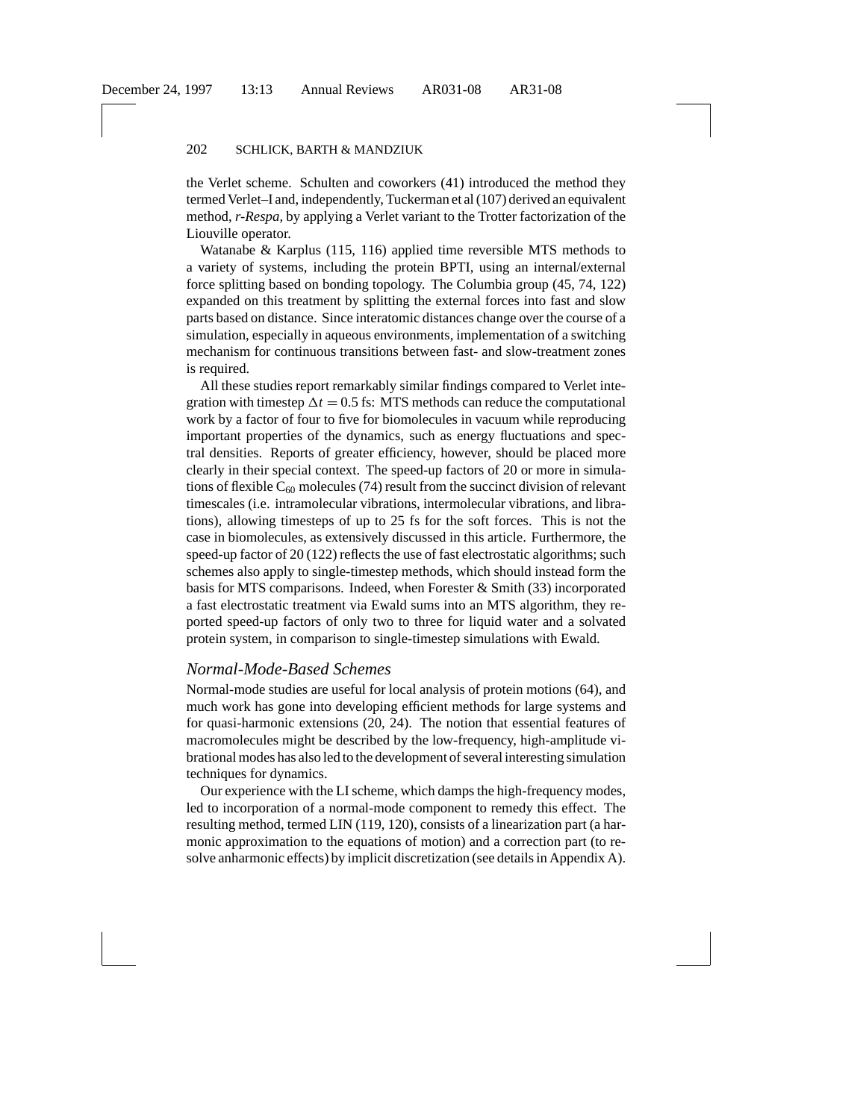the Verlet scheme. Schulten and coworkers (41) introduced the method they termed Verlet–I and, independently, Tuckerman et al (107) derived an equivalent method, *r-Respa,* by applying a Verlet variant to the Trotter factorization of the Liouville operator.

Watanabe & Karplus (115, 116) applied time reversible MTS methods to a variety of systems, including the protein BPTI, using an internal/external force splitting based on bonding topology. The Columbia group (45, 74, 122) expanded on this treatment by splitting the external forces into fast and slow parts based on distance. Since interatomic distances change over the course of a simulation, especially in aqueous environments, implementation of a switching mechanism for continuous transitions between fast- and slow-treatment zones is required.

All these studies report remarkably similar findings compared to Verlet integration with timestep  $\Delta t = 0.5$  fs: MTS methods can reduce the computational work by a factor of four to five for biomolecules in vacuum while reproducing important properties of the dynamics, such as energy fluctuations and spectral densities. Reports of greater efficiency, however, should be placed more clearly in their special context. The speed-up factors of 20 or more in simulations of flexible  $C_{60}$  molecules (74) result from the succinct division of relevant timescales (i.e. intramolecular vibrations, intermolecular vibrations, and librations), allowing timesteps of up to 25 fs for the soft forces. This is not the case in biomolecules, as extensively discussed in this article. Furthermore, the speed-up factor of  $20(122)$  reflects the use of fast electrostatic algorithms; such schemes also apply to single-timestep methods, which should instead form the basis for MTS comparisons. Indeed, when Forester & Smith (33) incorporated a fast electrostatic treatment via Ewald sums into an MTS algorithm, they reported speed-up factors of only two to three for liquid water and a solvated protein system, in comparison to single-timestep simulations with Ewald.

## *Normal-Mode-Based Schemes*

Normal-mode studies are useful for local analysis of protein motions (64), and much work has gone into developing efficient methods for large systems and for quasi-harmonic extensions (20, 24). The notion that essential features of macromolecules might be described by the low-frequency, high-amplitude vibrational modes has also led to the development of several interesting simulation techniques for dynamics.

Our experience with the LI scheme, which damps the high-frequency modes, led to incorporation of a normal-mode component to remedy this effect. The resulting method, termed LIN (119, 120), consists of a linearization part (a harmonic approximation to the equations of motion) and a correction part (to resolve anharmonic effects) by implicit discretization (see details in Appendix A).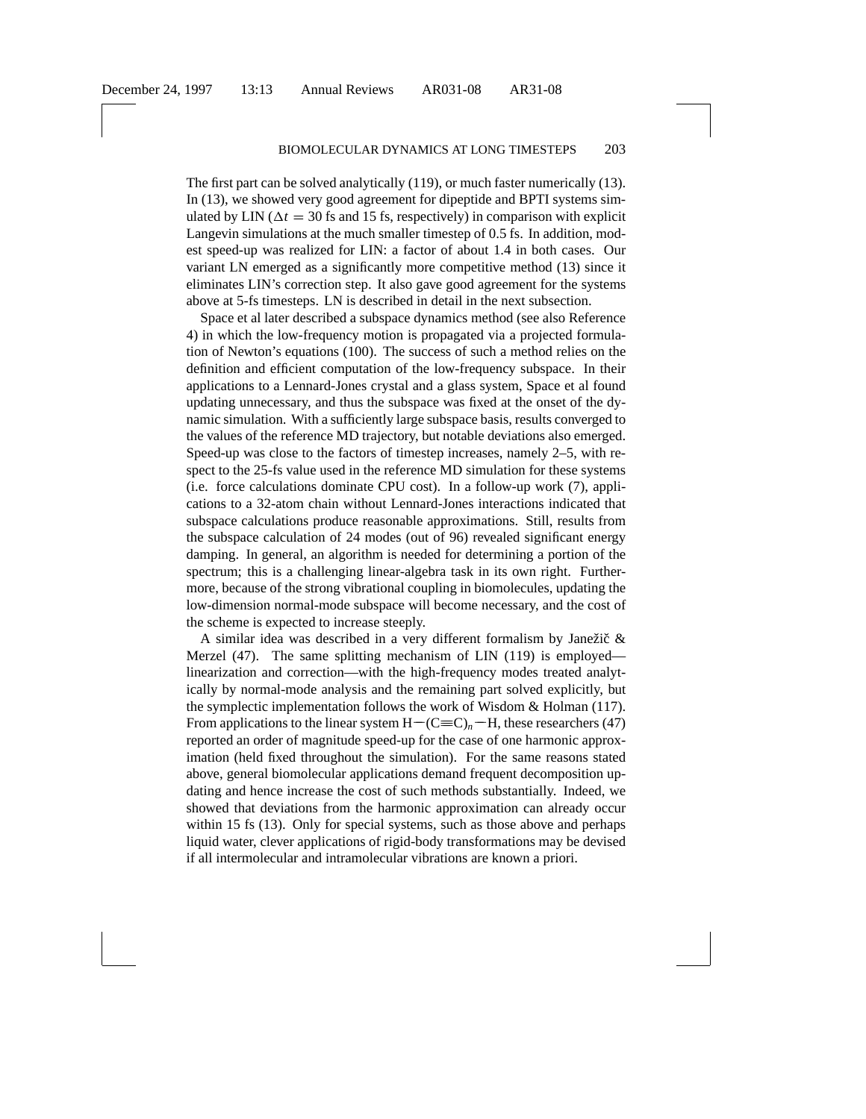The first part can be solved analytically (119), or much faster numerically (13). In (13), we showed very good agreement for dipeptide and BPTI systems simulated by LIN ( $\Delta t = 30$  fs and 15 fs, respectively) in comparison with explicit Langevin simulations at the much smaller timestep of 0.5 fs. In addition, modest speed-up was realized for LIN: a factor of about 1.4 in both cases. Our variant LN emerged as a significantly more competitive method (13) since it eliminates LIN's correction step. It also gave good agreement for the systems above at 5-fs timesteps. LN is described in detail in the next subsection.

Space et al later described a subspace dynamics method (see also Reference 4) in which the low-frequency motion is propagated via a projected formulation of Newton's equations (100). The success of such a method relies on the definition and efficient computation of the low-frequency subspace. In their applications to a Lennard-Jones crystal and a glass system, Space et al found updating unnecessary, and thus the subspace was fixed at the onset of the dynamic simulation. With a sufficiently large subspace basis, results converged to the values of the reference MD trajectory, but notable deviations also emerged. Speed-up was close to the factors of timestep increases, namely 2–5, with respect to the 25-fs value used in the reference MD simulation for these systems (i.e. force calculations dominate CPU cost). In a follow-up work (7), applications to a 32-atom chain without Lennard-Jones interactions indicated that subspace calculations produce reasonable approximations. Still, results from the subspace calculation of 24 modes (out of 96) revealed significant energy damping. In general, an algorithm is needed for determining a portion of the spectrum; this is a challenging linear-algebra task in its own right. Furthermore, because of the strong vibrational coupling in biomolecules, updating the low-dimension normal-mode subspace will become necessary, and the cost of the scheme is expected to increase steeply.

A similar idea was described in a very different formalism by Janežič  $\&$ Merzel (47). The same splitting mechanism of LIN (119) is employed linearization and correction—with the high-frequency modes treated analytically by normal-mode analysis and the remaining part solved explicitly, but the symplectic implementation follows the work of Wisdom & Holman (117). From applications to the linear system H−(C≡C)<sub>n</sub>−H, these researchers (47) reported an order of magnitude speed-up for the case of one harmonic approximation (held fixed throughout the simulation). For the same reasons stated above, general biomolecular applications demand frequent decomposition updating and hence increase the cost of such methods substantially. Indeed, we showed that deviations from the harmonic approximation can already occur within 15 fs (13). Only for special systems, such as those above and perhaps liquid water, clever applications of rigid-body transformations may be devised if all intermolecular and intramolecular vibrations are known a priori.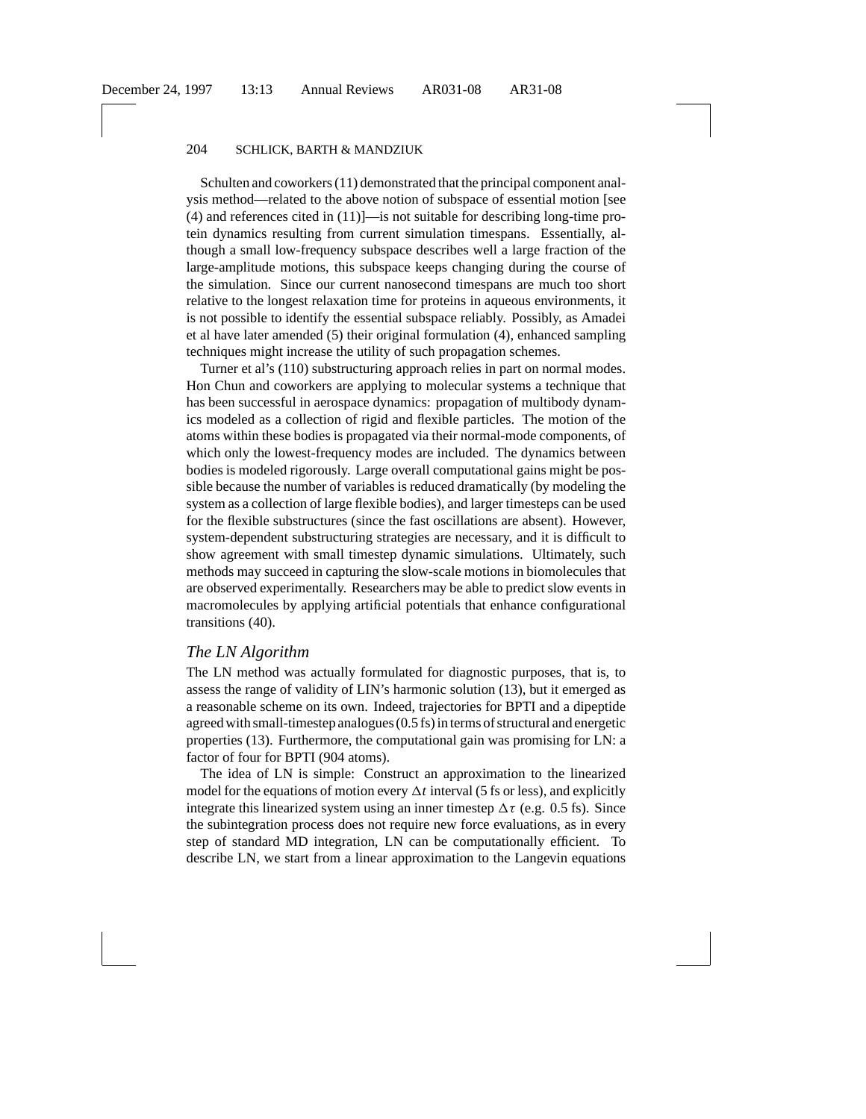Schulten and coworkers (11) demonstrated that the principal component analysis method—related to the above notion of subspace of essential motion [see (4) and references cited in (11)]—is not suitable for describing long-time protein dynamics resulting from current simulation timespans. Essentially, although a small low-frequency subspace describes well a large fraction of the large-amplitude motions, this subspace keeps changing during the course of the simulation. Since our current nanosecond timespans are much too short relative to the longest relaxation time for proteins in aqueous environments, it is not possible to identify the essential subspace reliably. Possibly, as Amadei et al have later amended (5) their original formulation (4), enhanced sampling techniques might increase the utility of such propagation schemes.

Turner et al's (110) substructuring approach relies in part on normal modes. Hon Chun and coworkers are applying to molecular systems a technique that has been successful in aerospace dynamics: propagation of multibody dynamics modeled as a collection of rigid and flexible particles. The motion of the atoms within these bodies is propagated via their normal-mode components, of which only the lowest-frequency modes are included. The dynamics between bodies is modeled rigorously. Large overall computational gains might be possible because the number of variables is reduced dramatically (by modeling the system as a collection of large flexible bodies), and larger timesteps can be used for the flexible substructures (since the fast oscillations are absent). However, system-dependent substructuring strategies are necessary, and it is difficult to show agreement with small timestep dynamic simulations. Ultimately, such methods may succeed in capturing the slow-scale motions in biomolecules that are observed experimentally. Researchers may be able to predict slow events in macromolecules by applying artificial potentials that enhance configurational transitions (40).

#### *The LN Algorithm*

The LN method was actually formulated for diagnostic purposes, that is, to assess the range of validity of LIN's harmonic solution (13), but it emerged as a reasonable scheme on its own. Indeed, trajectories for BPTI and a dipeptide agreed with small-timestep analogues (0.5 fs) in terms of structural and energetic properties (13). Furthermore, the computational gain was promising for LN: a factor of four for BPTI (904 atoms).

The idea of LN is simple: Construct an approximation to the linearized model for the equations of motion every  $\Delta t$  interval (5 fs or less), and explicitly integrate this linearized system using an inner timestep  $\Delta \tau$  (e.g. 0.5 fs). Since the subintegration process does not require new force evaluations, as in every step of standard MD integration, LN can be computationally efficient. To describe LN, we start from a linear approximation to the Langevin equations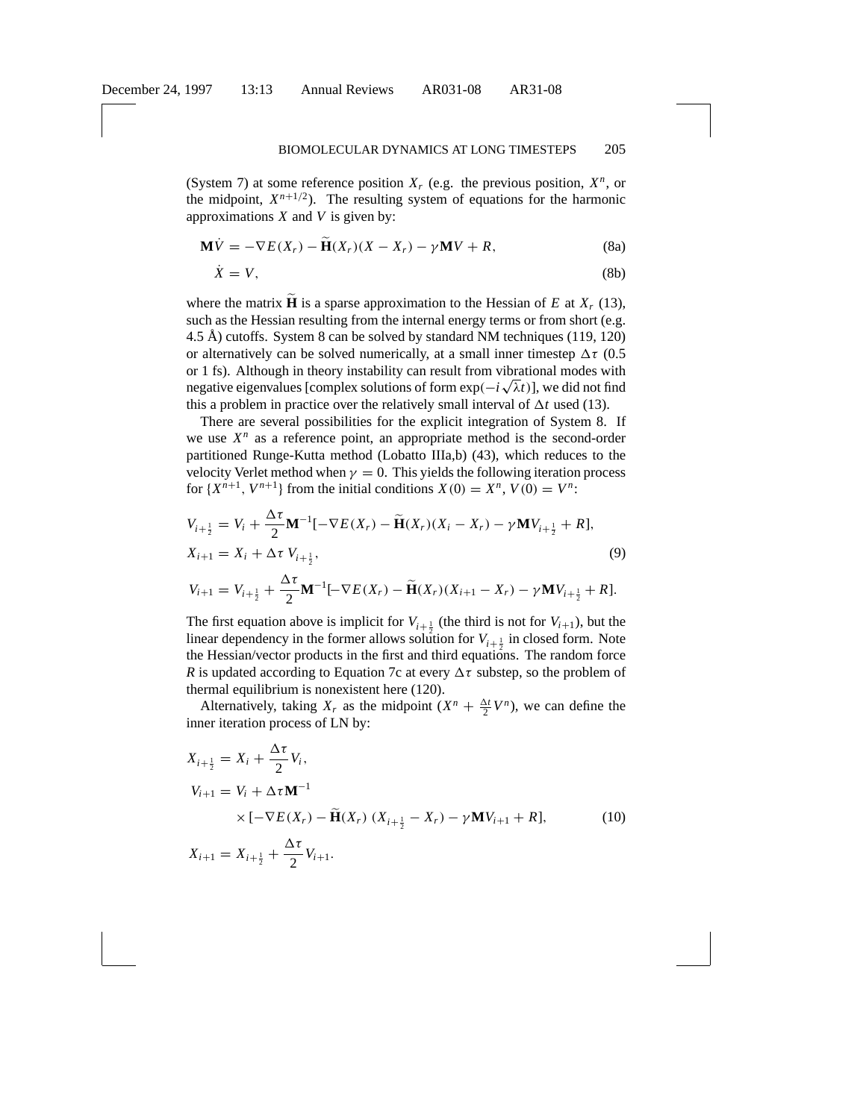(System 7) at some reference position  $X_r$  (e.g. the previous position,  $X^n$ , or the midpoint,  $X^{n+1/2}$ ). The resulting system of equations for the harmonic approximations *X* and *V* is given by:

$$
\mathbf{M}\dot{V} = -\nabla E(X_r) - \widetilde{\mathbf{H}}(X_r)(X - X_r) - \gamma \mathbf{M}V + R,\tag{8a}
$$

$$
\dot{X} = V,\tag{8b}
$$

where the matrix  $\widetilde{\mathbf{H}}$  is a sparse approximation to the Hessian of *E* at  $X_r$  (13), such as the Hessian resulting from the internal energy terms or from short (e.g. 4.5 Å) cutoffs. System 8 can be solved by standard NM techniques  $(119, 120)$ or alternatively can be solved numerically, at a small inner timestep  $\Delta \tau$  (0.5) or 1 fs). Although in theory instability can result from vibrational modes with or 1 is). Although in theory instability can result from vibrational modes with negative eigenvalues [complex solutions of form exp(−*i*√λ*t*)], we did not find this a problem in practice over the relatively small interval of  $\Delta t$  used (13).

There are several possibilities for the explicit integration of System 8. If we use  $X^n$  as a reference point, an appropriate method is the second-order partitioned Runge-Kutta method (Lobatto IIIa,b) (43), which reduces to the velocity Verlet method when  $\gamma = 0$ . This yields the following iteration process for  $\{X^{n+1}, V^{n+1}\}$  from the initial conditions  $X(0) = X^n$ ,  $V(0) = V^n$ .

$$
V_{i+\frac{1}{2}} = V_i + \frac{\Delta \tau}{2} \mathbf{M}^{-1} [-\nabla E(X_r) - \widetilde{\mathbf{H}}(X_r)(X_i - X_r) - \gamma \mathbf{M} V_{i+\frac{1}{2}} + R],
$$
  
\n
$$
X_{i+1} = X_i + \Delta \tau V_{i+\frac{1}{2}},
$$
\n(9)

$$
V_{i+1} = V_{i+\frac{1}{2}} + \frac{\Delta \tau}{2} \mathbf{M}^{-1} [-\nabla E(X_r) - \widetilde{\mathbf{H}}(X_r)(X_{i+1} - X_r) - \gamma \mathbf{M} V_{i+\frac{1}{2}} + R].
$$

The first equation above is implicit for  $V_{i+\frac{1}{2}}$  (the third is not for  $V_{i+1}$ ), but the linear dependency in the former allows solution for  $V_{i+\frac{1}{2}}$  in closed form. Note the Hessian/vector products in the first and third equations. The random force *R* is updated according to Equation 7c at every  $\Delta \tau$  substep, so the problem of thermal equilibrium is nonexistent here (120).

Alternatively, taking  $X_r$  as the midpoint  $(X^n + \frac{\Delta t}{2} V^n)$ , we can define the inner iteration process of LN by:

$$
X_{i+\frac{1}{2}} = X_i + \frac{\Delta \tau}{2} V_i,
$$
  
\n
$$
V_{i+1} = V_i + \Delta \tau \mathbf{M}^{-1}
$$
  
\n
$$
\times [-\nabla E(X_r) - \widetilde{\mathbf{H}}(X_r) (X_{i+\frac{1}{2}} - X_r) - \gamma \mathbf{M} V_{i+1} + R],
$$
\n(10)  
\n
$$
X_{i+1} = X_{i+\frac{1}{2}} + \frac{\Delta \tau}{2} V_{i+1}.
$$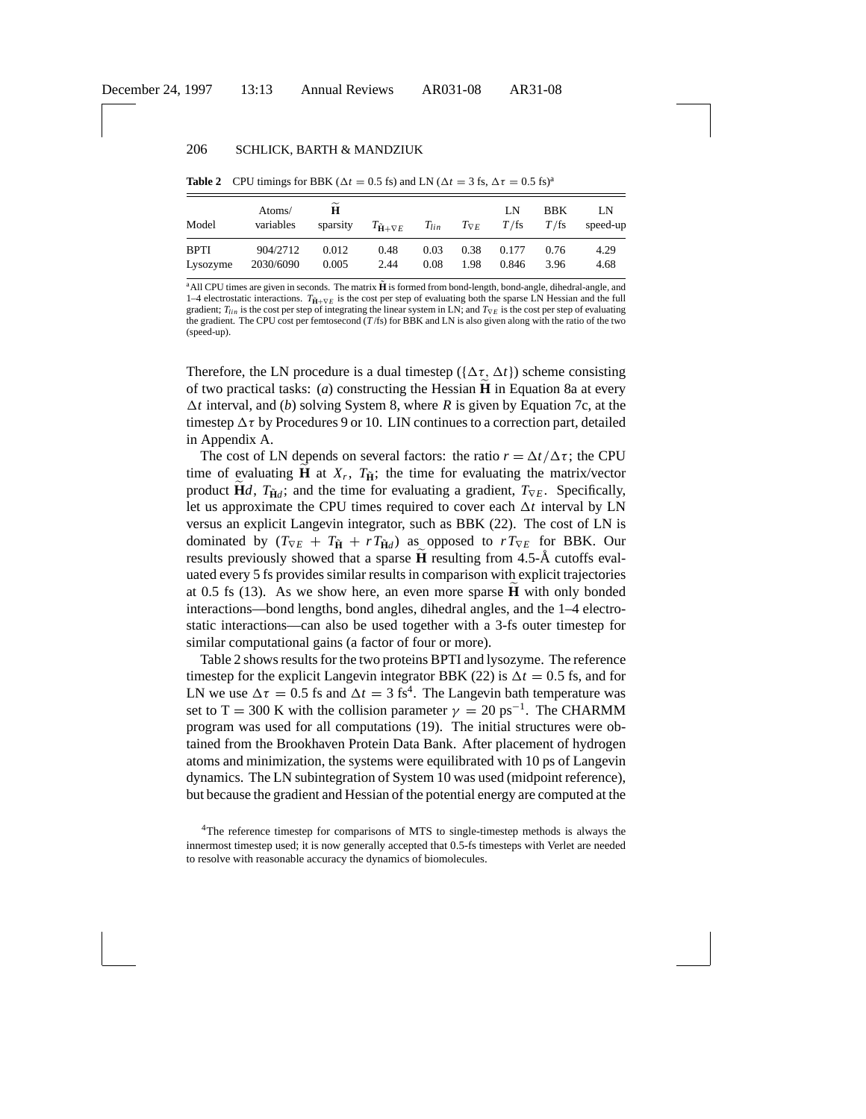| Model       | Atoms/<br>variables | H<br>sparsity | $T_{\tilde{\mathbf{H}}+\nabla E}$ | $T_{lin}$ | $T_{\nabla E}$ | LN<br>T/fs | <b>BBK</b><br>T/fs | LN<br>speed-up |
|-------------|---------------------|---------------|-----------------------------------|-----------|----------------|------------|--------------------|----------------|
| <b>BPTI</b> | 904/2712            | 0.012         | 0.48                              | 0.03      | 0.38           | 0.177      | 0.76               | 4.29           |
| Lysozyme    | 2030/6090           | 0.005         | 2.44                              | 0.08      | 1.98           | 0.846      | 3.96               | 4.68           |

**Table 2** CPU timings for BBK ( $\Delta t = 0.5$  fs) and LN ( $\Delta t = 3$  fs,  $\Delta \tau = 0.5$  fs)<sup>a</sup>

<sup>a</sup>All CPU times are given in seconds. The matrix  $\tilde{H}$  is formed from bond-length, bond-angle, dihedral-angle, and 1–4 electrostatic interactions.  $T_{\tilde{H}+\nabla E}$  is the cost per step of evaluating both the sparse LN Hessian and the full gradient;  $T_{lin}$  is the cost per step of integrating the linear system in LN; and  $T_{\nabla E}$  is the cost per step of evaluating the gradient. The CPU cost per femtosecond (*T* /fs) for BBK and LN is also given along with the ratio of the two (speed-up).

Therefore, the LN procedure is a dual timestep ( $\{\Delta \tau, \Delta t\}$ ) scheme consisting of two practical tasks: (*a*) constructing the Hessian  $\overline{H}$  in Equation 8a at every  $\Delta t$  interval, and (*b*) solving System 8, where *R* is given by Equation 7c, at the timestep  $\Delta \tau$  by Procedures 9 or 10. LIN continues to a correction part, detailed in Appendix A.

The cost of LN depends on several factors: the ratio  $r = \Delta t / \Delta \tau$ ; the CPU time of evaluating  $\tilde{H}$  at  $X_r$ ,  $T_{\tilde{H}}$ ; the time for evaluating the matrix/vector product **H** $d$ ,  $T_{\tilde{H}d}$ ; and the time for evaluating a gradient,  $T_{\nabla E}$ . Specifically, let us approximate the CPU times required to cover each  $\Delta t$  interval by LN versus an explicit Langevin integrator, such as BBK (22). The cost of LN is dominated by  $(T_{\nabla E} + T_{\tilde{H}} + rT_{\tilde{H}d})$  as opposed to  $rT_{\nabla E}$  for BBK. Our results previously showed that a sparse  $\hat{H}$  resulting from 4.5- $\hat{A}$  cutoffs evaluated every 5 fs provides similar results in comparison with explicit trajectories at  $0.5$  fs  $(13)$ . As we show here, an even more sparse **H** with only bonded interactions—bond lengths, bond angles, dihedral angles, and the 1–4 electrostatic interactions—can also be used together with a 3-fs outer timestep for similar computational gains (a factor of four or more).

Table 2 shows results for the two proteins BPTI and lysozyme. The reference timestep for the explicit Langevin integrator BBK (22) is  $\Delta t = 0.5$  fs, and for LN we use  $\Delta \tau = 0.5$  fs and  $\Delta t = 3$  fs<sup>4</sup>. The Langevin bath temperature was set to T = 300 K with the collision parameter  $\gamma = 20 \text{ ps}^{-1}$ . The CHARMM program was used for all computations (19). The initial structures were obtained from the Brookhaven Protein Data Bank. After placement of hydrogen atoms and minimization, the systems were equilibrated with 10 ps of Langevin dynamics. The LN subintegration of System 10 was used (midpoint reference), but because the gradient and Hessian of the potential energy are computed at the

<sup>4</sup>The reference timestep for comparisons of MTS to single-timestep methods is always the innermost timestep used; it is now generally accepted that 0.5-fs timesteps with Verlet are needed to resolve with reasonable accuracy the dynamics of biomolecules.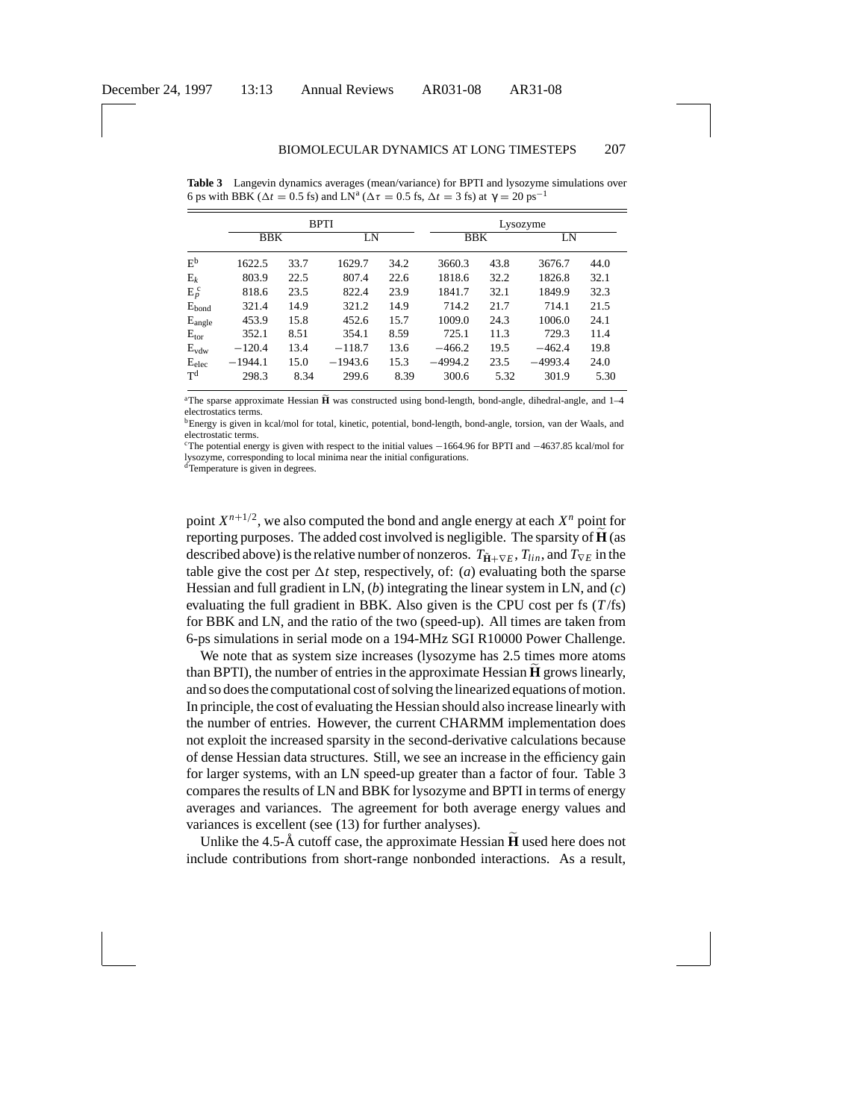|                   |            |      | <b>BPTI</b> |                        |            |      | Lysozyme  |      |
|-------------------|------------|------|-------------|------------------------|------------|------|-----------|------|
|                   | <b>BBK</b> |      | LN          |                        | <b>BBK</b> |      | LN        |      |
| $E^b$             | 1622.5     | 33.7 | 1629.7      | 34.2                   | 3660.3     | 43.8 | 3676.7    | 44.0 |
| $E_k$             | 803.9      | 22.5 | 807.4       | 32.2<br>22.6<br>1818.6 | 1826.8     | 32.1 |           |      |
| $E_p^c$           | 818.6      | 23.5 | 822.4       | 23.9                   | 1841.7     | 32.1 | 1849.9    | 32.3 |
| $E_{bond}$        | 321.4      | 14.9 | 321.2       | 14.9                   | 714.2      | 21.7 | 714.1     | 21.5 |
| $E_{angle}$       | 453.9      | 15.8 | 452.6       | 15.7                   | 1009.0     | 24.3 | 1006.0    | 24.1 |
| $E_{\text{tor}}$  | 352.1      | 8.51 | 354.1       | 8.59                   | 725.1      | 11.3 | 729.3     | 11.4 |
| $E_{vdw}$         | $-120.4$   | 13.4 | $-118.7$    | 13.6                   | $-466.2$   | 19.5 | $-462.4$  | 19.8 |
| E <sub>elec</sub> | $-1944.1$  | 15.0 | $-1943.6$   | 15.3                   | $-4994.2$  | 23.5 | $-4993.4$ | 24.0 |
| T <sup>d</sup>    | 298.3      | 8.34 | 299.6       | 8.39                   | 300.6      | 5.32 | 301.9     | 5.30 |

**Table 3** Langevin dynamics averages (mean/variance) for BPTI and lysozyme simulations over 6 ps with BBK ( $\Delta t = 0.5$  fs) and LN<sup>a</sup> ( $\Delta \tau = 0.5$  fs,  $\Delta t = 3$  fs) at  $\gamma = 20$  ps<sup>-1</sup>

<sup>a</sup>The sparse approximate Hessian  $\widetilde{H}$  was constructed using bond-length, bond-angle, dihedral-angle, and 1–4 electrostatics terms.

bEnergy is given in kcal/mol for total, kinetic, potential, bond-length, bond-angle, torsion, van der Waals, and electrostatic terms.

<sup>c</sup>The potential energy is given with respect to the initial values  $-1664.96$  for BPTI and  $-4637.85$  kcal/mol for lysozyme, corresponding to local minima near the initial configurations.

<sup>d</sup>Temperature is given in degrees.

point  $X^{n+1/2}$ , we also computed the bond and angle energy at each  $X^n$  point for reporting purposes. The added cost involved is negligible. The sparsity of  $H$  (as described above) is the relative number of nonzeros.  $T_{\tilde{H}+\nabla E}$ ,  $T_{lin}$ , and  $T_{\nabla E}$  in the table give the cost per  $\Delta t$  step, respectively, of: (*a*) evaluating both the sparse Hessian and full gradient in LN, (*b*) integrating the linear system in LN, and (*c*) evaluating the full gradient in BBK. Also given is the CPU cost per fs (*T* /fs) for BBK and LN, and the ratio of the two (speed-up). All times are taken from 6-ps simulations in serial mode on a 194-MHz SGI R10000 Power Challenge.

We note that as system size increases (lysozyme has 2.5 times more atoms than BPTI), the number of entries in the approximate Hessian **H** grows linearly, and so does the computational cost of solving the linearized equations of motion. In principle, the cost of evaluating the Hessian should also increase linearly with the number of entries. However, the current CHARMM implementation does not exploit the increased sparsity in the second-derivative calculations because of dense Hessian data structures. Still, we see an increase in the efficiency gain for larger systems, with an LN speed-up greater than a factor of four. Table 3 compares the results of LN and BBK for lysozyme and BPTI in terms of energy averages and variances. The agreement for both average energy values and variances is excellent (see (13) for further analyses).

Unlike the 4.5- $\AA$  cutoff case, the approximate Hessian **H** used here does not include contributions from short-range nonbonded interactions. As a result,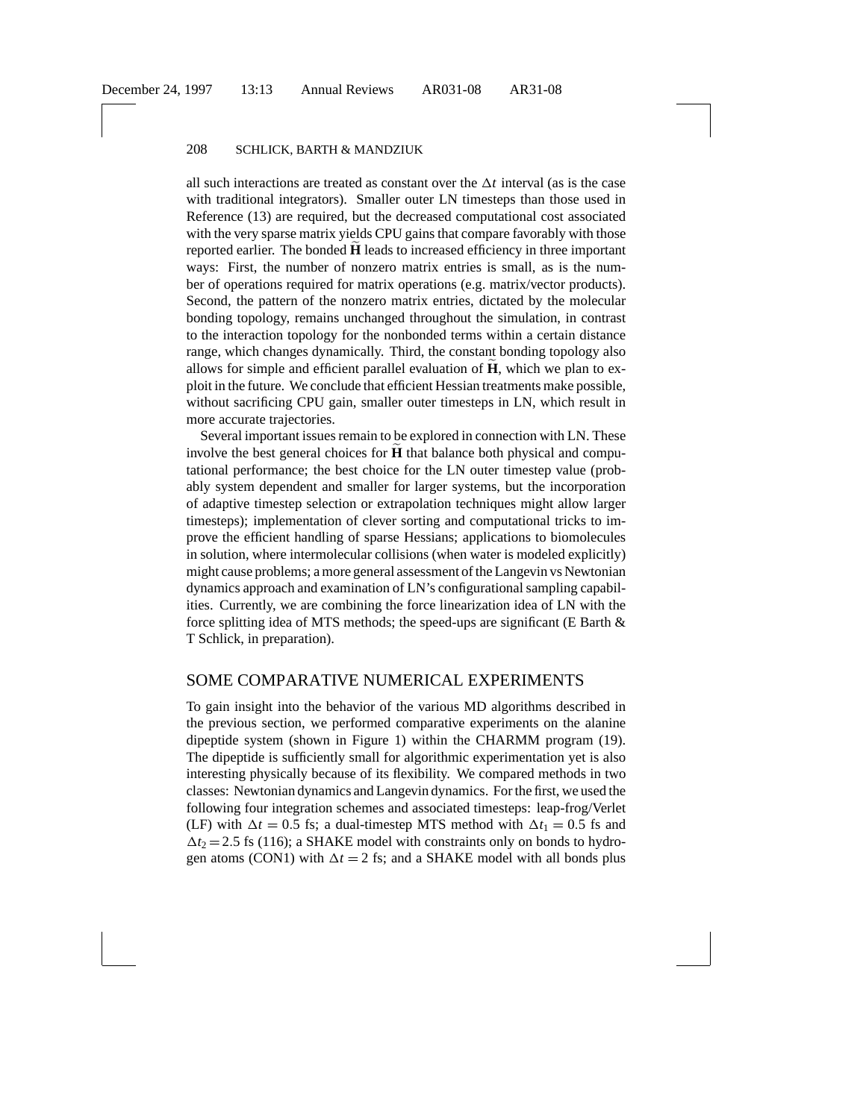all such interactions are treated as constant over the  $\Delta t$  interval (as is the case with traditional integrators). Smaller outer LN timesteps than those used in Reference (13) are required, but the decreased computational cost associated with the very sparse matrix yields CPU gains that compare favorably with those reported earlier. The bonded **H** leads to increased efficiency in three important ways: First, the number of nonzero matrix entries is small, as is the number of operations required for matrix operations (e.g. matrix/vector products). Second, the pattern of the nonzero matrix entries, dictated by the molecular bonding topology, remains unchanged throughout the simulation, in contrast to the interaction topology for the nonbonded terms within a certain distance range, which changes dynamically. Third, the constant bonding topology also allows for simple and efficient parallel evaluation of  $H$ , which we plan to exploit in the future. We conclude that efficient Hessian treatments make possible, without sacrificing CPU gain, smaller outer timesteps in LN, which result in more accurate trajectories.

Several important issues remain to be explored in connection with LN. These involve the best general choices for **H** that balance both physical and computational performance; the best choice for the LN outer timestep value (probably system dependent and smaller for larger systems, but the incorporation of adaptive timestep selection or extrapolation techniques might allow larger timesteps); implementation of clever sorting and computational tricks to improve the efficient handling of sparse Hessians; applications to biomolecules in solution, where intermolecular collisions (when water is modeled explicitly) might cause problems; a more general assessment of the Langevin vs Newtonian dynamics approach and examination of LN's configurational sampling capabilities. Currently, we are combining the force linearization idea of LN with the force splitting idea of MTS methods; the speed-ups are significant (E Barth & T Schlick, in preparation).

#### SOME COMPARATIVE NUMERICAL EXPERIMENTS

To gain insight into the behavior of the various MD algorithms described in the previous section, we performed comparative experiments on the alanine dipeptide system (shown in Figure 1) within the CHARMM program (19). The dipeptide is sufficiently small for algorithmic experimentation yet is also interesting physically because of its flexibility. We compared methods in two classes: Newtonian dynamics and Langevin dynamics. For the first, we used the following four integration schemes and associated timesteps: leap-frog/Verlet (LF) with  $\Delta t = 0.5$  fs; a dual-timestep MTS method with  $\Delta t_1 = 0.5$  fs and  $\Delta t_2 = 2.5$  fs (116); a SHAKE model with constraints only on bonds to hydrogen atoms (CON1) with  $\Delta t = 2$  fs; and a SHAKE model with all bonds plus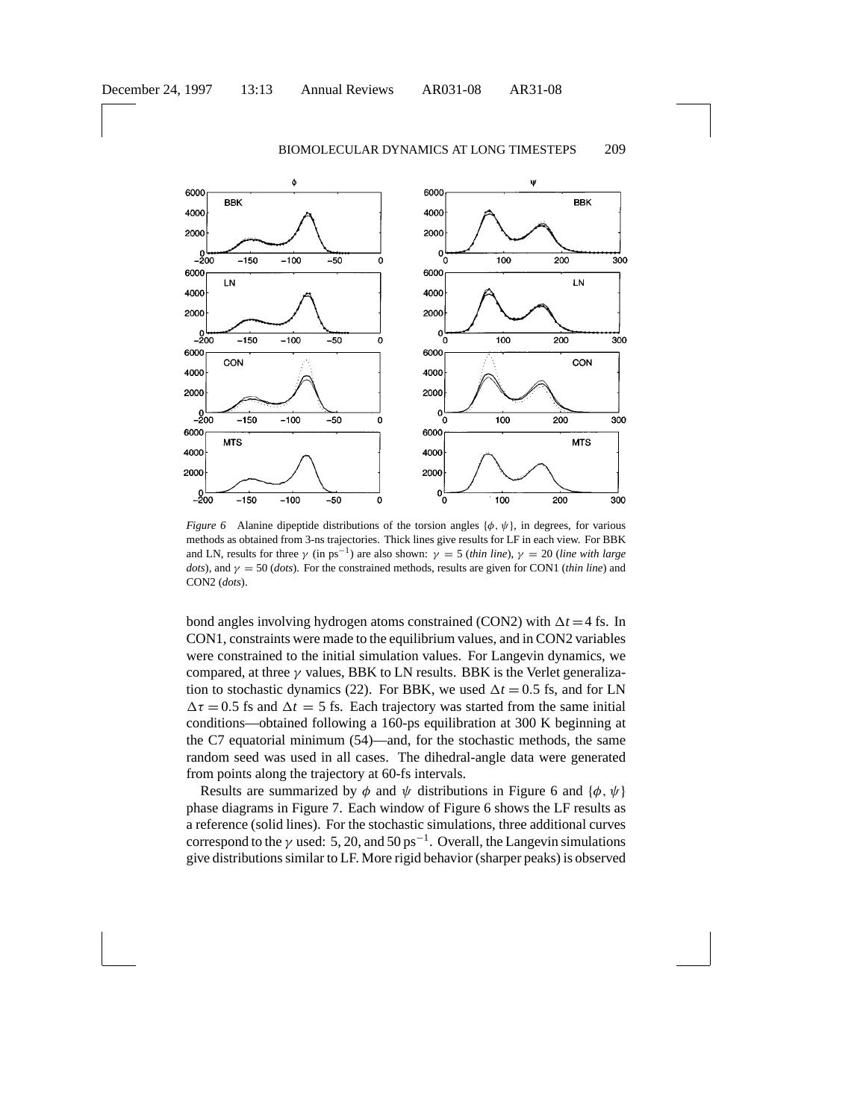

*Figure 6* Alanine dipeptide distributions of the torsion angles  $\{\phi, \psi\}$ , in degrees, for various methods as obtained from 3-ns trajectories. Thick lines give results for LF in each view. For BBK and LN, results for three  $\gamma$  (in ps<sup>-1</sup>) are also shown:  $\gamma = 5$  (*thin line*),  $\gamma = 20$  (*line with large dots*), and  $\gamma = 50$  (*dots*). For the constrained methods, results are given for CON1 (*thin line*) and CON2 (*dots*).

bond angles involving hydrogen atoms constrained (CON2) with  $\Delta t = 4$  fs. In CON1, constraints were made to the equilibrium values, and in CON2 variables were constrained to the initial simulation values. For Langevin dynamics, we compared, at three  $\gamma$  values, BBK to LN results. BBK is the Verlet generalization to stochastic dynamics (22). For BBK, we used  $\Delta t = 0.5$  fs, and for LN  $\Delta \tau = 0.5$  fs and  $\Delta t = 5$  fs. Each trajectory was started from the same initial conditions—obtained following a 160-ps equilibration at 300 K beginning at the C7 equatorial minimum (54)—and, for the stochastic methods, the same random seed was used in all cases. The dihedral-angle data were generated from points along the trajectory at 60-fs intervals.

Results are summarized by  $\phi$  and  $\psi$  distributions in Figure 6 and { $\phi$ ,  $\psi$ } phase diagrams in Figure 7. Each window of Figure 6 shows the LF results as a reference (solid lines). For the stochastic simulations, three additional curves correspond to the  $\gamma$  used: 5, 20, and 50 ps<sup>-1</sup>. Overall, the Langevin simulations give distributions similar to LF. More rigid behavior (sharper peaks) is observed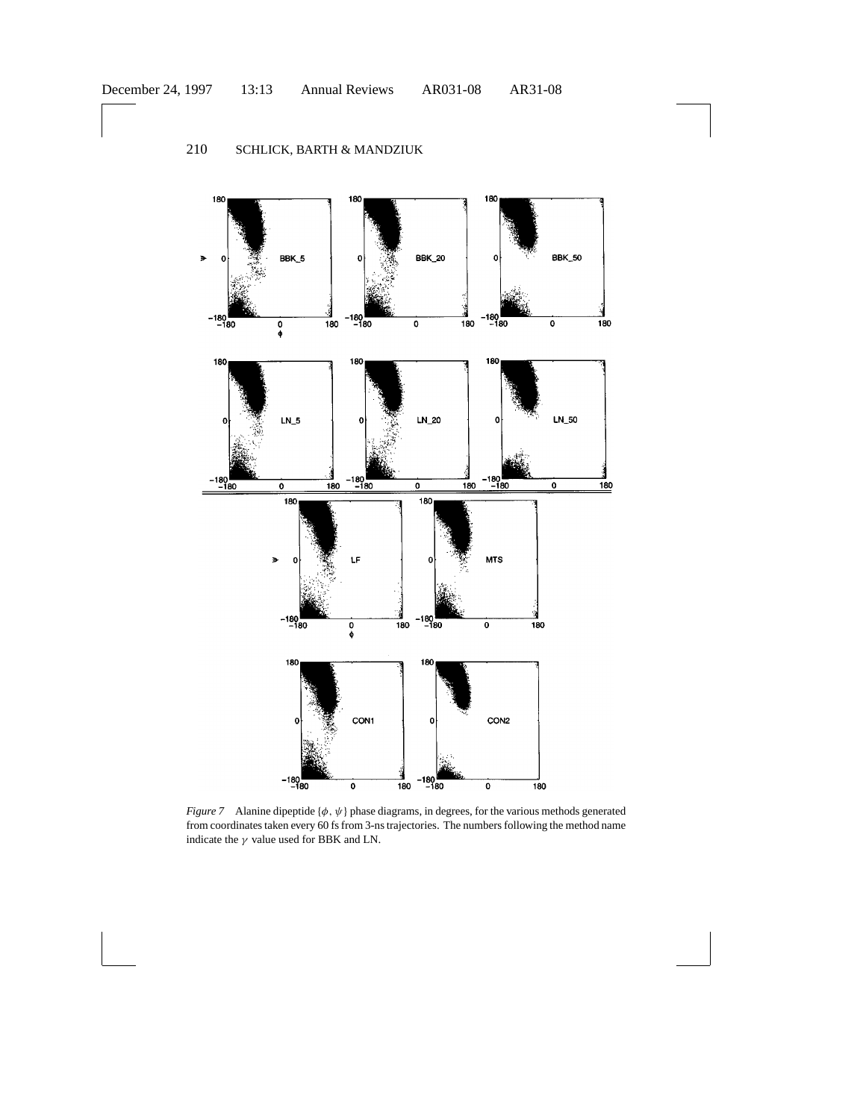

*Figure 7* Alanine dipeptide { $\phi$ ,  $\psi$ } phase diagrams, in degrees, for the various methods generated from coordinates taken every 60 fs from 3-ns trajectories. The numbers following the method name indicate the  $\gamma$  value used for BBK and LN.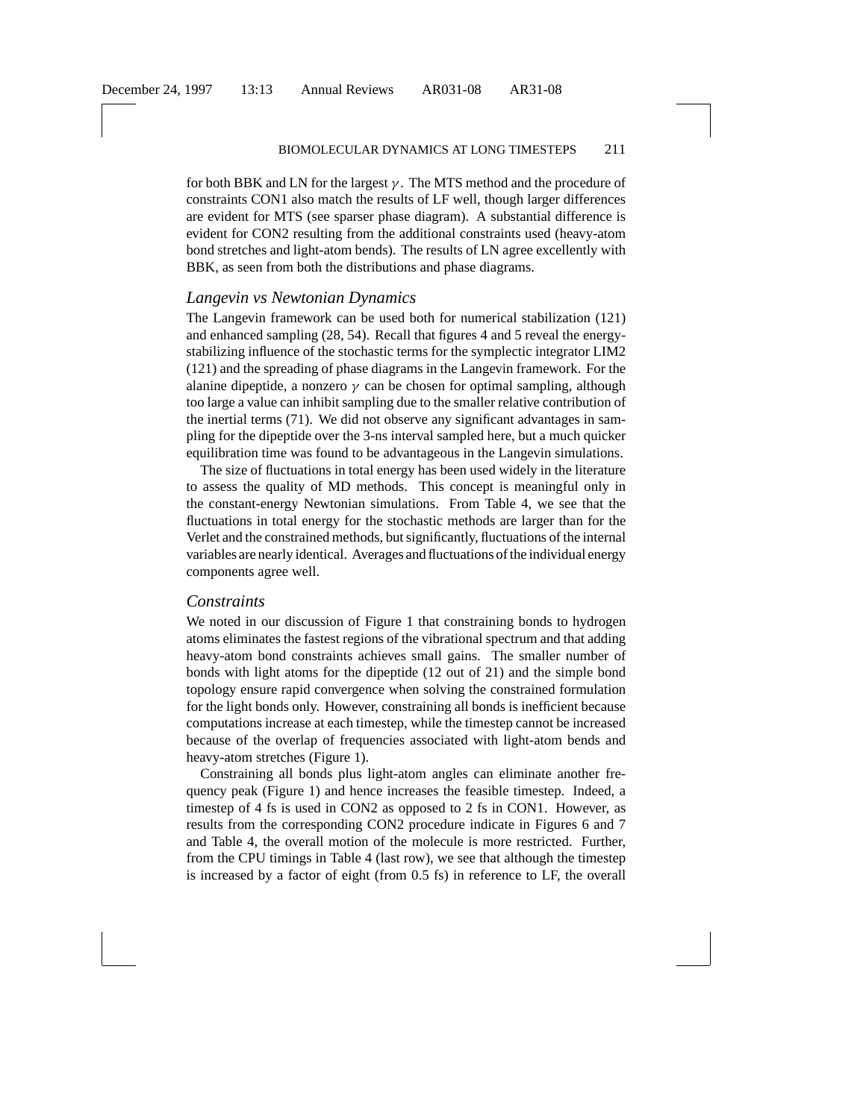for both BBK and LN for the largest  $\gamma$ . The MTS method and the procedure of constraints CON1 also match the results of LF well, though larger differences are evident for MTS (see sparser phase diagram). A substantial difference is evident for CON2 resulting from the additional constraints used (heavy-atom bond stretches and light-atom bends). The results of LN agree excellently with BBK, as seen from both the distributions and phase diagrams.

## *Langevin vs Newtonian Dynamics*

The Langevin framework can be used both for numerical stabilization (121) and enhanced sampling (28, 54). Recall that figures 4 and 5 reveal the energystabilizing influence of the stochastic terms for the symplectic integrator LIM2 (121) and the spreading of phase diagrams in the Langevin framework. For the alanine dipeptide, a nonzero  $\gamma$  can be chosen for optimal sampling, although too large a value can inhibit sampling due to the smaller relative contribution of the inertial terms (71). We did not observe any significant advantages in sampling for the dipeptide over the 3-ns interval sampled here, but a much quicker equilibration time was found to be advantageous in the Langevin simulations.

The size of fluctuations in total energy has been used widely in the literature to assess the quality of MD methods. This concept is meaningful only in the constant-energy Newtonian simulations. From Table 4, we see that the fluctuations in total energy for the stochastic methods are larger than for the Verlet and the constrained methods, but significantly, fluctuations of the internal variables are nearly identical. Averages and fluctuations of the individual energy components agree well.

#### *Constraints*

We noted in our discussion of Figure 1 that constraining bonds to hydrogen atoms eliminates the fastest regions of the vibrational spectrum and that adding heavy-atom bond constraints achieves small gains. The smaller number of bonds with light atoms for the dipeptide (12 out of 21) and the simple bond topology ensure rapid convergence when solving the constrained formulation for the light bonds only. However, constraining all bonds is inefficient because computations increase at each timestep, while the timestep cannot be increased because of the overlap of frequencies associated with light-atom bends and heavy-atom stretches (Figure 1).

Constraining all bonds plus light-atom angles can eliminate another frequency peak (Figure 1) and hence increases the feasible timestep. Indeed, a timestep of 4 fs is used in CON2 as opposed to 2 fs in CON1. However, as results from the corresponding CON2 procedure indicate in Figures 6 and 7 and Table 4, the overall motion of the molecule is more restricted. Further, from the CPU timings in Table 4 (last row), we see that although the timestep is increased by a factor of eight (from 0.5 fs) in reference to LF, the overall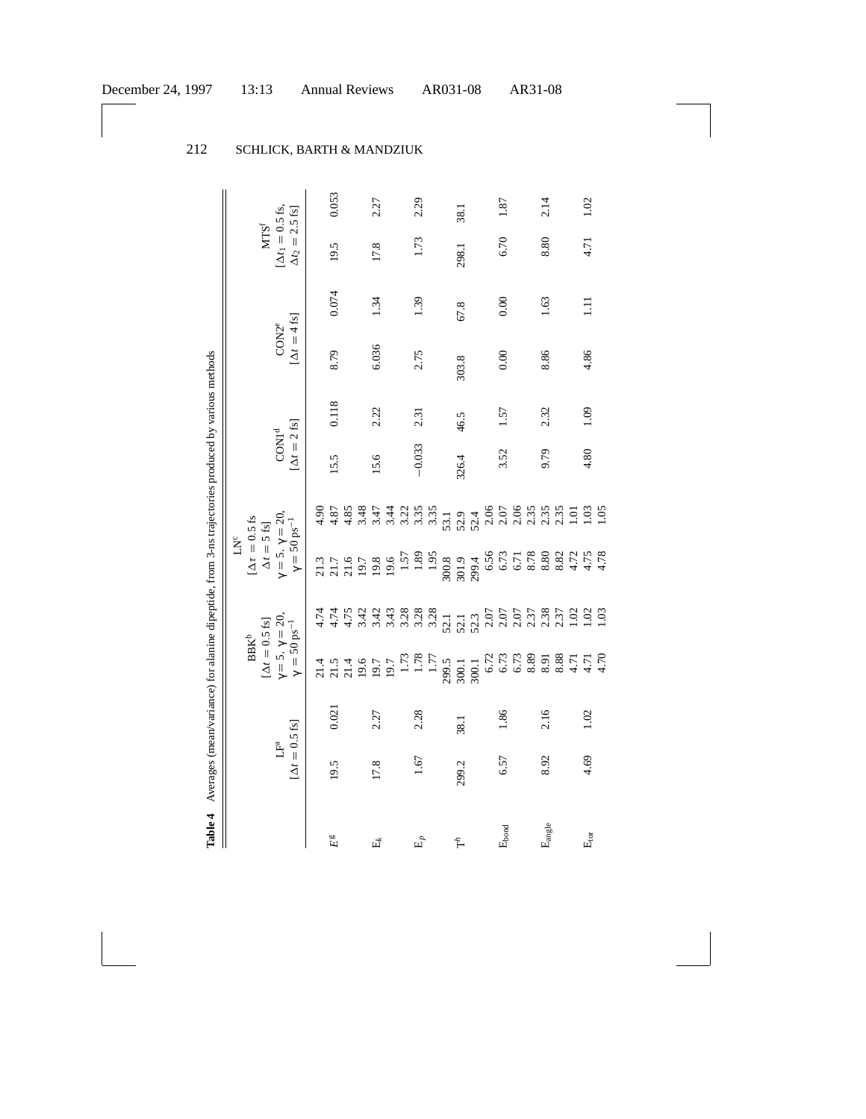| l'able 4           | Averages (mean/variance) for alanine dipeptide, from 3-ns trajectories produced by various methods |       |                               |                                     |                      |       |                     |       |                                                    |       |
|--------------------|----------------------------------------------------------------------------------------------------|-------|-------------------------------|-------------------------------------|----------------------|-------|---------------------|-------|----------------------------------------------------|-------|
|                    |                                                                                                    |       |                               | $\tilde{H}^{\circ}$                 |                      |       |                     |       |                                                    |       |
|                    |                                                                                                    |       | ${\bf BBR}^{\rm b}$           | $[\Delta \tau = 0.5 \, \mathrm{fs}$ |                      |       |                     |       |                                                    |       |
|                    |                                                                                                    |       | $[\Delta t = 0.5 \text{ fs}]$ | $\Delta t=5~\mathrm{fs}$            |                      |       |                     |       | $\mathbf{M}\mathbf{T}\mathbf{S}^{\mathrm{f}}$      |       |
|                    | $\mathbb{H}^{\mathrm{a}}$                                                                          |       | $\gamma = 5, \ \gamma = 20,$  | $\gamma = 5, \gamma = 20$           | $\rm{CONl}^d$        |       | CON2 <sup>e</sup>   |       | [ $\Delta t_1 = 0.5$ fs,<br>$\Delta t_2 = 2.5$ fs] |       |
|                    | $[\Delta t = 0.5 \text{ fs}]$                                                                      |       | $\gamma=50\:\mathrm{ps}^{-1}$ | $\gamma=50$ $\mathrm{ps}^{-1}$      | [ $\Delta t = 2$ fs] |       | $[\Delta t = 4$ fs] |       |                                                    |       |
|                    |                                                                                                    |       |                               |                                     |                      |       |                     |       |                                                    |       |
| Εs                 | 19.5                                                                                               | 0.021 |                               |                                     | 15.5                 | 0.118 | 8.79                | 0.074 | 19.5                                               | 0.053 |
|                    |                                                                                                    |       |                               |                                     |                      |       |                     |       |                                                    |       |
|                    |                                                                                                    |       |                               |                                     |                      |       |                     |       |                                                    |       |
| ЕŘ                 | 17.8                                                                                               | 2.27  |                               |                                     | 15.6                 | 2.22  | 6.036               | 1.34  | 17.8                                               | 2.27  |
|                    |                                                                                                    |       |                               |                                     |                      |       |                     |       |                                                    |       |
|                    |                                                                                                    |       |                               |                                     |                      |       |                     |       |                                                    |       |
| $\mathbb{E}_p$     | $1.67$                                                                                             | 2.28  |                               |                                     | $-0.033$             | 2.31  | 2.75                | 1.39  | 1.73                                               | 2.29  |
|                    |                                                                                                    |       |                               |                                     |                      |       |                     |       |                                                    |       |
|                    |                                                                                                    |       |                               |                                     |                      |       |                     |       |                                                    |       |
| $\tilde{\Gamma}$   | 299.2                                                                                              | 38.1  |                               | 12222211223232322223222222          | 326.4                | 46.5  | 303.8               | 67.8  | 298.1                                              | 38.1  |
|                    |                                                                                                    |       |                               |                                     |                      |       |                     |       |                                                    |       |
|                    |                                                                                                    |       |                               |                                     |                      |       |                     |       |                                                    |       |
| $E_{bond}$         | 6.57                                                                                               | 1.86  |                               |                                     | 3.52                 | 1.57  | 0.00                | 0.00  | 6.70                                               | 1.87  |
|                    |                                                                                                    |       |                               |                                     |                      |       |                     |       |                                                    |       |
|                    |                                                                                                    |       |                               |                                     |                      |       |                     |       |                                                    |       |
| $E_{angle}$        | 8.92                                                                                               | 2.16  |                               |                                     | 9.79                 | 2.32  | 8.86                | 1.63  | 8.80                                               | 2.14  |
|                    |                                                                                                    |       |                               |                                     |                      |       |                     |       |                                                    |       |
|                    |                                                                                                    |       |                               |                                     |                      |       |                     |       |                                                    |       |
| $\mathrm{E_{tor}}$ | 4.69                                                                                               | 1.02  |                               |                                     | 4.80                 | 1.09  | 4.86                | $\Xi$ | 4.71                                               | 1.02  |
|                    |                                                                                                    |       |                               |                                     |                      |       |                     |       |                                                    |       |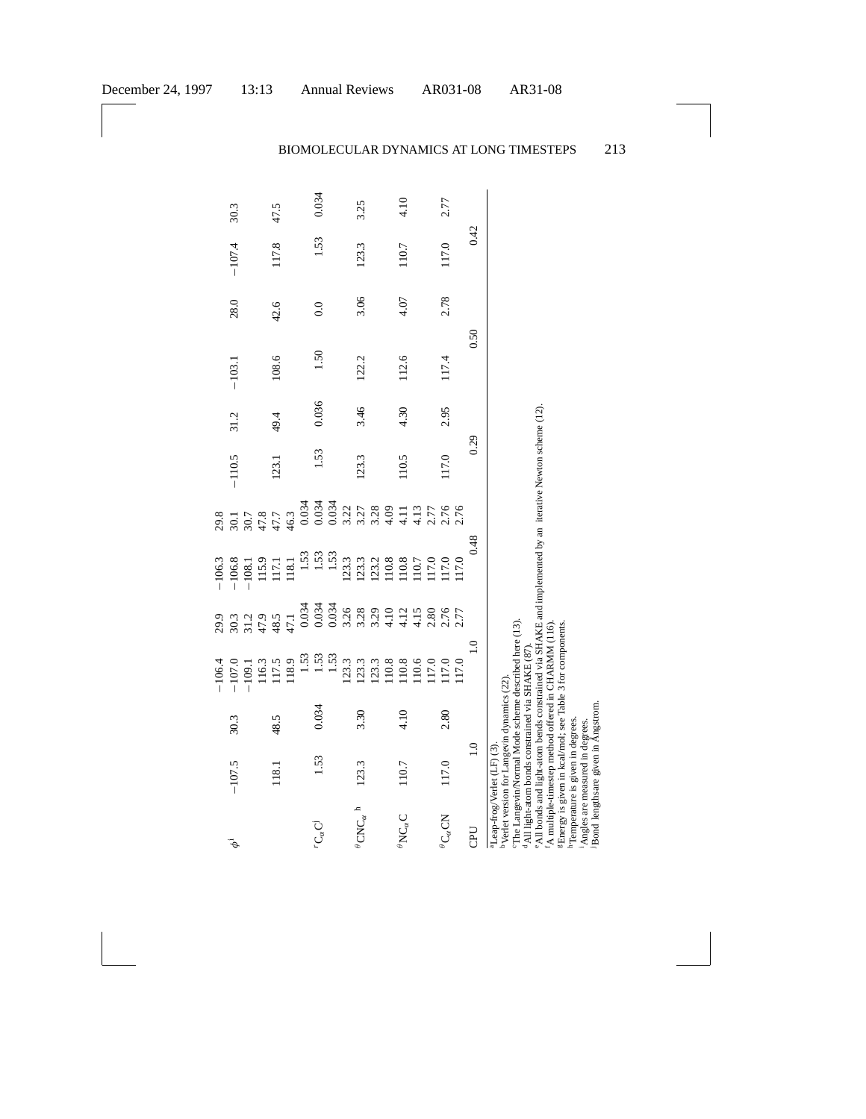|                            | $-107.5$                                                                                         | 30.3  | $-106.4$<br>$-107.0$<br>$-109.1$<br>$-116.3$<br>$-115.5$<br>$-115.5$<br>$-15.3$<br>$-15.3$                               |      | $-110.5$ | 31.2  | $-103.1$ | 28.0 | $-107.4$ | 30.3  |
|----------------------------|--------------------------------------------------------------------------------------------------|-------|--------------------------------------------------------------------------------------------------------------------------|------|----------|-------|----------|------|----------|-------|
|                            |                                                                                                  |       |                                                                                                                          |      |          |       |          |      |          |       |
|                            |                                                                                                  |       |                                                                                                                          |      |          |       |          |      |          |       |
|                            | 118.1                                                                                            | 48.5  |                                                                                                                          |      | 123.1    | 49.4  | 108.6    | 42.6 | 117.8    | 47.5  |
|                            |                                                                                                  |       |                                                                                                                          |      |          |       |          |      |          |       |
|                            |                                                                                                  |       |                                                                                                                          |      |          |       |          |      |          |       |
| $^rC_\alpha C^j$           | 1.53                                                                                             | 0.034 |                                                                                                                          |      | 1.53     | 0.036 | 1.50     | 0.0  | 1.53     | 0.034 |
|                            |                                                                                                  |       |                                                                                                                          |      |          |       |          |      |          |       |
|                            |                                                                                                  |       |                                                                                                                          |      |          |       |          |      |          |       |
| $\theta$ CNC $_{\alpha}$ h | 123.3                                                                                            | 3.30  |                                                                                                                          |      | 123.3    | 3.46  | 122.2    | 3.06 | 123.3    | 3.25  |
|                            |                                                                                                  |       |                                                                                                                          |      |          |       |          |      |          |       |
|                            |                                                                                                  |       | $\begin{array}{l} 123.3 \\ 123.3 \\ 110.8 \\ 110.8 \\ 110.6 \\ 111.0 \\ 117.0 \\ 117.0 \\ 117.0 \\ 117.0 \\ \end{array}$ |      |          |       |          |      |          |       |
| ${}^{\theta}NC_{\alpha}C$  | 110.7                                                                                            | 4.10  |                                                                                                                          |      | 110.5    | 4.30  | 112.6    | 4.07 | 110.7    | 4.10  |
|                            |                                                                                                  |       |                                                                                                                          |      |          |       |          |      |          |       |
|                            |                                                                                                  |       |                                                                                                                          |      |          |       |          |      |          |       |
| ${}^\theta C_\alpha$ CN    | 117.0                                                                                            | 2.80  |                                                                                                                          |      | 117.0    | 2.95  | 117.4    | 2.78 | 117.0    | 2.77  |
|                            |                                                                                                  |       | 117.0                                                                                                                    |      |          |       |          |      |          |       |
| ಕ                          | $\overline{1.0}$                                                                                 |       |                                                                                                                          | 0.48 | 0.29     |       | 0.50     |      | 0.42     |       |
|                            | <sup>b</sup> Verlet version for Langevin dynamics (22)<br><sup>a</sup> Leap-frog/Verlet (LF) (3) |       | The Langevin/Normal Mode scheme described here (13).                                                                     |      |          |       |          |      |          |       |

°The Langevin/Normal Mode scheme described here (13).<br><sup>d</sup>All light-atom bonds constrained via SHAKE (87). <sup>d</sup>All light-atom bonds constrained via SHAKE (87).

e All bonds and light-atom bends constrained via SHAKE and implemented by an iterative Newton scheme (12).<br>
"A multiple-timestep method offered in CHARMM (116).<br>
<sup>8</sup>Energy is given in kcal/mol; see Table 3 for components. eAll bonds and light-atom bends constrained via SHAKE and implemented by an iterative Newton scheme (12).

fA multiple-timestep method offered in CHARMM (116).

gEnergy is given in kcal/mol; see Table 3 for components.

hTemperature is given in degrees.

iAngles are measured in degrees.

Bond lengths are given in Ångstrom.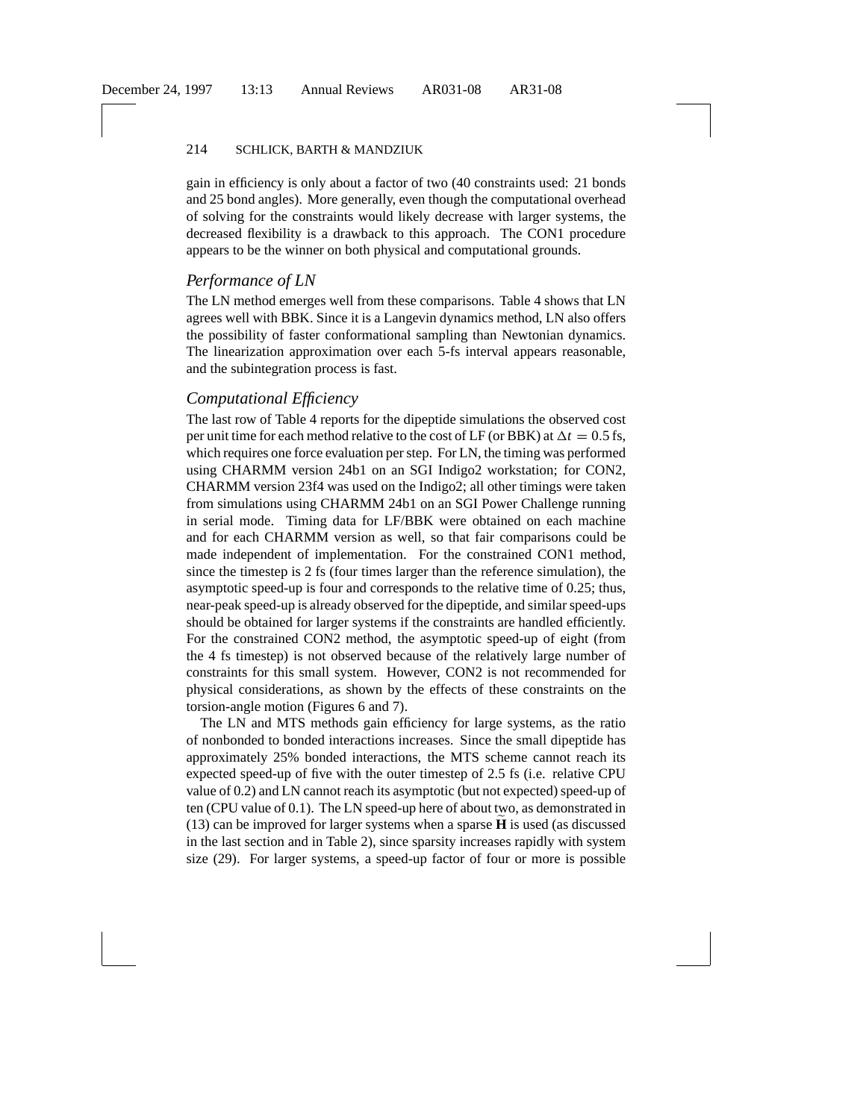gain in efficiency is only about a factor of two (40 constraints used: 21 bonds and 25 bond angles). More generally, even though the computational overhead of solving for the constraints would likely decrease with larger systems, the decreased flexibility is a drawback to this approach. The CON1 procedure appears to be the winner on both physical and computational grounds.

# *Performance of LN*

The LN method emerges well from these comparisons. Table 4 shows that LN agrees well with BBK. Since it is a Langevin dynamics method, LN also offers the possibility of faster conformational sampling than Newtonian dynamics. The linearization approximation over each 5-fs interval appears reasonable, and the subintegration process is fast.

## *Computational Efficiency*

The last row of Table 4 reports for the dipeptide simulations the observed cost per unit time for each method relative to the cost of LF (or BBK) at  $\Delta t = 0.5$  fs, which requires one force evaluation per step. For LN, the timing was performed using CHARMM version 24b1 on an SGI Indigo2 workstation; for CON2, CHARMM version 23f4 was used on the Indigo2; all other timings were taken from simulations using CHARMM 24b1 on an SGI Power Challenge running in serial mode. Timing data for LF/BBK were obtained on each machine and for each CHARMM version as well, so that fair comparisons could be made independent of implementation. For the constrained CON1 method, since the timestep is 2 fs (four times larger than the reference simulation), the asymptotic speed-up is four and corresponds to the relative time of 0.25; thus, near-peak speed-up is already observed for the dipeptide, and similar speed-ups should be obtained for larger systems if the constraints are handled efficiently. For the constrained CON2 method, the asymptotic speed-up of eight (from the 4 fs timestep) is not observed because of the relatively large number of constraints for this small system. However, CON2 is not recommended for physical considerations, as shown by the effects of these constraints on the torsion-angle motion (Figures 6 and 7).

The LN and MTS methods gain efficiency for large systems, as the ratio of nonbonded to bonded interactions increases. Since the small dipeptide has approximately 25% bonded interactions, the MTS scheme cannot reach its expected speed-up of five with the outer timestep of 2.5 fs (i.e. relative CPU value of 0.2) and LN cannot reach its asymptotic (but not expected) speed-up of ten (CPU value of 0.1). The LN speed-up here of about two, as demonstrated in  $(13)$  can be improved for larger systems when a sparse **H** is used (as discussed in the last section and in Table 2), since sparsity increases rapidly with system size (29). For larger systems, a speed-up factor of four or more is possible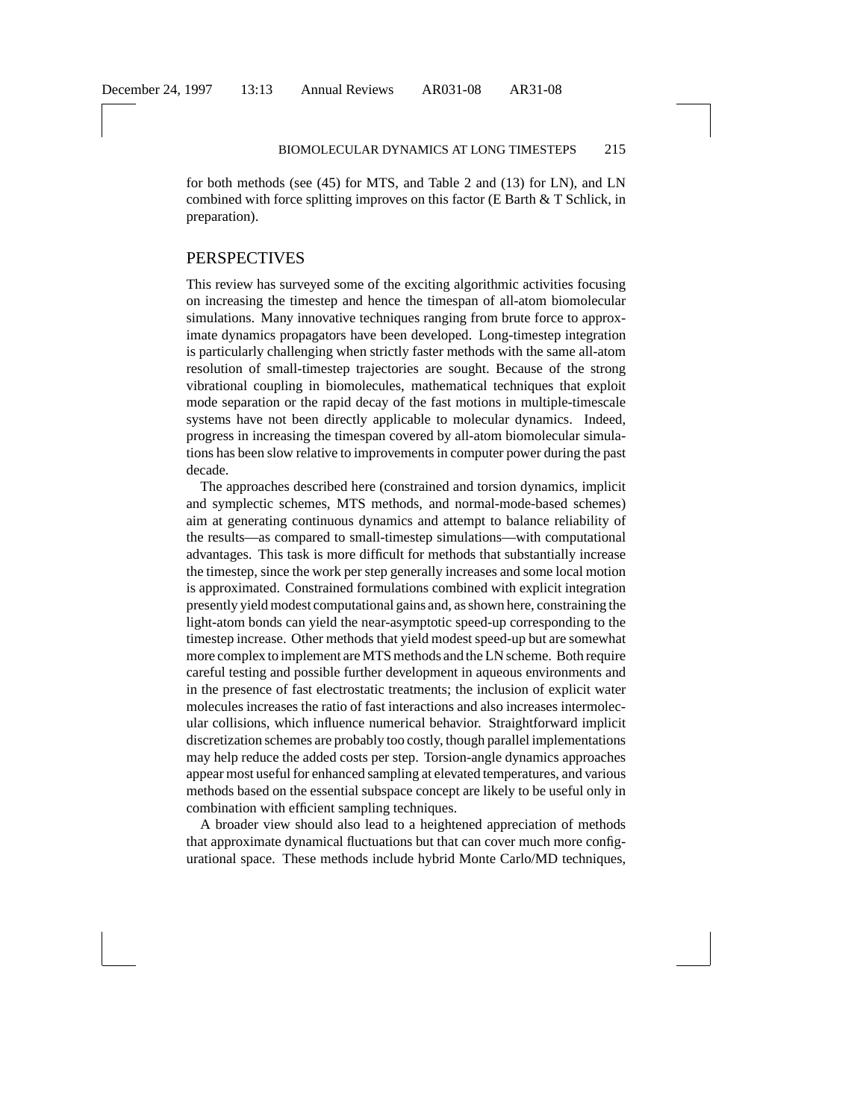for both methods (see (45) for MTS, and Table 2 and (13) for LN), and LN combined with force splitting improves on this factor (E Barth & T Schlick, in preparation).

#### PERSPECTIVES

This review has surveyed some of the exciting algorithmic activities focusing on increasing the timestep and hence the timespan of all-atom biomolecular simulations. Many innovative techniques ranging from brute force to approximate dynamics propagators have been developed. Long-timestep integration is particularly challenging when strictly faster methods with the same all-atom resolution of small-timestep trajectories are sought. Because of the strong vibrational coupling in biomolecules, mathematical techniques that exploit mode separation or the rapid decay of the fast motions in multiple-timescale systems have not been directly applicable to molecular dynamics. Indeed, progress in increasing the timespan covered by all-atom biomolecular simulations has been slow relative to improvements in computer power during the past decade.

The approaches described here (constrained and torsion dynamics, implicit and symplectic schemes, MTS methods, and normal-mode-based schemes) aim at generating continuous dynamics and attempt to balance reliability of the results—as compared to small-timestep simulations—with computational advantages. This task is more difficult for methods that substantially increase the timestep, since the work per step generally increases and some local motion is approximated. Constrained formulations combined with explicit integration presently yield modest computational gains and, as shown here, constraining the light-atom bonds can yield the near-asymptotic speed-up corresponding to the timestep increase. Other methods that yield modest speed-up but are somewhat more complex to implement are MTS methods and the LN scheme. Both require careful testing and possible further development in aqueous environments and in the presence of fast electrostatic treatments; the inclusion of explicit water molecules increases the ratio of fast interactions and also increases intermolecular collisions, which influence numerical behavior. Straightforward implicit discretization schemes are probably too costly, though parallel implementations may help reduce the added costs per step. Torsion-angle dynamics approaches appear most useful for enhanced sampling at elevated temperatures, and various methods based on the essential subspace concept are likely to be useful only in combination with efficient sampling techniques.

A broader view should also lead to a heightened appreciation of methods that approximate dynamical fluctuations but that can cover much more configurational space. These methods include hybrid Monte Carlo/MD techniques,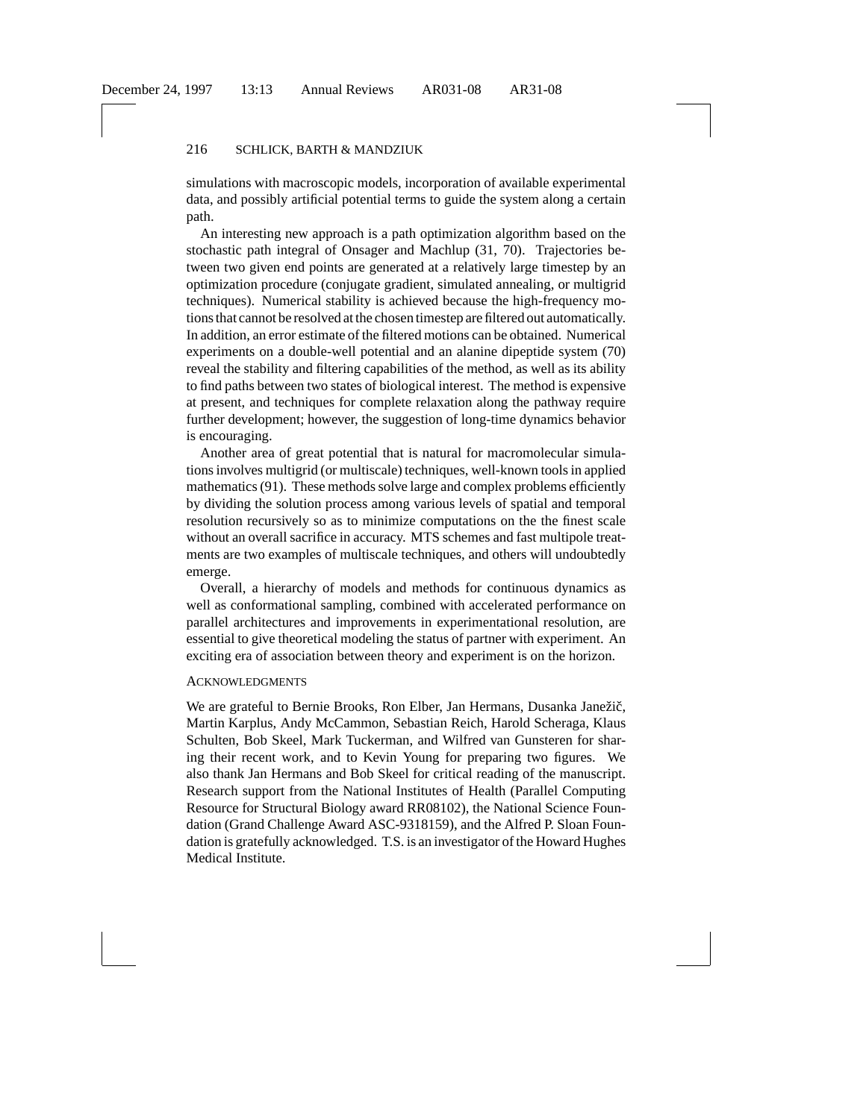simulations with macroscopic models, incorporation of available experimental data, and possibly artificial potential terms to guide the system along a certain path.

An interesting new approach is a path optimization algorithm based on the stochastic path integral of Onsager and Machlup (31, 70). Trajectories between two given end points are generated at a relatively large timestep by an optimization procedure (conjugate gradient, simulated annealing, or multigrid techniques). Numerical stability is achieved because the high-frequency motions that cannot be resolved at the chosen timestep are filtered out automatically. In addition, an error estimate of the filtered motions can be obtained. Numerical experiments on a double-well potential and an alanine dipeptide system (70) reveal the stability and filtering capabilities of the method, as well as its ability to find paths between two states of biological interest. The method is expensive at present, and techniques for complete relaxation along the pathway require further development; however, the suggestion of long-time dynamics behavior is encouraging.

Another area of great potential that is natural for macromolecular simulations involves multigrid (or multiscale) techniques, well-known tools in applied mathematics (91). These methods solve large and complex problems efficiently by dividing the solution process among various levels of spatial and temporal resolution recursively so as to minimize computations on the the finest scale without an overall sacrifice in accuracy. MTS schemes and fast multipole treatments are two examples of multiscale techniques, and others will undoubtedly emerge.

Overall, a hierarchy of models and methods for continuous dynamics as well as conformational sampling, combined with accelerated performance on parallel architectures and improvements in experimentational resolution, are essential to give theoretical modeling the status of partner with experiment. An exciting era of association between theory and experiment is on the horizon.

#### ACKNOWLEDGMENTS

We are grateful to Bernie Brooks, Ron Elber, Jan Hermans, Dusanka Janežič, Martin Karplus, Andy McCammon, Sebastian Reich, Harold Scheraga, Klaus Schulten, Bob Skeel, Mark Tuckerman, and Wilfred van Gunsteren for sharing their recent work, and to Kevin Young for preparing two figures. We also thank Jan Hermans and Bob Skeel for critical reading of the manuscript. Research support from the National Institutes of Health (Parallel Computing Resource for Structural Biology award RR08102), the National Science Foundation (Grand Challenge Award ASC-9318159), and the Alfred P. Sloan Foundation is gratefully acknowledged. T.S. is an investigator of the Howard Hughes Medical Institute.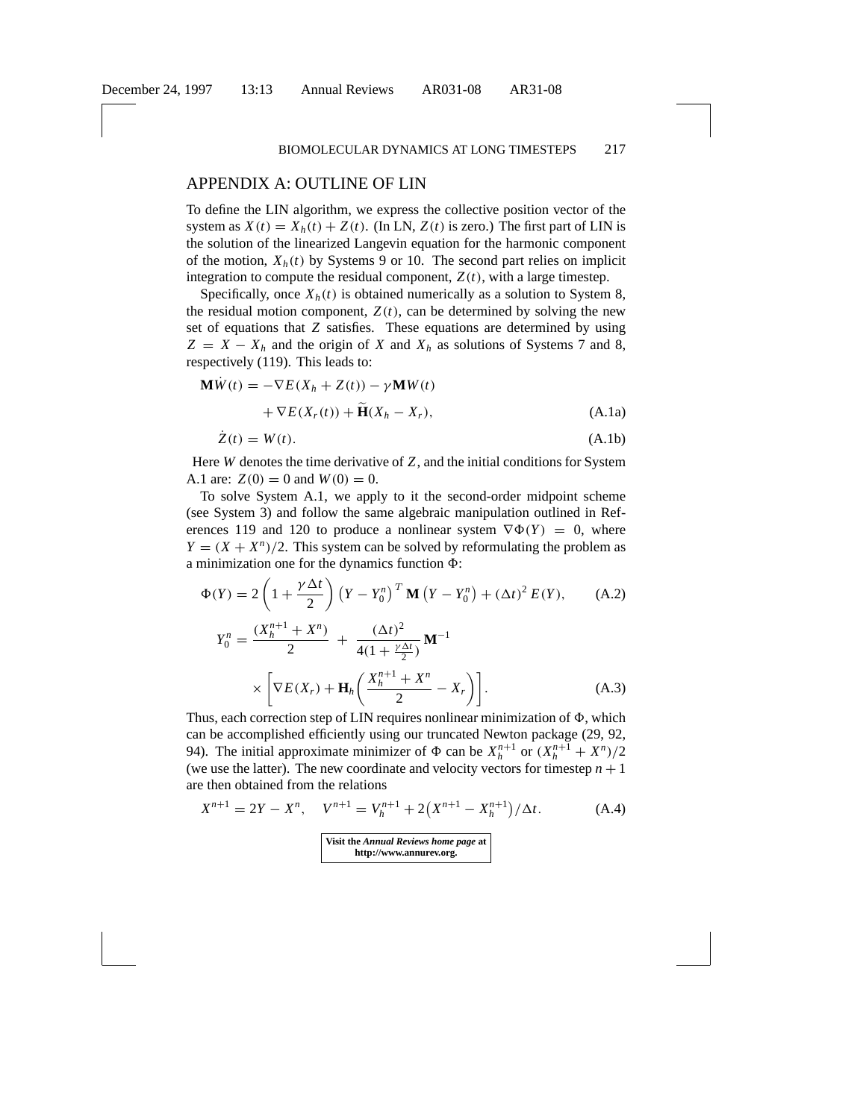## APPENDIX A: OUTLINE OF LIN

To define the LIN algorithm, we express the collective position vector of the system as  $X(t) = X_h(t) + Z(t)$ . (In LN,  $Z(t)$  is zero.) The first part of LIN is the solution of the linearized Langevin equation for the harmonic component of the motion,  $X_h(t)$  by Systems 9 or 10. The second part relies on implicit integration to compute the residual component,  $Z(t)$ , with a large timestep.

Specifically, once  $X_h(t)$  is obtained numerically as a solution to System 8, the residual motion component,  $Z(t)$ , can be determined by solving the new set of equations that *Z* satisfies. These equations are determined by using  $Z = X - X_h$  and the origin of *X* and  $X_h$  as solutions of Systems 7 and 8, respectively (119). This leads to:

$$
\mathbf{M}\ddot{W}(t) = -\nabla E(X_h + Z(t)) - \gamma \mathbf{M}W(t) \n+ \nabla E(X_r(t)) + \widetilde{\mathbf{H}}(X_h - X_r),
$$
\n(A.1a)

$$
\dot{Z}(t) = W(t). \tag{A.1b}
$$

Here *W* denotes the time derivative of *Z*, and the initial conditions for System A.1 are:  $Z(0) = 0$  and  $W(0) = 0$ .

To solve System A.1, we apply to it the second-order midpoint scheme (see System 3) and follow the same algebraic manipulation outlined in References 119 and 120 to produce a nonlinear system  $\nabla \Phi(Y) = 0$ , where  $Y = (X + X^n)/2$ . This system can be solved by reformulating the problem as a minimization one for the dynamics function  $\Phi$ :

$$
\Phi(Y) = 2\left(1 + \frac{\gamma \Delta t}{2}\right) \left(Y - Y_0^n\right)^T \mathbf{M} \left(Y - Y_0^n\right) + \left(\Delta t\right)^2 E(Y), \quad \text{(A.2)}
$$
\n
$$
Y_0^n = \frac{(X_h^{n+1} + X^n)}{2} + \frac{\left(\Delta t\right)^2}{4(1 + \frac{\gamma \Delta t}{2})} \mathbf{M}^{-1}
$$
\n
$$
\times \left[\nabla E(X_r) + \mathbf{H}_h \left(\frac{X_h^{n+1} + X^n}{2} - X_r\right)\right]. \quad \text{(A.3)}
$$

Thus, each correction step of LIN requires nonlinear minimization of  $\Phi$ , which can be accomplished efficiently using our truncated Newton package (29, 92, 94). The initial approximate minimizer of  $\Phi$  can be  $X_h^{n+1}$  or  $(X_h^{n+1} + X^n)/2$ (we use the latter). The new coordinate and velocity vectors for timestep  $n + 1$ are then obtained from the relations

$$
X^{n+1} = 2Y - X^n, \quad V^{n+1} = V_h^{n+1} + 2(X^{n+1} - X_h^{n+1})/\Delta t.
$$
 (A.4)

**Visit the** *Annual Reviews home page* **at http://www.annurev.org.**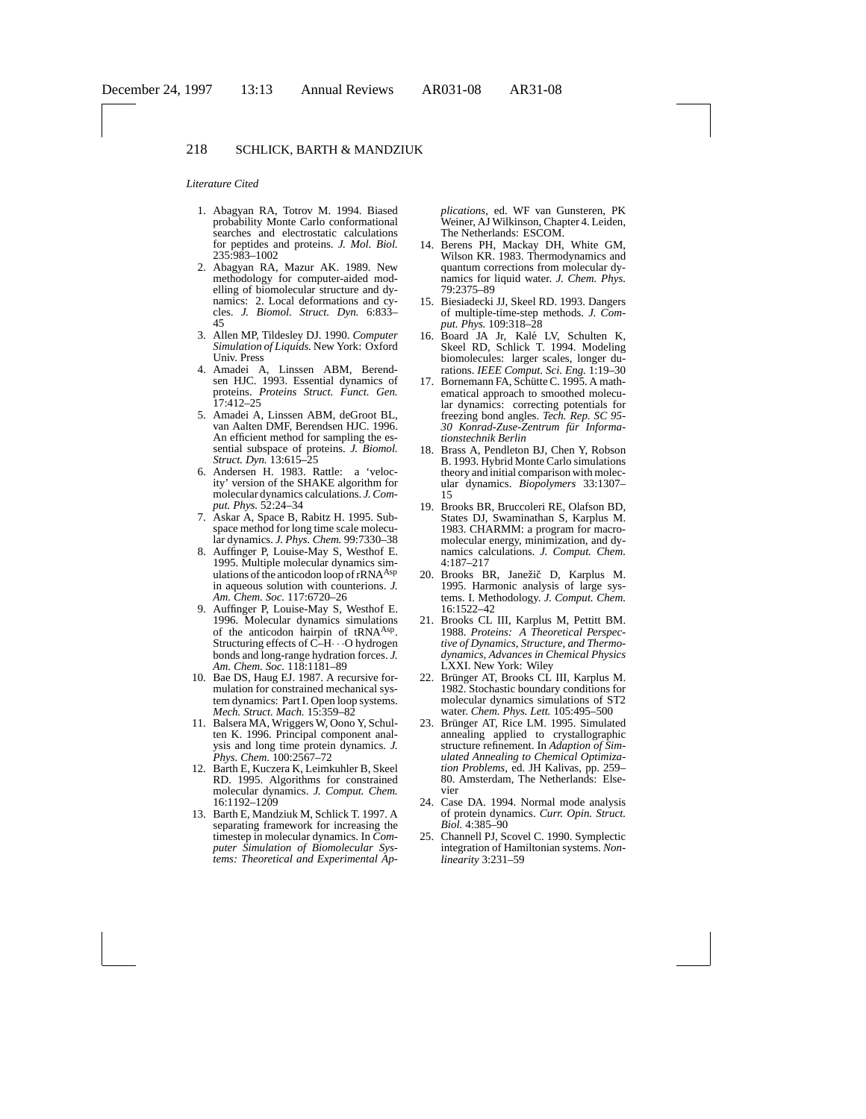#### *Literature Cited*

- 1. Abagyan RA, Totrov M. 1994. Biased probability Monte Carlo conformational searches and electrostatic calculations for peptides and proteins. *J. Mol. Biol.* 235:983–1002
- 2. Abagyan RA, Mazur AK. 1989. New methodology for computer-aided modelling of biomolecular structure and dynamics: 2. Local deformations and cycles. *J. Biomol. Struct. Dyn.* 6:833– 45
- 3. Allen MP, Tildesley DJ. 1990. *Computer Simulation of Liquids.* New York: Oxford Univ. Press
- 4. Amadei A, Linssen ABM, Berendsen HJC. 1993. Essential dynamics of proteins. *Proteins Struct. Funct. Gen.* 17:412–25
- 5. Amadei A, Linssen ABM, deGroot BL, van Aalten DMF, Berendsen HJC. 1996. An efficient method for sampling the essential subspace of proteins. *J. Biomol. Struct. Dyn.* 13:615–25
- 6. Andersen H. 1983. Rattle: a 'velocity' version of the SHAKE algorithm for molecular dynamics calculations. *J. Comput. Phys.* 52:24–34
- 7. Askar A, Space B, Rabitz H. 1995. Subspace method for long time scale molecular dynamics. *J. Phys. Chem.* 99:7330–38
- 8. Auffinger P, Louise-May S, Westhof E. 1995. Multiple molecular dynamics simulations of the anticodon loop of rRNA<sup>Asp</sup> in aqueous solution with counterions. *J. Am. Chem. Soc.* 117:6720–26
- 9. Auffinger P, Louise-May S, Westhof E. 1996. Molecular dynamics simulations of the anticodon hairpin of tRNA<sup>Asp</sup>. Structuring effects of C–H···O hydrogen bonds and long-range hydration forces. *J. Am. Chem. Soc.* 118:1181–89
- 10. Bae DS, Haug EJ. 1987. A recursive formulation for constrained mechanical system dynamics: Part I. Open loop systems. *Mech. Struct. Mach.* 15:359–82
- 11. Balsera MA, Wriggers W, Oono Y, Schulten K. 1996. Principal component analysis and long time protein dynamics. *J. Phys. Chem.* 100:2567–72
- 12. Barth E, Kuczera K, Leimkuhler B, Skeel RD. 1995. Algorithms for constrained molecular dynamics. *J. Comput. Chem.* 16:1192–1209
- 13. Barth E, Mandziuk M, Schlick T. 1997. A separating framework for increasing the timestep in molecular dynamics. In *Computer Simulation of Biomolecular Systems: Theoretical and Experimental Ap-*

*plications,* ed. WF van Gunsteren, PK Weiner, AJ Wilkinson, Chapter 4. Leiden, The Netherlands: ESCOM.

- 14. Berens PH, Mackay DH, White GM, Wilson KR. 1983. Thermodynamics and quantum corrections from molecular dynamics for liquid water. *J. Chem. Phys.* 79:2375–89
- 15. Biesiadecki JJ, Skeel RD. 1993. Dangers of multiple-time-step methods. *J. Comput. Phys.* 109:318–28
- 16. Board JA Jr, Kalé LV, Schulten K, Skeel RD, Schlick T. 1994. Modeling biomolecules: larger scales, longer durations. *IEEE Comput. Sci. Eng.* 1:19–30
- 17. Bornemann FA, Schütte C. 1995. A mathematical approach to smoothed molecular dynamics: correcting potentials for freezing bond angles. *Tech. Rep. SC 95- 30 Konrad-Zuse-Zentrum fur Informa- ¨ tionstechnik Berlin*
- 18. Brass A, Pendleton BJ, Chen Y, Robson B. 1993. Hybrid Monte Carlo simulations theory and initial comparison with molecular dynamics. *Biopolymers* 33:1307– 15
- 19. Brooks BR, Bruccoleri RE, Olafson BD, States DJ, Swaminathan S, Karplus M. 1983. CHARMM: a program for macromolecular energy, minimization, and dynamics calculations. *J. Comput. Chem.* 4:187–217
- 20. Brooks BR, Janežič D, Karplus M. 1995. Harmonic analysis of large systems. I. Methodology. *J. Comput. Chem.* 16:1522–42
- 21. Brooks CL III, Karplus M, Pettitt BM. 1988. *Proteins: A Theoretical Perspective of Dynamics, Structure, and Thermodynamics, Advances in Chemical Physics* LXXI. New York: Wiley
- 22. Brünger AT, Brooks CL III, Karplus M. 1982. Stochastic boundary conditions for molecular dynamics simulations of ST2 water. *Chem. Phys. Lett.* 105:495–500
- 23. Brünger AT, Rice LM. 1995. Simulated annealing applied to crystallographic structure refinement. In *Adaption of Simulated Annealing to Chemical Optimization Problems,* ed. JH Kalivas, pp. 259– 80. Amsterdam, The Netherlands: Elsevier
- 24. Case DA. 1994. Normal mode analysis of protein dynamics. *Curr. Opin. Struct. Biol.* 4:385–90
- 25. Channell PJ, Scovel C. 1990. Symplectic integration of Hamiltonian systems. *Nonlinearity* 3:231–59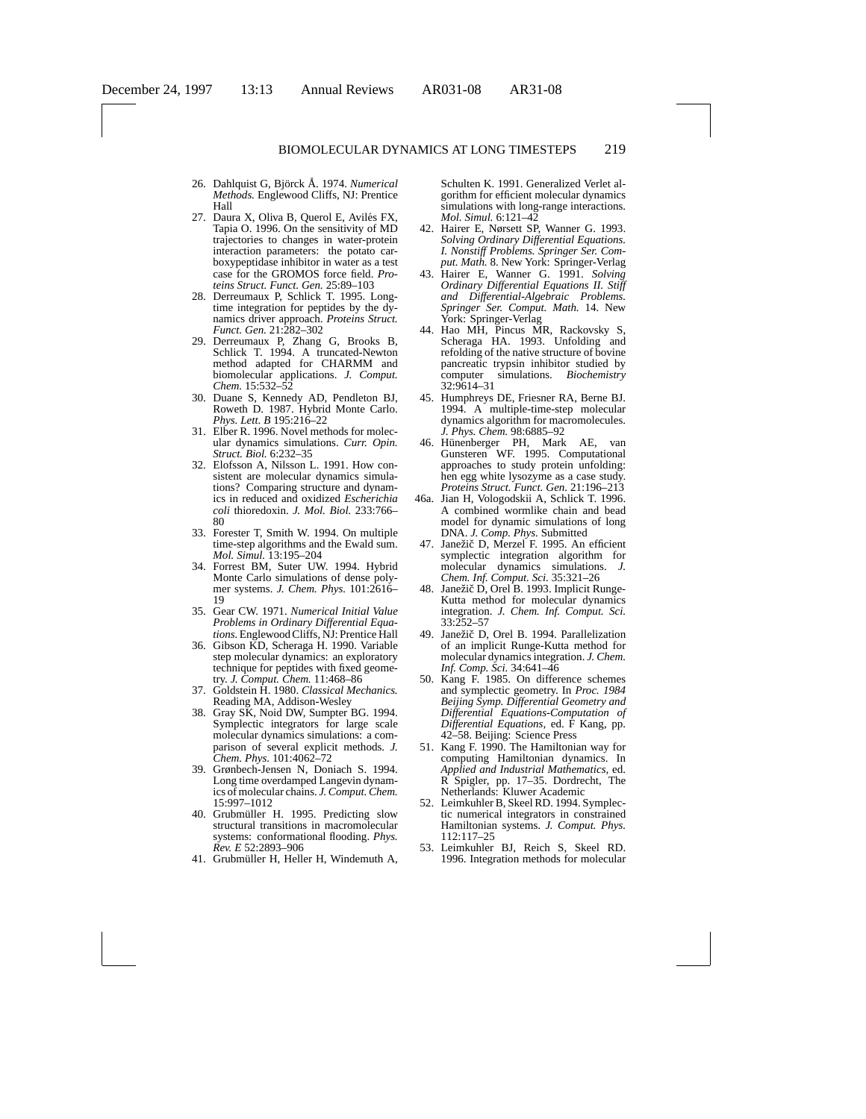- 26. Dahlquist G, Björck Å. 1974. Numerical *Methods.* Englewood Cliffs, NJ: Prentice Hall
- 27. Daura X, Oliva B, Querol E, Avilés FX, Tapia O. 1996. On the sensitivity of MD trajectories to changes in water-protein interaction parameters: the potato carboxypeptidase inhibitor in water as a test case for the GROMOS force field. *Proteins Struct. Funct. Gen.* 25:89–103
- 28. Derreumaux P, Schlick T. 1995. Longtime integration for peptides by the dynamics driver approach. *Proteins Struct. Funct. Gen.* 21:282–302
- 29. Derreumaux P, Zhang G, Brooks B, Schlick T. 1994. A truncated-Newton method adapted for CHARMM and biomolecular applications. *J. Comput. Chem.* 15:532–52
- 30. Duane S, Kennedy AD, Pendleton BJ, Roweth D. 1987. Hybrid Monte Carlo. *Phys. Lett. B* 195:216–22
- 31. Elber R. 1996. Novel methods for molecular dynamics simulations. *Curr. Opin. Struct. Biol.* 6:232–35
- 32. Elofsson A, Nilsson L. 1991. How consistent are molecular dynamics simulations? Comparing structure and dynamics in reduced and oxidized *Escherichia coli* thioredoxin. *J. Mol. Biol.* 233:766–  $80$
- 33. Forester T, Smith W. 1994. On multiple time-step algorithms and the Ewald sum. *Mol. Simul.* 13:195–204
- 34. Forrest BM, Suter UW. 1994. Hybrid Monte Carlo simulations of dense polymer systems. *J. Chem. Phys.* 101:2616– 19
- 35. Gear CW. 1971. *Numerical Initial Value Problems in Ordinary Differential Equations.* Englewood Cliffs, NJ: Prentice Hall
- 36. Gibson KD, Scheraga H. 1990. Variable step molecular dynamics: an exploratory technique for peptides with fixed geometry. *J. Comput. Chem.* 11:468–86
- 37. Goldstein H. 1980. *Classical Mechanics.* Reading MA, Addison-Wesley
- 38. Gray SK, Noid DW, Sumpter BG. 1994. Symplectic integrators for large scale molecular dynamics simulations: a comparison of several explicit methods. *J. Chem. Phys.* 101:4062–72
- 39. Grønbech-Jensen N, Doniach S. 1994. Long time overdamped Langevin dynamics of molecular chains. *J. Comput. Chem.* 15:997–1012
- 40. Grubmüller H. 1995. Predicting slow structural transitions in macromolecular systems: conformational flooding. *Phys. Rev. E* 52:2893–906
- 41. Grubmüller H, Heller H, Windemuth A,

Schulten K. 1991. Generalized Verlet algorithm for efficient molecular dynamics simulations with long-range interactions. *Mol. Simul.* 6:121–42

- 42. Hairer E, Nørsett SP, Wanner G. 1993. *Solving Ordinary Differential Equations. I. Nonstiff Problems. Springer Ser. Comput. Math.* 8. New York: Springer-Verlag
- 43. Hairer E, Wanner G. 1991. *Solving Ordinary Differential Equations II. Stiff and Differential-Algebraic Problems. Springer Ser. Comput. Math.* 14. New York: Springer-Verlag
- 44. Hao MH, Pincus MR, Rackovsky S, Scheraga HA. 1993. Unfolding and refolding of the native structure of bovine pancreatic trypsin inhibitor studied by computer simulations. *Biochemistry* 32:9614–31
- 45. Humphreys DE, Friesner RA, Berne BJ. 1994. A multiple-time-step molecular dynamics algorithm for macromolecules. *J. Phys. Chem.* 98:6885–92
- 46. Hünenberger PH, Mark AE, van Gunsteren WF. 1995. Computational approaches to study protein unfolding: hen egg white lysozyme as a case study. *Proteins Struct. Funct. Gen.* 21:196–213
- 46a. Jian H, Vologodskii A, Schlick T. 1996. A combined wormlike chain and bead model for dynamic simulations of long DNA. *J. Comp. Phys.* Submitted
- 47. Janežič D, Merzel F. 1995. An efficient symplectic integration algorithm for molecular dynamics simulations. *J. Chem. Inf. Comput. Sci.* 35:321–26
- 48. Janežič D, Orel B. 1993. Implicit Runge-Kutta method for molecular dynamics integration. *J. Chem. Inf. Comput. Sci.* 33:252–57
- 49. Janežič D, Orel B. 1994. Parallelization of an implicit Runge-Kutta method for molecular dynamics integration. *J. Chem. Inf. Comp. Sci.* 34:641–46
- 50. Kang F. 1985. On difference schemes and symplectic geometry. In *Proc. 1984 Beijing Symp. Differential Geometry and Differential Equations-Computation of Differential Equations,* ed. F Kang, pp. 42–58. Beijing: Science Press
- 51. Kang F. 1990. The Hamiltonian way for computing Hamiltonian dynamics. In *Applied and Industrial Mathematics,* ed. R Spigler, pp. 17–35. Dordrecht, The Netherlands: Kluwer Academic
- 52. Leimkuhler B, Skeel RD. 1994. Symplectic numerical integrators in constrained Hamiltonian systems. *J. Comput. Phys.* 112:117–25
- 53. Leimkuhler BJ, Reich S, Skeel RD. 1996. Integration methods for molecular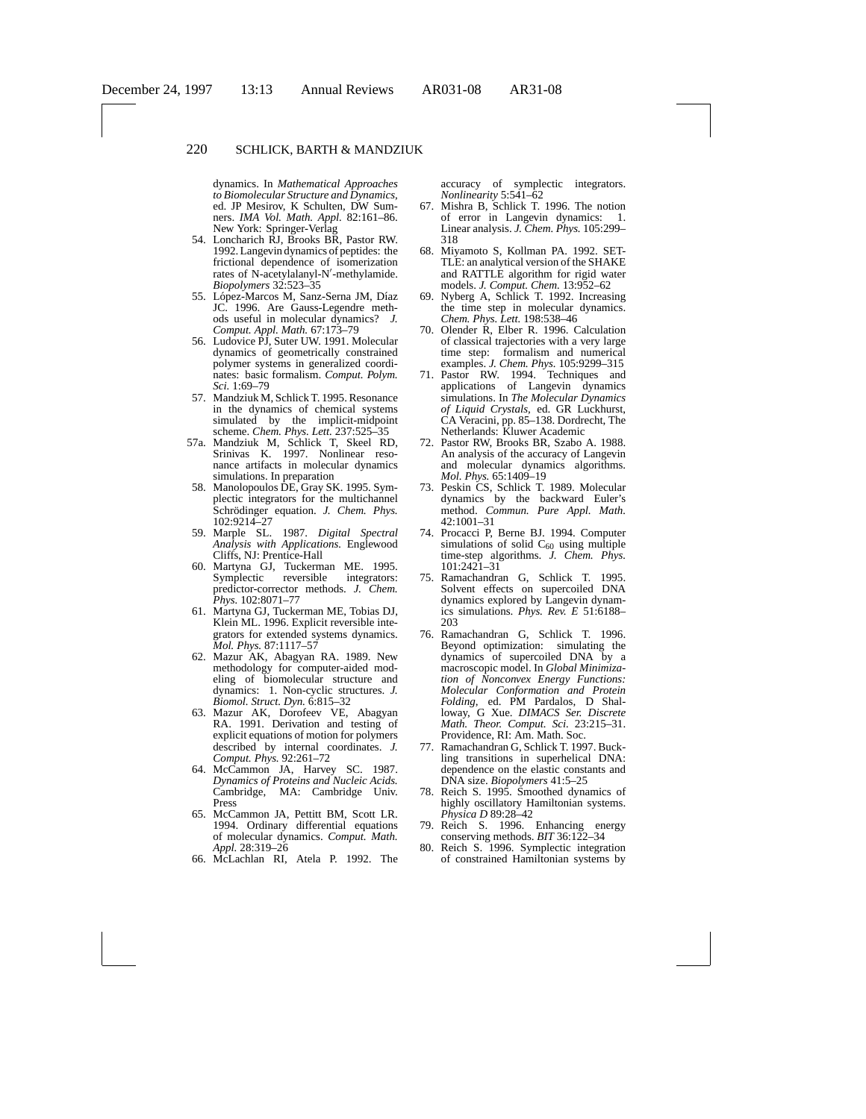dynamics. In *Mathematical Approaches to Biomolecular Structure and Dynamics,* ed. JP Mesirov, K Schulten, DW Sumners. *IMA Vol. Math. Appl.* 82:161–86. New York: Springer-Verlag

- 54. Loncharich RJ, Brooks BR, Pastor RW. 1992. Langevin dynamics of peptides: the frictional dependence of isomerization rates of N-acetylalanyl-N'-methylamide. *Biopolymers* 32:523–35
- 55. López-Marcos M, Sanz-Serna JM, Díaz JC. 1996. Are Gauss-Legendre methods useful in molecular dynamics? *J. Comput. Appl. Math.* 67:173–79
- 56. Ludovice PJ, Suter UW. 1991. Molecular dynamics of geometrically constrained polymer systems in generalized coordinates: basic formalism. *Comput. Polym. Sci.* 1:69–79
- 57. Mandziuk M, Schlick T. 1995. Resonance in the dynamics of chemical systems simulated by the implicit-midpoint scheme. *Chem. Phys. Lett.* 237:525–35
- 57a. Mandziuk M, Schlick T, Skeel RD, Srinivas K. 1997. Nonlinear resonance artifacts in molecular dynamics simulations. In preparation
- 58. Manolopoulos DE, Gray SK. 1995. Symplectic integrators for the multichannel<br>Schrödinger equation. *J. Chem. Phys.* 102:9214–27
- 59. Marple SL. 1987. *Digital Spectral Analysis with Applications.* Englewood Cliffs, NJ: Prentice-Hall
- 60. Martyna GJ, Tuckerman ME. 1995. Symplectic reversible integrators: predictor-corrector methods. *J. Chem. Phys.* 102:8071–77
- 61. Martyna GJ, Tuckerman ME, Tobias DJ, Klein ML. 1996. Explicit reversible integrators for extended systems dynamics. *Mol. Phys.* 87:1117–57
- 62. Mazur AK, Abagyan RA. 1989. New methodology for computer-aided modeling of biomolecular structure and dynamics: 1. Non-cyclic structures. *J. Biomol. Struct. Dyn.* 6:815–32
- 63. Mazur AK, Dorofeev VE, Abagyan RA. 1991. Derivation and testing of explicit equations of motion for polymers described by internal coordinates. *J. Comput. Phys.* 92:261–72
- 64. McCammon JA, Harvey SC. 1987. *Dynamics of Proteins and Nucleic Acids.* Cambridge, MA: Cambridge Univ. Press
- 65. McCammon JA, Pettitt BM, Scott LR. 1994. Ordinary differential equations of molecular dynamics. *Comput. Math. Appl.* 28:319–26
- 66. McLachlan RI, Atela P. 1992. The

accuracy of symplectic integrators. *Nonlinearity* 5:541–62

- 67. Mishra B, Schlick T. 1996. The notion of error in Langevin dynamics: 1. Linear analysis. *J. Chem. Phys.* 105:299– 318
- 68. Miyamoto S, Kollman PA. 1992. SET-TLE: an analytical version of the SHAKE and RATTLE algorithm for rigid water models. *J. Comput. Chem.* 13:952–62
- 69. Nyberg A, Schlick T. 1992. Increasing the time step in molecular dynamics. *Chem. Phys. Lett.* 198:538–46
- 70. Olender R, Elber R. 1996. Calculation of classical trajectories with a very large time step: formalism and numerical examples. *J. Chem. Phys.* 105:9299–315
- 71. Pastor RW. 1994. Techniques and applications of Langevin dynamics simulations. In *The Molecular Dynamics of Liquid Crystals,* ed. GR Luckhurst, CA Veracini, pp. 85–138. Dordrecht, The Netherlands: Kluwer Academic
- 72. Pastor RW, Brooks BR, Szabo A. 1988. An analysis of the accuracy of Langevin and molecular dynamics algorithms. *Mol. Phys.* 65:1409–19
- 73. Peskin CS, Schlick T. 1989. Molecular dynamics by the backward Euler's method. *Commun. Pure Appl. Math.* 42:1001–31
- 74. Procacci P, Berne BJ. 1994. Computer simulations of solid  $C_{60}$  using multiple time-step algorithms. *J. Chem. Phys.* 101:2421–31
- 75. Ramachandran G, Schlick T. 1995. Solvent effects on supercoiled DNA dynamics explored by Langevin dynamics simulations. *Phys. Rev. E* 51:6188– 203
- 76. Ramachandran G, Schlick T. 1996. Beyond optimization: simulating the dynamics of supercoiled DNA by a macroscopic model. In *Global Minimization of Nonconvex Energy Functions: Molecular Conformation and Protein Folding,* ed. PM Pardalos, D Shalloway, G Xue. *DIMACS Ser. Discrete Math. Theor. Comput. Sci.* 23:215–31. Providence, RI: Am. Math. Soc.
- 77. Ramachandran G, Schlick T. 1997. Buckling transitions in superhelical DNA: dependence on the elastic constants and DNA size. *Biopolymers* 41:5–25
- 78. Reich S. 1995. Smoothed dynamics of highly oscillatory Hamiltonian systems. *Physica D* 89:28–42
- 79. Reich S. 1996. Enhancing energy conserving methods.  $BIT$  36:122–34
- 80. Reich S. 1996. Symplectic integration of constrained Hamiltonian systems by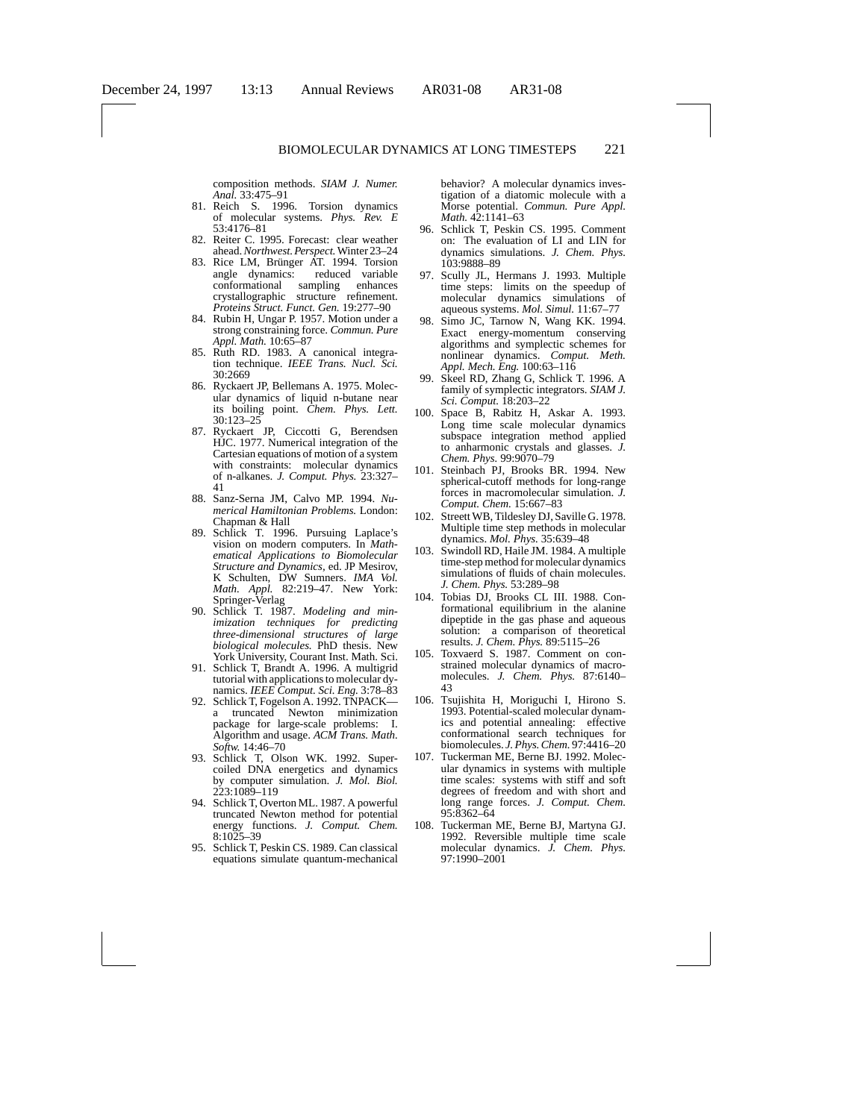composition methods. *SIAM J. Numer. Anal.* 33:475–91

- 81. Reich S. 1996. Torsion dynamics of molecular systems. *Phys. Rev. E* 53:4176–81
- 82. Reiter C. 1995. Forecast: clear weather ahead.*Northwest. Perspect.*Winter 23–24
- 83. Rice LM, Brünger AT, 1994. Torsion angle dynamics: reduced variable conformational sampling enhances crystallographic structure refinement. *Proteins Struct. Funct. Gen.* 19:277–90
- 84. Rubin H, Ungar P. 1957. Motion under a strong constraining force. *Commun. Pure Appl. Math.* 10:65–87
- 85. Ruth RD. 1983. A canonical integration technique. *IEEE Trans. Nucl. Sci.* 30:2669
- 86. Ryckaert JP, Bellemans A. 1975. Molecular dynamics of liquid n-butane near its boiling point. *Chem. Phys. Lett.* 30:123–25
- 87. Ryckaert JP, Ciccotti G, Berendsen HJC. 1977. Numerical integration of the Cartesian equations of motion of a system with constraints: molecular dynamics of n-alkanes. *J. Comput. Phys.* 23:327– 41
- 88. Sanz-Serna JM, Calvo MP. 1994. *Numerical Hamiltonian Problems.* London: Chapman & Hall
- 89. Schlick T. 1996. Pursuing Laplace's vision on modern computers. In *Mathematical Applications to Biomolecular Structure and Dynamics,* ed. JP Mesirov, K Schulten, DW Sumners. *IMA Vol. Math. Appl.* 82:219–47. New York: Springer-Verlag
- 90. Schlick T. 1987. *Modeling and minimization techniques for predicting three-dimensional structures of large biological molecules.* PhD thesis. New York University, Courant Inst. Math. Sci.
- 91. Schlick T, Brandt A. 1996. A multigrid tutorial with applications to molecular dynamics. *IEEE Comput. Sci. Eng.* 3:78–83
- 92. Schlick T, Fogelson A. 1992. TNPACK a truncated Newton minimization package for large-scale problems: I. Algorithm and usage. *ACM Trans. Math. Softw.* 14:46–70
- 93. Schlick T, Olson WK. 1992. Supercoiled DNA energetics and dynamics by computer simulation. *J. Mol. Biol.* 223:1089–119
- 94. Schlick T, Overton ML. 1987. A powerful truncated Newton method for potential energy functions. *J. Comput. Chem.* 8:1025–39
- 95. Schlick T, Peskin CS. 1989. Can classical equations simulate quantum-mechanical

behavior? A molecular dynamics investigation of a diatomic molecule with a Morse potential. *Commun. Pure Appl. Math.* 42:1141–63

- 96. Schlick T, Peskin CS. 1995. Comment on: The evaluation of LI and LIN for dynamics simulations. *J. Chem. Phys.* 103:9888–89
- 97. Scully JL, Hermans J. 1993. Multiple time steps: limits on the speedup of molecular dynamics simulations of aqueous systems. *Mol. Simul.* 11:67–77
- 98. Simo JC, Tarnow N, Wang KK. 1994. Exact energy-momentum conserving algorithms and symplectic schemes for nonlinear dynamics. *Comput. Meth. Appl. Mech. Eng.* 100:63–116
- 99. Skeel RD, Zhang G, Schlick T. 1996. A family of symplectic integrators. *SIAM J. Sci. Comput.* 18:203–22
- 100. Space B, Rabitz H, Askar A. 1993. Long time scale molecular dynamics subspace integration method applied to anharmonic crystals and glasses. *J. Chem. Phys.* 99:9070–79
- 101. Steinbach PJ, Brooks BR. 1994. New spherical-cutoff methods for long-range forces in macromolecular simulation. *J. Comput. Chem.* 15:667–83
- 102. Streett WB, Tildesley DJ, Saville G. 1978. Multiple time step methods in molecular dynamics. *Mol. Phys.* 35:639–48
- 103. Swindoll RD, Haile JM. 1984. A multiple time-step method for molecular dynamics simulations of fluids of chain molecules. *J. Chem. Phys.* 53:289–98
- 104. Tobias DJ, Brooks CL III. 1988. Conformational equilibrium in the alanine dipeptide in the gas phase and aqueous solution: a comparison of theoretical results. *J. Chem. Phys.* 89:5115–26
- 105. Toxvaerd S. 1987. Comment on constrained molecular dynamics of macromolecules. *J. Chem. Phys.* 87:6140– 43
- 106. Tsujishita H, Moriguchi I, Hirono S. 1993. Potential-scaled molecular dynamics and potential annealing: effective conformational search techniques for biomolecules. *J. Phys. Chem.* 97:4416–20
- 107. Tuckerman ME, Berne BJ. 1992. Molecular dynamics in systems with multiple time scales: systems with stiff and soft degrees of freedom and with short and long range forces. *J. Comput. Chem.* 95:8362–64
- 108. Tuckerman ME, Berne BJ, Martyna GJ. 1992. Reversible multiple time scale molecular dynamics. *J. Chem. Phys.* 97:1990–2001